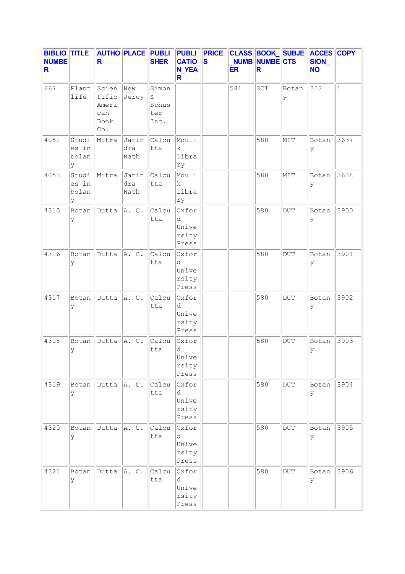| <b>BIBLIO TITLE</b><br><b>NUMBE</b><br>R |                              | R                                             | <b>AUTHO PLACE PUBLI</b> | <b>SHER</b>                               | <b>PUBLI</b><br><b>CATIO</b><br><b>N_YEA</b><br>R | <b>PRICE</b><br>$\boldsymbol{s}$ | <b>ER</b> | <b>CLASS BOOK SUBJE</b><br>NUMB NUMBE CTS<br>R |            | <b>ACCES COPY</b><br>SION_<br><b>NO</b> |              |
|------------------------------------------|------------------------------|-----------------------------------------------|--------------------------|-------------------------------------------|---------------------------------------------------|----------------------------------|-----------|------------------------------------------------|------------|-----------------------------------------|--------------|
| 667                                      | Plant<br>life                | Scien<br>tific<br>Ameri<br>can<br>Book<br>Co. | New<br>Jercy             | Simon<br>$\delta$<br>Schus<br>ter<br>Inc. |                                                   |                                  | 581       | SCI                                            | Botan<br>У | 252                                     | $\mathbf{1}$ |
| 4052                                     | Studi<br>es in<br>bolan<br>У | Mitra                                         | Jatin<br>dra<br>Nath     | Calcu<br>tta                              | Mouli<br>$\mathbf k$<br>Libra<br>rу               |                                  |           | 580                                            | MIT        | Botan<br>У                              | 3637         |
| 4053                                     | Studi<br>es in<br>bolan<br>У | Mitra                                         | Jatin<br>dra<br>Nath     | Calcu<br>tta                              | Mouli<br>k<br>Libra<br>ry                         |                                  |           | 580                                            | MIT        | Botan<br>У                              | 3638         |
| 4315                                     | Botan<br>У                   | Dutta                                         | A. C.                    | Calcu<br>tta                              | Oxfor<br>d<br>Unive<br>rsity<br>Press             |                                  |           | 580                                            | $\rm DUT$  | Botan<br>У                              | 3900         |
| 4316                                     | Botan<br>У                   | Dutta                                         | A. C.                    | Calcu<br>tta                              | Oxfor<br>d<br>Unive<br>rsity<br>Press             |                                  |           | 580                                            | <b>DUT</b> | Botan<br>У                              | 3901         |
| 4317                                     | Botan<br>У                   | Dutta                                         | A. C.                    | Calcu<br>tta                              | Oxfor<br>d<br>Unive<br>rsity<br>Press             |                                  |           | 580                                            | <b>DUT</b> | Botan<br>У                              | 3902         |
| 4318                                     | Botan<br>У                   | Dutta                                         | A. C.                    | Calcu<br>tta                              | Oxfor<br>d<br>Unive<br>rsity<br>Press             |                                  |           | 580                                            | <b>DUT</b> | Botan<br>У                              | 3903         |
| 4319                                     | Botan<br>У                   | Dutta                                         | A. C.                    | Calcu<br>tta                              | Oxfor<br>d<br>Unive<br>rsity<br>Press             |                                  |           | 580                                            | DUT        | Botan<br>У                              | 3904         |
| 4320                                     | Botan<br>У                   | Dutta                                         | A. C.                    | Calcu<br>tta                              | Oxfor<br>d<br>Unive<br>rsity<br>Press             |                                  |           | 580                                            | <b>DUT</b> | Botan<br>У                              | 3905         |
| 4321                                     | Botan<br>У                   | Dutta                                         | A. C.                    | Calcu<br>tta                              | Oxfor<br>d<br>Unive<br>rsity<br>Press             |                                  |           | 580                                            | <b>DUT</b> | Botan<br>У                              | 3906         |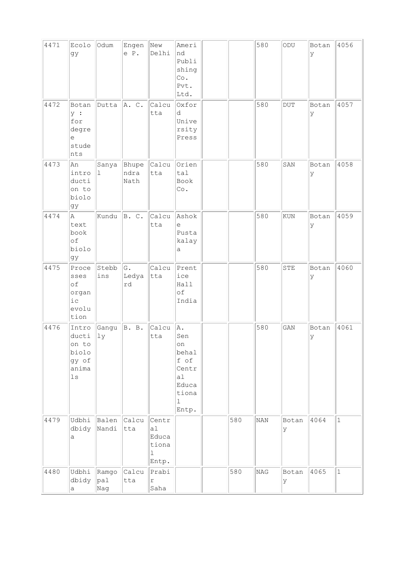| 4471 | Ecolo<br>gy                                                       | Odum                          | Engen<br>e P.         | New<br>Delhi                                                      | Ameri<br>nd<br>Publi<br>shing<br>Co.<br>Pvt.<br>Ltd.                            |     | 580        | ODU        | Botan<br>lУ | 4056         |
|------|-------------------------------------------------------------------|-------------------------------|-----------------------|-------------------------------------------------------------------|---------------------------------------------------------------------------------|-----|------------|------------|-------------|--------------|
| 4472 | Botan<br>y :<br>for<br>degre<br>e<br>stude<br>nts                 | Dutta                         | A. C.                 | Calcu<br>tta                                                      | Oxfor<br>d<br>Unive<br>rsity<br>Press                                           |     | 580        | <b>DUT</b> | Botan<br> y | 4057         |
| 4473 | An<br>intro<br>ducti<br>on to<br>biolo<br>gy                      | Sanya<br>$\mathbf{1}$         | Bhupe<br>ndra<br>Nath | Calcu<br>tta                                                      | Orien<br>tal<br>Book<br>Co.                                                     |     | 580        | SAN        | Botan<br>У  | 4058         |
| 4474 | Α<br>text<br>book<br>of<br>biolo<br>gy                            | Kundu                         | B. C.                 | Calcu<br>tta                                                      | Ashok<br>e<br>Pusta<br>kalay<br>а                                               |     | 580        | <b>KUN</b> | Botan<br>ly | 4059         |
| 4475 | Proce<br>sses<br>of<br>organ<br>$i$ c<br>evolu<br>tion            | Stebb<br>ins                  | G.<br>Ledya<br>rd     | Calcu<br>tta                                                      | Prent<br>ice<br>Hall<br>of<br>India                                             |     | 580        | STE        | Botan<br>У  | 4060         |
| 4476 | Intro<br>ducti<br>on to<br>biolo<br>gy of<br>anima<br>$_{\rm 1s}$ | Gangu<br> 1y                  | B. B.                 | Calcu<br>tta                                                      | A.<br>Sen<br>on<br>behal<br>f of<br>Centr<br>al<br>Educa<br>tiona<br>ı<br>Entp. |     | 580        | GAN        | Botan<br>Ιy | 4061         |
| 4479 | Udbhi<br>dbidy<br>а                                               | Balen<br>Nandi                | Calcu<br>tta          | Centr<br>a <sub>1</sub><br>Educa<br>tiona<br>$\mathbf 1$<br>Entp. |                                                                                 | 580 | <b>NAN</b> | Botan<br>У | 4064        | $\mathbf{1}$ |
| 4480 | Udbhi<br>dbidy<br>а                                               | Ramgo<br>$ {\rm pal} $<br>Nag | Calcu<br>tta          | Prabi<br>$\Upsilon$<br>Saha                                       |                                                                                 | 580 | NAG        | Botan<br>У | 4065        | $1\,$        |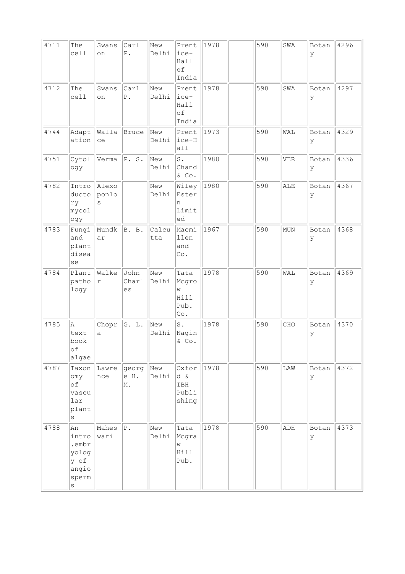| 4711 | The<br>cell                                                        | Swans<br>on         | Carl<br>${\mathbb P}$ . | New<br>Delhi | Prent<br>ice-<br>Hall<br>of<br>India      | 1978 | 590 | SWA        | Botan<br>ΙY | 4296 |
|------|--------------------------------------------------------------------|---------------------|-------------------------|--------------|-------------------------------------------|------|-----|------------|-------------|------|
| 4712 | The<br>cell                                                        | Swans<br>on         | Carl<br>${\tt P}$ .     | New<br>Delhi | Prent<br>ice-<br>Hall<br>of<br>India      | 1978 | 590 | SWA        | Botan<br> y | 4297 |
| 4744 | Adapt<br>ation                                                     | Walla<br>ce         | Bruce                   | New<br>Delhi | Prent<br>ice-H<br>all                     | 1973 | 590 | WAL        | Botan<br>У  | 4329 |
| 4751 | Cytol<br>ogy                                                       | Verma               | P. S.                   | New<br>Delhi | $\mathtt{S}$ .<br>Chand<br>& Co.          | 1980 | 590 | VER        | Botan<br>lУ | 4336 |
| 4782 | Intro<br>ducto<br>ry<br>mycol<br>ogy                               | Alexo<br>ponlo<br>S |                         | New<br>Delhi | Wiley<br>Ester<br>n<br>Limit<br>ed        | 1980 | 590 | ALE        | Botan<br> y | 4367 |
| 4783 | Fungi<br>and<br>plant<br>disea<br>se                               | Mundk<br>ar         | B. B.                   | Calcu<br>tta | Macmi<br>llen<br>and<br>Co.               | 1967 | 590 | <b>MUN</b> | Botan<br> y | 4368 |
| 4784 | Plant<br>patho<br>logy                                             | Walke<br>r          | John<br>Charl<br>es     | New<br>Delhi | Tata<br>Mcgro<br>W<br>Hill<br>Pub.<br>Co. | 1978 | 590 | WAL        | Botan<br>У  | 4369 |
| 4785 | A<br>text<br>book<br>$\circ f$<br>algae                            | Chopr<br>a          | G. L.                   | New<br>Delhi | $\texttt{S}$ .<br>Nagin<br>$\&$ Co.       | 1978 | 590 | CHO        | Botan<br>ΙY | 4370 |
| 4787 | Taxon<br>omy<br>оf<br>vascu<br>lar<br>plant<br>$\rm s$             | Lawre<br>nce        | georg<br>e H.<br>M.     | New<br>Delhi | Oxfor<br>d &<br>IBH<br>Publi<br>shing     | 1978 | 590 | LAW        | Botan<br>lУ | 4372 |
| 4788 | An<br>intro<br>.embr<br>yolog<br>y of<br>angio<br>sperm<br>$\rm s$ | Mahes<br>wari       | $P$ .                   | New<br>Delhi | Tata<br>Mcgra<br>W<br>Hill<br>Pub.        | 1978 | 590 | ADH        | Botan<br>ΙY | 4373 |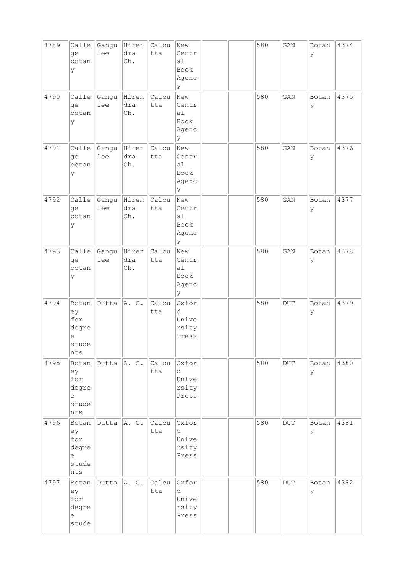| 4789 | Calle<br>ge<br>botan<br>У                                 | Gangu<br>lee    | Hiren<br>dra<br>Ch. | Calcu<br>tta | New<br>Centr<br>a1<br>Book<br>Agenc<br>У |  | 580 | GAN        | Botan<br>У | 4374 |
|------|-----------------------------------------------------------|-----------------|---------------------|--------------|------------------------------------------|--|-----|------------|------------|------|
| 4790 | Calle<br>ge<br>botan<br>У                                 | Gangu<br>lee    | Hiren<br>dra<br>Ch. | Calcu<br>tta | New<br>Centr<br>al<br>Book<br>Agenc<br>У |  | 580 | GAN        | Botan<br>У | 4375 |
| 4791 | Calle<br>ge<br>botan<br>У                                 | Gangu<br>lee    | Hiren<br>dra<br>Ch. | Calcu<br>tta | New<br>Centr<br>al<br>Book<br>Agenc<br>У |  | 580 | GAN        | Botan<br>У | 4376 |
| 4792 | Calle<br>ge<br>botan<br>У                                 | Gangu<br>lee    | Hiren<br>dra<br>Ch. | Calcu<br>tta | New<br>Centr<br>a1<br>Book<br>Agenc<br>У |  | 580 | GAN        | Botan<br>У | 4377 |
| 4793 | Calle<br>ge<br>botan<br>У                                 | Gangu<br>lee    | Hiren<br>dra<br>Ch. | Calcu<br>tta | New<br>Centr<br>a1<br>Book<br>Agenc<br>У |  | 580 | GAN        | Botan<br>У | 4378 |
| 4794 | Botan<br>ey<br>for<br>degre<br>$\in$<br>stude<br>nts      | Dutta           | A. C.               | Calcu<br>tta | Oxfor<br>d<br>Unive<br>rsity<br>Press    |  | 580 | <b>DUT</b> | Botan<br>У | 4379 |
| 4795 | Botan<br>ey<br>for<br>degre<br>е<br>stude<br>nts          | $Dutta \ A. C.$ |                     | Calcu<br>tta | Oxfor<br>d<br>Unive<br>rsity<br>Press    |  | 580 | <b>DUT</b> | Botan<br>У | 4380 |
| 4796 | Botan<br>ey<br>for<br>degre<br>$\epsilon$<br>stude<br>nts | Dutta           | A. C.               | Calcu<br>tta | Oxfor<br>d<br>Unive<br>rsity<br>Press    |  | 580 | $\rm DUT$  | Botan<br>У | 4381 |
| 4797 | Botan<br>ey<br>for<br>degre<br>е<br>stude                 | Dutta  A. C.    |                     | Calcu<br>tta | Oxfor<br>d<br>Unive<br>rsity<br>Press    |  | 580 | $\rm DUT$  | Botan<br>У | 4382 |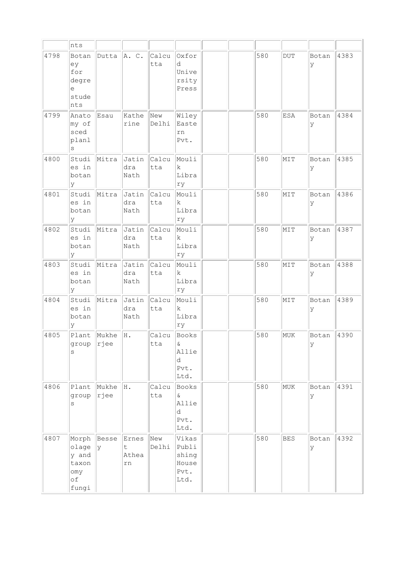|      | nts                                                    |                   |                                              |              |                                                  |  |     |            |            |      |
|------|--------------------------------------------------------|-------------------|----------------------------------------------|--------------|--------------------------------------------------|--|-----|------------|------------|------|
| 4798 | Botan<br>ey<br>for<br>degre<br>е<br>stude<br>nts       | Dutta             | A. C.                                        | Calcu<br>tta | Oxfor<br>d<br>Unive<br>rsity<br>Press            |  | 580 | $\rm DUT$  | Botan<br>У | 4383 |
| 4799 | Anato<br>my of<br>sced<br>planl<br>$\rm s$             | Esau              | Kathe<br>rine                                | New<br>Delhi | Wiley<br>Easte<br>rn<br>Pvt.                     |  | 580 | ESA        | Botan<br>У | 4384 |
| 4800 | Studi<br>es in<br>botan<br>У                           | Mitra             | Jatin<br>dra<br>Nath                         | Calcu<br>tta | Mouli<br>k<br>Libra<br>ry                        |  | 580 | MIT        | Botan<br>У | 4385 |
| 4801 | Studi<br>es in<br>botan<br>У                           | Mitra             | Jatin<br>dra<br>Nath                         | Calcu<br>tta | Mouli<br>$\mathbf k$<br>Libra<br>rу              |  | 580 | MIT        | Botan<br>У | 4386 |
| 4802 | Studi<br>es in<br>botan<br>У                           | Mitra             | Jatin<br>dra<br>Nath                         | Calcu<br>tta | Mouli<br>k.<br>Libra<br>ry                       |  | 580 | MIT        | Botan<br>У | 4387 |
| 4803 | Studi<br>es in<br>botan<br>У                           | Mitra             | Jatin<br>dra<br>Nath                         | Calcu<br>tta | Mouli<br>k.<br>Libra<br>ry                       |  | 580 | MIT        | Botan<br>У | 4388 |
| 4804 | Studi<br>es in<br>botan<br>У                           | Mitra             | Jatin<br>dra<br>Nath                         | Calcu<br>tta | Mouli<br>$\mathbf k$<br>Libra<br>ry              |  | 580 | MIT        | Botan<br>У | 4389 |
| 4805 | Plant<br>group<br>S                                    | Mukhe<br>$ r $ ee | H.                                           | Calcu<br>tta | Books<br>$\delta$<br>Allie<br>d<br>Pvt.<br>Ltd.  |  | 580 | MUK        | Botan<br>У | 4390 |
| 4806 | Plant<br>group<br>S                                    | Mukhe<br>rjee     | H.                                           | Calcu<br>tta | Books<br>&<br>Allie<br>d<br>Pvt.<br>Ltd.         |  | 580 | MUK        | Botan<br>У | 4391 |
| 4807 | Morph<br>olage<br>y and<br>taxon<br>omy<br>оf<br>fungi | Besse<br>l y      | Ernes<br>$\mathsf{t}$<br>Athea<br>${\tt rn}$ | New<br>Delhi | Vikas<br>Publi<br>shing<br>House<br>Pvt.<br>Ltd. |  | 580 | <b>BES</b> | Botan<br>У | 4392 |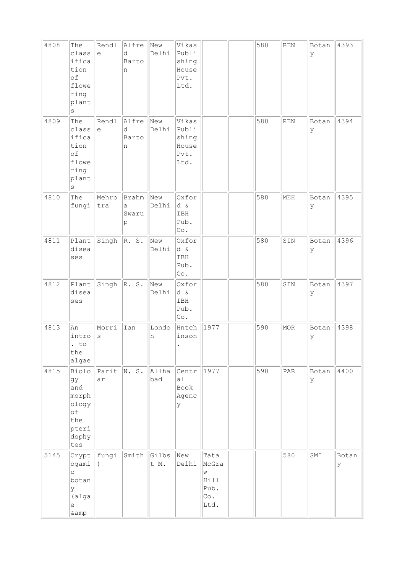| 4808 | The<br>class<br>ifica<br>tion<br>of<br>flowe<br>ring<br>plant<br>$\rm s$   | Rendl<br>$\epsilon$ | Alfre<br>d<br>Barto<br>n | New<br>Delhi  | Vikas<br>Publi<br>shing<br>House<br>Pvt.<br>Ltd.   |                                                   | 580 | $\mathop{\mathrm{REN}}$ | Botan<br>lУ | 4393       |
|------|----------------------------------------------------------------------------|---------------------|--------------------------|---------------|----------------------------------------------------|---------------------------------------------------|-----|-------------------------|-------------|------------|
| 4809 | The<br>class<br>ifica<br>tion<br>of<br>flowe<br>ring<br>plant<br>$\rm s$   | Rendl<br>$\epsilon$ | Alfre<br>d<br>Barto<br>n | New<br>Delhi  | Vikas<br>Publi<br>shing<br>House<br>Pvt.<br>Ltd.   |                                                   | 580 | <b>REN</b>              | Botan<br>У  | 4394       |
| 4810 | The<br>fungi                                                               | Mehro<br>tra        | Brahm<br>a<br>Swaru<br>p | New<br>Delhi  | Oxfor<br>d &<br>IBH<br>Pub.<br>$\mathbb{C}\circ$ . |                                                   | 580 | MEH                     | Botan<br>У  | 4395       |
| 4811 | Plant<br>disea<br>ses                                                      | Singh               | $\mathbb{R}$ . S.        | New<br>Delhi  | Oxfor<br>d &<br>IBH<br>Pub.<br>$\mathbb{C}\circ$ . |                                                   | 580 | SIN                     | Botan<br>ly | 4396       |
| 4812 | Plant<br>disea<br>ses                                                      | Singh               | $\mathbb{R}$ . S.        | New<br>Delhi  | Oxfor<br>d &<br>IBH<br>Pub.<br>Co.                 |                                                   | 580 | SIN                     | Botan<br>ΙY | 4397       |
| 4813 | An<br>intro<br>$\cdot$ to<br>the<br>algae                                  | Morri<br>$\rm s$    | Ian                      | Londo<br>n    | Hntch<br>inson                                     | 1977                                              | 590 | MOR                     | Botan<br>lУ | 4398       |
| 4815 | Biolo<br>gу<br>and<br>morph<br>ology<br>of<br>the<br>pteri<br>dophy<br>tes | Parit<br>ar         | N. S.                    | Allha<br>bad  | Centr<br>a1<br>Book<br>Agenc<br>У                  | 1977                                              | 590 | PAR                     | Botan<br>lУ | 4400       |
| 5145 | ogami<br>C<br>botan<br>У<br>(alga<br>е<br>&                                | $Crypt$ $ fungi$    | Smith                    | Gilbs<br>t M. | New<br>Delhi                                       | Tata<br>McGra<br>W<br>Hill<br>Pub.<br>Co.<br>Ltd. |     | 580                     | SMI         | Botan<br>У |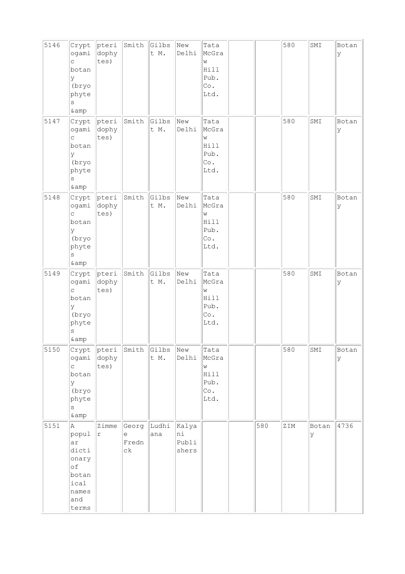| 5146 | Crypt<br>ogami<br>C<br>botan<br>У<br>(bryo<br>phyte<br>S<br>& amp                  | pteri<br>dophy<br>tes)     | Smith                     | Gilbs<br>t M. | New<br>Delhi                  | Tata<br>McGra<br>W<br>Hill<br>Pub.<br>Co.<br>Ltd. |     | 580 | SMI        | Botan<br>У |
|------|------------------------------------------------------------------------------------|----------------------------|---------------------------|---------------|-------------------------------|---------------------------------------------------|-----|-----|------------|------------|
| 5147 | Crypt<br>ogami<br>C<br>botan<br>У<br>(bryo<br>phyte<br>S<br>& amp                  | pteri<br>dophy<br>tes)     | Smith                     | Gilbs<br>t M. | New<br>Delhi                  | Tata<br>McGra<br>W<br>Hill<br>Pub.<br>Co.<br>Ltd. |     | 580 | SMI        | Botan<br>У |
| 5148 | Crypt<br>ogami<br>$\mathsf{C}$<br>botan<br>У<br>(bryo<br>phyte<br>S<br>&           | pteri<br>dophy<br>tes)     | Smith                     | Gilbs<br>t M. | New<br>Delhi                  | Tata<br>McGra<br>W<br>Hill<br>Pub.<br>Co.<br>Ltd. |     | 580 | SMI        | Botan<br>У |
| 5149 | Crypt<br>ogami<br>C.<br>botan<br>У<br>(bryo<br>phyte<br>S<br>& amp                 | pteri<br>dophy<br>tes)     | Smith                     | Gilbs<br>t M. | New<br>Delhi                  | Tata<br>McGra<br>W<br>Hill<br>Pub.<br>Co.<br>Ltd. |     | 580 | SMI        | Botan<br>У |
| 5150 | Crypt<br>ogami<br>C<br>botan<br>У<br>(bryo<br>phyte<br>S<br>&                      | $ $ pteri<br>dophy<br>tes) | Smith                     | Gilbs<br>t M. | New<br>Delhi                  | Tata<br>McGra<br>W<br>Hill<br>Pub.<br>Co.<br>Ltd. |     | 580 | SMI        | Botan<br>У |
| 5151 | A<br>popul<br>ar<br>dicti<br>onary<br>оf<br>botan<br>ical<br>names<br>and<br>terms | Zimme<br>r                 | Georg<br>e<br>Fredn<br>сk | Ludhi<br>ana  | Kalya<br>ni<br>Publi<br>shers |                                                   | 580 | ZIM | Botan<br>У | 4736       |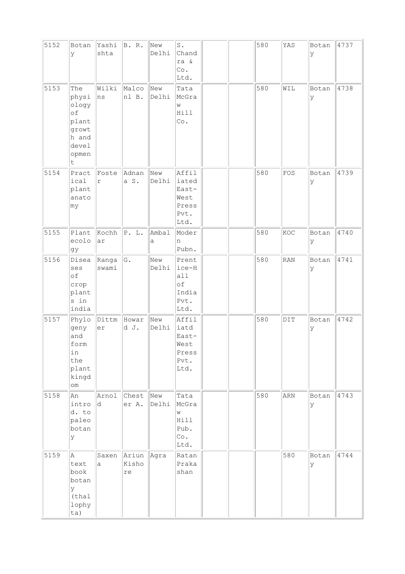| 5152 | Botan<br>У                                                                           | Yashi<br>shta  | B. R.                                | New<br>Delhi | $\texttt{S}$ .<br>Chand<br>ra &<br>Co.<br>Ltd.           |  | 580 | YAS            | Botan<br>У  | 4737 |
|------|--------------------------------------------------------------------------------------|----------------|--------------------------------------|--------------|----------------------------------------------------------|--|-----|----------------|-------------|------|
| 5153 | The<br>physi<br>ology<br>$\circ f$<br>plant<br>growt<br>h and<br>devel<br>opmen<br>t | Wilki<br>ns    | Malco<br>nl B.                       | New<br>Delhi | Tata<br>McGra<br>W<br>Hill<br>Co.                        |  | 580 | WIL            | Botan<br>У  | 4738 |
| 5154 | Pract<br>ical<br>plant<br>anato<br>my                                                | Foste<br>r     | Adnan<br>a S.                        | New<br>Delhi | Affil<br>iated<br>East-<br>West<br>Press<br>Pvt.<br>Ltd. |  | 580 | FOS            | Botan<br>lУ | 4739 |
| 5155 | Plant<br>ecolo<br>gy                                                                 | Kochh<br>ar    | P. L.                                | Ambal<br>a   | Moder<br>n<br>Pubn.                                      |  | 580 | KOC            | Botan<br>Ιy | 4740 |
| 5156 | Disea<br>ses<br>of<br>crop<br>plant<br>s in<br>india                                 | Ranga<br>swami | G.                                   | New<br>Delhi | Prent<br>$ice-H$<br>a11<br>оf<br>India<br>Pvt.<br>Ltd.   |  | 580 | <b>RAN</b>     | Botan<br>У  | 4741 |
| 5157 | Phylo<br>geny<br>and<br>form<br>in<br>the<br>plant<br>kingd<br>$\verb om $           | Dittm<br>er    | Howar<br>d J.                        | New<br>Delhi | Affil<br>iatd<br>East-<br>West<br>Press<br>Pvt.<br>Ltd.  |  | 580 | $\texttt{DIT}$ | Botan<br>ly | 4742 |
| 5158 | An<br>intro<br>d. to<br>paleo<br>botan<br>У                                          | Arnol<br>d     | Chest<br>er A.                       | New<br>Delhi | Tata<br>McGra<br>W<br>Hill<br>Pub.<br>Co.<br>Ltd.        |  | 580 | ARN            | Botan<br>lУ | 4743 |
| 5159 | A<br>text<br>book<br>botan<br>У<br>(thal<br>lophy<br>ta)                             | Saxen<br>а     | Ariun Agra<br>Kisho<br>$\mathtt{re}$ |              | Ratan<br>Praka<br>shan                                   |  |     | 580            | Botan<br>lУ | 4744 |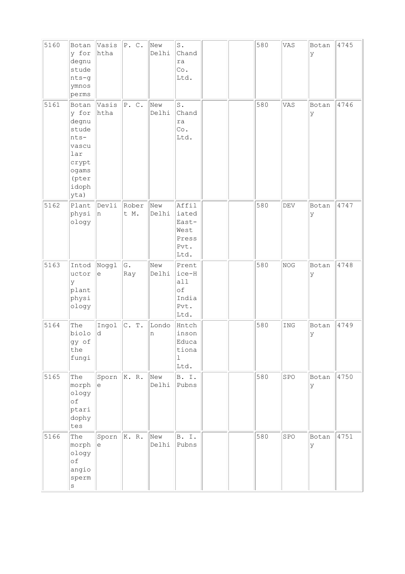| 5160 | Botan<br>y for<br>degnu<br>stude<br>nts-g<br>ymnos<br>perms                                             | Vasis<br>htha | P. C.         | New<br>Delhi | $\texttt{S}$ .<br>Chand<br>ra<br>Co.<br>Ltd.             |  | 580 | VAS | Botan<br>lУ | 4745 |
|------|---------------------------------------------------------------------------------------------------------|---------------|---------------|--------------|----------------------------------------------------------|--|-----|-----|-------------|------|
| 5161 | Botan<br>y for<br>degnu<br>stude<br>$nts -$<br>vascu<br>lar<br>crypt<br>ogams<br>(pter<br>idoph<br>yta) | Vasis<br>htha | P. C.         | New<br>Delhi | $\texttt{S}$ .<br>Chand<br>ra<br>Co.<br>Ltd.             |  | 580 | VAS | Botan<br>У  | 4746 |
| 5162 | Plant<br>physi<br>ology                                                                                 | Devli<br>In.  | Rober<br>t M. | New<br>Delhi | Affil<br>iated<br>East-<br>West<br>Press<br>Pvt.<br>Ltd. |  | 580 | DEV | Botan<br>ly | 4747 |
| 5163 | Intod<br>uctor<br>У<br>plant<br>physi<br>ology                                                          | Noggl<br>e    | G.<br>Ray     | New<br>Delhi | Prent<br>ice-H<br>a11<br>оf<br>India<br>Pvt.<br>Ltd.     |  | 580 | NOG | Botan<br>У  | 4748 |
| 5164 | The<br>biolo<br>gy of<br>the<br>fungi                                                                   | Ingol<br>d    | C. T.         | Londo<br>n   | Hntch<br>inson<br>Educa<br>tiona<br>$\mathbf{1}$<br>Ltd. |  | 580 | ING | Botan<br>У  | 4749 |
| 5165 | The<br>morph<br>ology<br>of<br>ptari<br>dophy<br>tes                                                    | Sporn<br>le   | $\ K. R.$     | New<br>Delhi | B. I.<br>Pubns                                           |  | 580 | SPO | Botan<br>lУ | 4750 |
| 5166 | The<br>morph<br>ology<br>of<br>angio<br>sperm<br>$\rm s$                                                | Sporn<br>le   | K. R.         | New<br>Delhi | B. I.<br>Pubns                                           |  | 580 | SPO | Botan<br>У  | 4751 |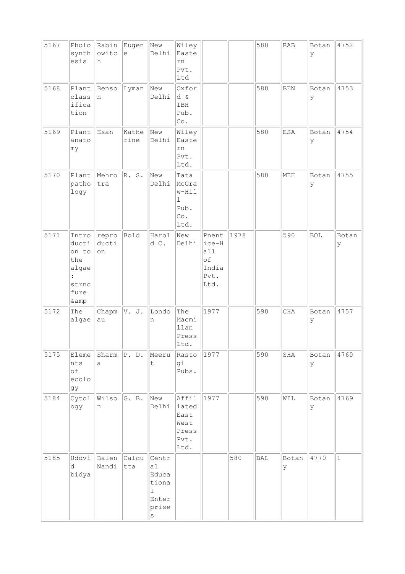| 5167 | Pholo<br>synth<br>esis                                                                    | Rabin<br>owitc<br>h  | Eugen<br>$\epsilon$ | New<br>Delhi                                                               | Wiley<br>Easte<br>rn<br>Pvt.<br>Ltd                     |                                                      |      | 580 | RAB          | Botan<br>У | 4752         |
|------|-------------------------------------------------------------------------------------------|----------------------|---------------------|----------------------------------------------------------------------------|---------------------------------------------------------|------------------------------------------------------|------|-----|--------------|------------|--------------|
| 5168 | Plant<br>class<br>ifica<br>tion                                                           | Benso<br>n           | Lyman               | New<br>Delhi                                                               | Oxfor<br>d &<br>IBH<br>Pub.<br>Co.                      |                                                      |      | 580 | <b>BEN</b>   | Botan<br>У | 4753         |
| 5169 | Plant<br>anato<br>my                                                                      | Esan                 | Kathe<br>rine       | New<br>Delhi                                                               | Wiley<br>Easte<br>rn<br>Pvt.<br>Ltd.                    |                                                      |      | 580 | <b>ESA</b>   | Botan<br>У | 4754         |
| 5170 | Plant<br>patho<br>logy                                                                    | Mehro<br>tra         | R. S.               | New<br>Delhi                                                               | Tata<br>McGra<br>w-Hil<br>1<br>Pub.<br>Co.<br>Ltd.      |                                                      |      | 580 | MEH          | Botan<br>У | 4755         |
| 5171 | Intro<br>ducti<br>on to<br>the<br>algae<br>$\ddot{\phantom{a}}$<br>strnc<br>fure<br>& amp | repro<br>ducti<br>on | Bold                | Harol<br>d C.                                                              | New<br>Delhi                                            | Pnent<br>ice-H<br>all<br>оf<br>India<br>Pvt.<br>Ltd. | 1978 |     | 590          | <b>BOL</b> | Botan<br>У   |
| 5172 | The<br>algae                                                                              | Chapm<br>au          | V. J.               | Londo<br>n                                                                 | The<br>Macmi<br>llan<br>Press<br>Ltd.                   | 1977                                                 |      | 590 | CHA          | Botan<br>У | 4757         |
| 5175 | Eleme<br>nts<br>of<br>ecolo<br>gу                                                         | Sharm<br>a           | P. D.               | Meeru<br>t                                                                 | Rasto<br>gi<br>Pubs.                                    | 1977                                                 |      | 590 | $_{\rm SHA}$ | Botan<br>У | 4760         |
| 5184 | Cytol<br>ogy                                                                              | Wilso<br>n           | G. B.               | New<br>Delhi                                                               | Affil<br>iated<br>East<br>West<br>Press<br>Pvt.<br>Ltd. | 1977                                                 |      | 590 | WIL          | Botan<br>У | 4769         |
| 5185 | Uddvi<br>d<br>bidya                                                                       | Balen<br>Nandi       | Calcu<br>tta        | Centr<br>al<br>Educa<br>tiona<br>$\mathbf{1}$<br>Enter<br>prise<br>$\rm s$ |                                                         |                                                      | 580  | BAL | Botan<br>У   | 4770       | $\mathbf{1}$ |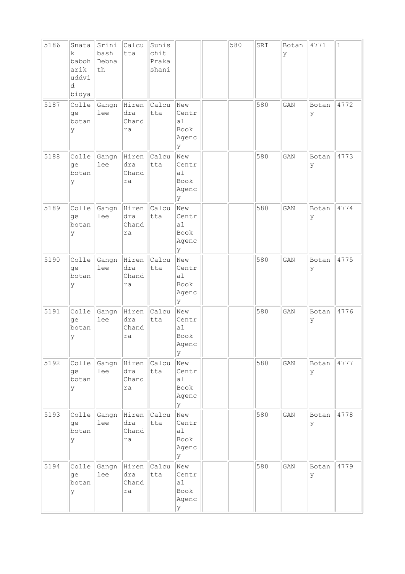| 5186 | Snata<br>k.<br>baboh<br>arik<br>uddvi<br>d<br>bidya | Srini<br>bash<br>Debna<br>th | Calcu<br>tta                | Sunis<br>chit<br>Praka<br>shani |                                          | 580 | SRI | Botan<br>У | 4771       | $\mathbf{1}$ |
|------|-----------------------------------------------------|------------------------------|-----------------------------|---------------------------------|------------------------------------------|-----|-----|------------|------------|--------------|
| 5187 | Colle<br>ge<br>botan<br>У                           | Gangn<br>lee                 | Hiren<br>dra<br>Chand<br>ra | Calcu<br>tta                    | New<br>Centr<br>a1<br>Book<br>Agenc<br>У |     | 580 | GAN        | Botan<br>У | 4772         |
| 5188 | Colle<br>ge<br>botan<br>У                           | Gangn<br>lee                 | Hiren<br>dra<br>Chand<br>ra | Calcu<br>tta                    | New<br>Centr<br>a1<br>Book<br>Agenc<br>У |     | 580 | GAN        | Botan<br>У | 4773         |
| 5189 | Colle<br>qe<br>botan<br>У                           | Gangn<br>lee                 | Hiren<br>dra<br>Chand<br>ra | Calcu<br>tta                    | New<br>Centr<br>a1<br>Book<br>Agenc<br>У |     | 580 | GAN        | Botan<br>У | 4774         |
| 5190 | Colle<br>ge<br>botan<br>У                           | Gangn<br>lee                 | Hiren<br>dra<br>Chand<br>ra | Calcu<br>tta                    | New<br>Centr<br>a1<br>Book<br>Agenc<br>У |     | 580 | GAN        | Botan<br>У | 4775         |
| 5191 | Colle<br>ge<br>botan<br>У                           | Gangn<br>lee                 | Hiren<br>dra<br>Chand<br>ra | Calcu<br>tta                    | New<br>Centr<br>al<br>Book<br>Agenc<br>У |     | 580 | GAN        | Botan<br>У | 4776         |
| 5192 | Colle<br>ge<br>botan<br>У                           | Gangn<br>lee                 | Hiren<br>dra<br>Chand<br>ra | Calcu<br>tta                    | New<br>Centr<br>a1<br>Book<br>Agenc<br>У |     | 580 | GAN        | Botan<br>У | 4777         |
| 5193 | Colle<br>qe<br>botan<br>У                           | Gangn<br>lee                 | Hiren<br>dra<br>Chand<br>ra | Calcu<br>tta                    | New<br>Centr<br>al<br>Book<br>Agenc<br>У |     | 580 | GAN        | Botan<br>У | 4778         |
| 5194 | Colle<br>ge<br>botan<br>У                           | Gangn<br>lee                 | Hiren<br>dra<br>Chand<br>ra | Calcu<br>tta                    | New<br>Centr<br>a1<br>Book<br>Agenc<br>У |     | 580 | GAN        | Botan<br>У | 4779         |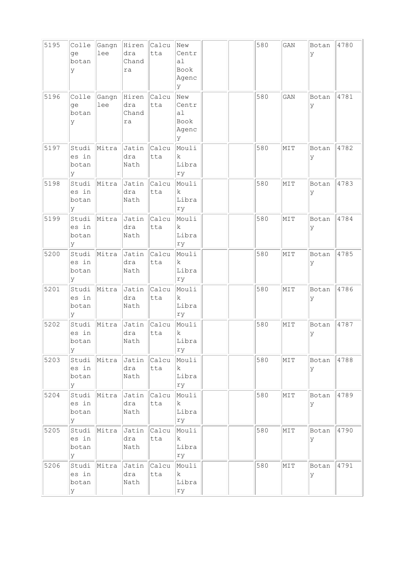| 5195 | Colle<br>qe<br>botan<br>У    | Gangn<br>lee | Hiren<br>dra<br>Chand<br>ra | Calcu<br>tta       | New<br>Centr<br>a1<br>Book<br>Agenc<br>У |  | 580 | GAN | Botan<br>У | 4780 |
|------|------------------------------|--------------|-----------------------------|--------------------|------------------------------------------|--|-----|-----|------------|------|
| 5196 | Colle<br>ge<br>botan<br>У    | Gangn<br>lee | Hiren<br>dra<br>Chand<br>ra | Calcu<br>tta       | New<br>Centr<br>al<br>Book<br>Agenc<br>Y |  | 580 | GAN | Botan<br>У | 4781 |
| 5197 | Studi<br>es in<br>botan<br>У | Mitra        | Jatin<br>dra<br>Nath        | Calcu<br>tta       | Mouli<br>k.<br>Libra<br>rу               |  | 580 | MIT | Botan<br>У | 4782 |
| 5198 | Studi<br>es in<br>botan<br>У | Mitra        | Jatin<br>dra<br>Nath        | Calcu<br>tta       | Mouli<br>k.<br>Libra<br>ry               |  | 580 | MIT | Botan<br>У | 4783 |
| 5199 | Studi<br>es in<br>botan<br>У | Mitra        | Jatin<br>dra<br>Nath        | Calcu<br>tta       | Mouli<br>k.<br>Libra<br>rу               |  | 580 | MIT | Botan<br>У | 4784 |
| 5200 | Studi<br>es in<br>botan<br>У | Mitra        | Jatin<br>dra<br>Nath        | Calcu<br>tta       | Mouli<br>k.<br>Libra<br>rу               |  | 580 | MIT | Botan<br>У | 4785 |
| 5201 | Studi<br>es in<br>botan<br>У | Mitra        | Jatin<br>dra<br>Nath        | Calcu<br>tta       | Mouli<br>k<br>Libra<br>ry                |  | 580 | MIT | Botan<br>У | 4786 |
| 5202 | Studi<br>es in<br>botan<br>У | Mitra        | Jatin<br>dra<br>Nath        | Calcu<br>tta       | Mouli<br>k<br>Libra<br>ry                |  | 580 | MIT | Botan<br>У | 4787 |
| 5203 | Studi<br>es in<br>botan<br>У | Mitra        | dra<br>Nath                 | Jatin Calcu<br>tta | Mouli<br>$\mathbf{k}$<br>Libra<br>ry     |  | 580 | MIT | Botan<br>У | 4788 |
| 5204 | Studi<br>es in<br>botan<br>У | Mitra        | Jatin<br>dra<br>Nath        | Calcu<br>tta       | Mouli<br>$\mathbf k$<br>Libra<br>ry      |  | 580 | MIT | Botan<br>У | 4789 |
| 5205 | Studi<br>es in<br>botan<br>У | Mitra        | Jatin<br>dra<br>Nath        | Calcu<br>tta       | Mouli<br> k <br>Libra<br>ry              |  | 580 | MIT | Botan<br>У | 4790 |
| 5206 | Studi<br>es in<br>botan<br>У | Mitra        | Jatin<br>dra<br>Nath        | Calcu<br>tta       | Mouli<br>$\mathbf{k}$<br>Libra<br>rу     |  | 580 | MIT | Botan<br>У | 4791 |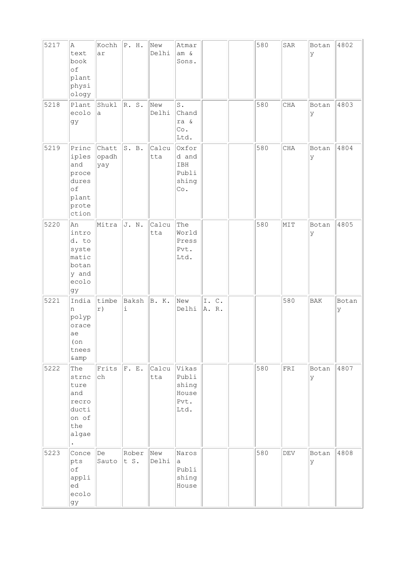| 5217 | A<br>text<br>book<br>of<br>plant<br>physi<br>ology                       | Kochh<br>ar           | $\Vert P. H.$               | New<br>Delhi | Atmar<br>am &<br>Sons.                           |               | 580 | SAR            | Botan<br>У  | 4802       |
|------|--------------------------------------------------------------------------|-----------------------|-----------------------------|--------------|--------------------------------------------------|---------------|-----|----------------|-------------|------------|
| 5218 | Plant<br>ecolo<br>gу                                                     | Shukl<br>a            | R. S.                       | New<br>Delhi | $\mathtt{S}$ .<br>Chand<br>ra &<br>Co.<br>Ltd.   |               | 580 | CHA            | Botan<br>У  | 4803       |
| 5219 | Princ<br>iples<br>and<br>proce<br>dures<br>of<br>plant<br>prote<br>ction | Chatt<br>opadh<br>yay | S. B.                       | Calcu<br>tta | Oxfor<br>d and<br>IBH<br>Publi<br>shing<br>Co.   |               | 580 | CHA            | Botan<br>У  | 4804       |
| 5220 | An<br>intro<br>d. to<br>syste<br>matic<br>botan<br>y and<br>ecolo<br>gy  | Mitra                 | J. N.                       | Calcu<br>tta | The<br>World<br>Press<br>Pvt.<br>Ltd.            |               | 580 | MIT            | Botan<br>У  | 4805       |
| 5221 | India<br>n<br>polyp<br>orace<br>ae<br>$($ on<br>tnees<br>& amp           | timbe<br>r)           | Baksh<br>$\dot{\mathtt{l}}$ | B. K.        | New<br>Delhi                                     | I.C.<br>A. R. |     | 580            | <b>BAK</b>  | Botan<br>У |
| 5222 | The<br>strnc<br>ture<br>and<br>recro<br>ducti<br>on of<br>the<br>algae   | Frits<br>ch           | F. E.                       | Calcu<br>tta | Vikas<br>Publi<br>shing<br>House<br>Pvt.<br>Ltd. |               | 580 | ${\tt FRI}$    | Botan<br>lУ | 4807       |
| 5223 | Conce<br>pts<br>of<br>appli<br>ed<br>ecolo<br>gy                         | De<br>Sauto           | Rober<br>t S.               | New<br>Delhi | Naros<br>а<br>Publi<br>shing<br>House            |               | 580 | $\mathrm{DEV}$ | Botan<br>lУ | 4808       |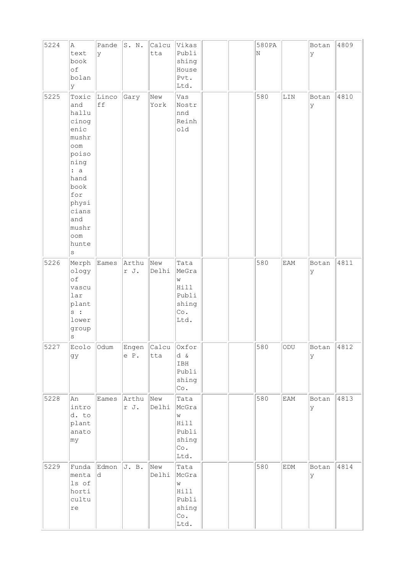| 5224 | Α<br>text<br>book<br>of<br>bolan<br>У                                                                                                                                     | Pande<br>У  | S. N.         | Calcu<br>tta       | Vikas<br>Publi<br>shing<br>House<br>Pvt.<br>Ltd.            | 580PA<br>N |              | Botan<br>У | 4809 |
|------|---------------------------------------------------------------------------------------------------------------------------------------------------------------------------|-------------|---------------|--------------------|-------------------------------------------------------------|------------|--------------|------------|------|
| 5225 | Toxic<br>and<br>hallu<br>cinog<br>enic<br>mushr<br>oom<br>poiso<br>ning<br>: a<br>hand<br>book<br>for<br>physi<br>cians<br>and<br>mushr<br>$\circ$ om<br>hunte<br>$\rm s$ | Linco<br>ff | Gary          | New<br>York        | Vas<br>Nostr<br>nnd<br>Reinh<br>old                         | 580        | $_{\rm LIN}$ | Botan<br>У | 4810 |
| 5226 | Merph<br>ology<br>of<br>vascu<br>lar<br>plant<br>$s$ :<br>lower<br>group<br>$\rm s$                                                                                       | Eames       | Arthu<br>r J. | New<br>Delhi       | Tata<br>MeGra<br>W<br>Hill<br>Publi<br>shing<br>Co.<br>Ltd. | 580        | EAM          | Botan<br>У | 4811 |
| 5227 | Ecolo<br>gy                                                                                                                                                               | Odum        | e P.          | Engen Calcu<br>tta | Oxfor<br>d &<br>IBH<br>Publi<br>shing<br>Co.                | 580        | ODU          | Botan<br>У | 4812 |
| 5228 | An<br>intro<br>d. to<br>plant<br>anato<br>my                                                                                                                              | Eames       | Arthu<br>r J. | New<br>Delhi       | Tata<br>McGra<br>W<br>Hill<br>Publi<br>shing<br>Co.<br>Ltd. | 580        | EAM          | Botan<br>У | 4813 |
| 5229 | Funda<br>menta<br>ls of<br>horti<br>cultu<br>re                                                                                                                           | Edmon<br>d. | J. B.         | New<br>Delhi       | Tata<br>McGra<br>W<br>Hill<br>Publi<br>shing<br>Co.<br>Ltd. | 580        | EDM          | Botan<br>У | 4814 |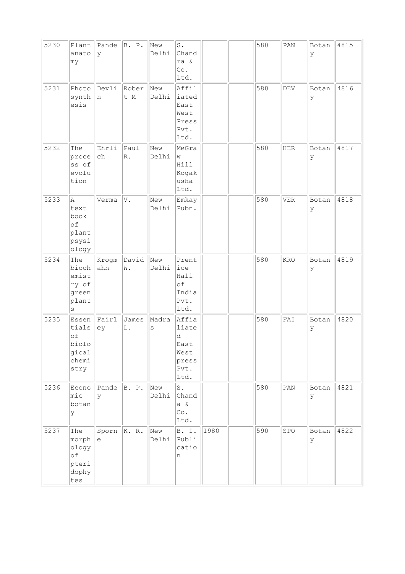| 5230 | Plant<br>anato<br>my                                        | Pande<br>У          | B. P.                      | New<br>Delhi     | $\mathtt{S}$ .<br>Chand<br>ra &<br>Co.<br>Ltd.               |      | 580 | PAN                         | Botan<br>ΙY | 4815 |
|------|-------------------------------------------------------------|---------------------|----------------------------|------------------|--------------------------------------------------------------|------|-----|-----------------------------|-------------|------|
| 5231 | Photo<br>synth<br>esis                                      | Devli<br>n          | Rober<br>t M               | New<br>Delhi     | Affil<br>iated<br>East<br>West<br>Press<br>Pvt.<br>Ltd.      |      | 580 | $\mathop{\rm DEV}\nolimits$ | Botan<br>У  | 4816 |
| 5232 | The<br>proce<br>ss of<br>evolu<br>tion                      | Ehrli<br>${\tt ch}$ | Paul<br>$\mathbb{R}$ .     | New<br>Delhi     | MeGra<br>W<br>Hill<br>Kogak<br>usha<br>Ltd.                  |      | 580 | <b>HER</b>                  | Botan<br>ly | 4817 |
| 5233 | Α<br>text<br>book<br>of<br>plant<br>psysi<br>ology          | Verma               | V.                         | New<br>Delhi     | Emkay<br>Pubn.                                               |      | 580 | <b>VER</b>                  | Botan<br>У  | 4818 |
| 5234 | The<br>bioch<br>emist<br>ry of<br>green<br>plant<br>$\rm s$ | Krogm<br>ahn        | David<br>$\mathbbmss{N}$ . | New<br>Delhi     | Prent<br>ice<br>Hall<br>оf<br>India<br>Pvt.<br>Ltd.          |      | 580 | KRO                         | Botan<br>У  | 4819 |
| 5235 | Essen<br>tials<br>of<br>biolo<br>gical<br>chemi<br>stry     | Fair1<br>ey         | James<br>L.                | Madra<br>$\rm s$ | Affia<br>liate<br>d<br>East<br>West<br>press<br>Pvt.<br>Ltd. |      | 580 | FAI                         | Botan<br>Ιy | 4820 |
| 5236 | Econo<br>mic<br>botan<br>У                                  | Pande<br>У          | B. P.                      | New<br>Delhi     | $S$ .<br>Chand<br>a &<br>Co.<br>Ltd.                         |      | 580 | $\texttt{PAN}$              | Botan<br>У  | 4821 |
| 5237 | The<br>morph<br>ology<br>оf<br>pteri<br>dophy<br>tes        | Sporn<br>e          | $\ K. R.$                  | New<br>Delhi     | B. I.<br>Publi<br>catio<br>n                                 | 1980 | 590 | SPO                         | Botan<br>lУ | 4822 |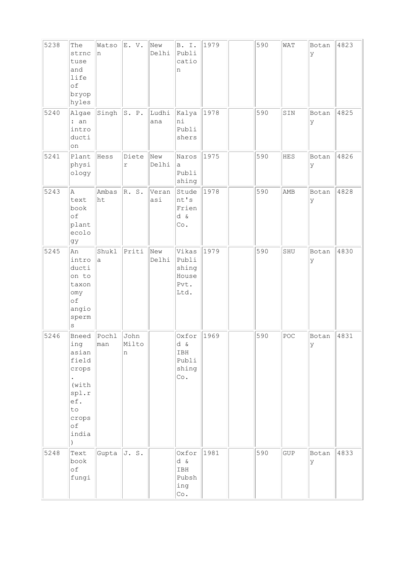| 5238 | The<br>strnc<br>tuse<br>and<br>life<br>of<br>bryop<br>hyles                                     | Watso<br>n       | E.V.                | New<br>Delhi | B. I.<br>Publi<br>catio<br>n                       | 1979 | 590 | WAT         | Botan<br>У | 4823 |
|------|-------------------------------------------------------------------------------------------------|------------------|---------------------|--------------|----------------------------------------------------|------|-----|-------------|------------|------|
| 5240 | Algae<br>: an<br>intro<br>ducti<br>on                                                           | Singh $ S. P.$   |                     | Ludhi<br>ana | Kalya<br>ni<br>Publi<br>shers                      | 1978 | 590 | SIN         | Botan<br>У | 4825 |
| 5241 | Plant<br>physi<br>ology                                                                         | Hess             | Diete<br>$\Upsilon$ | New<br>Delhi | Naros<br>a<br>Publi<br>shing                       | 1975 | 590 | HES         | Botan<br>У | 4826 |
| 5243 | Α<br>text<br>book<br>of<br>plant<br>ecolo<br>gy                                                 | Ambas<br>ht      | R. S.               | Veran<br>asi | Stude<br>nt's<br>Frien<br>d &<br>$\circ$ .         | 1978 | 590 | AMB         | Botan<br>У | 4828 |
| 5245 | An<br>intro<br>ducti<br>on to<br>taxon<br>omy<br>оf<br>angio<br>sperm<br>$\rm s$                | Shukl<br>a       | Priti               | New<br>Delhi | Vikas<br>Publi<br>shing<br>House<br>Pvt.<br>Ltd.   | 1979 | 590 | SHU         | Botan<br>У | 4830 |
| 5246 | Bneed<br>ing<br>asian<br>field<br>crops<br>(with)<br>spl.r<br>ef.<br>to<br>crops<br>оf<br>india | $ $ Pochl<br>man | John<br>Milto<br>n  |              | Oxfor<br>d &<br>IBH<br>Publi<br>shing<br>$\circ$ . | 1969 | 590 | POC         | Botan<br>У | 4831 |
| 5248 | Text<br>book<br>of<br>fungi                                                                     | Gupta $J.S.$     |                     |              | Oxfor<br>d &<br>IBH<br>Pubsh<br>ing<br>Co.         | 1981 | 590 | ${\tt GUP}$ | Botan<br>У | 4833 |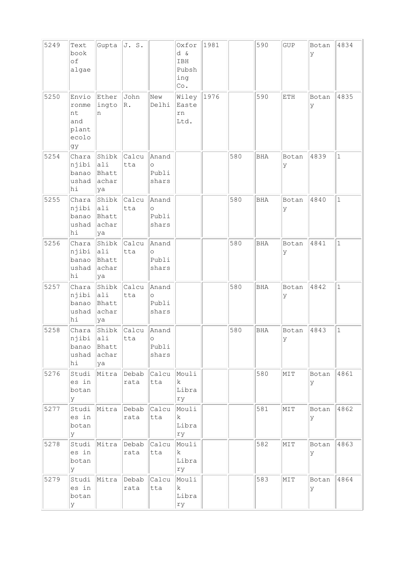| 5249 | Text<br>book<br>of<br>algae                         | $ $ Gupta $ $                                                     | J. S.                 |                                    | Oxfor<br>d &<br>IBH<br>Pubsh<br>ing<br>$\circ$ . | 1981 |     | 590        | GUP        | Botan<br>У  | 4834         |
|------|-----------------------------------------------------|-------------------------------------------------------------------|-----------------------|------------------------------------|--------------------------------------------------|------|-----|------------|------------|-------------|--------------|
| 5250 | Envio<br>ronme<br>nt<br>and<br>plant<br>ecolo<br>gy | Ether<br>ingto<br>n                                               | John<br>$\mathbb R$ . | New<br>Delhi                       | Wiley<br>Easte<br>rn<br>Ltd.                     | 1976 |     | 590        | ETH        | Botan<br>У  | 4835         |
| 5254 | Chara<br>njibi<br>banao<br>ushad<br>hi              | Shibk Calcu<br>$ $ ali<br>Bhatt<br>achar<br>ya                    | tta                   | Anand<br>$\circ$<br>Publi<br>shars |                                                  |      | 580 | BHA        | Botan<br>У | 4839        | $\mathbf{1}$ |
| 5255 | Chara<br>njibi<br>banao<br>ushad<br>hi              | Shibk Calcu<br>$\ $ ali<br>Bhatt<br>achar<br>ya                   | tta                   | Anand<br>$\circ$<br>Publi<br>shars |                                                  |      | 580 | <b>BHA</b> | Botan<br>У | 4840        | $\mathbf 1$  |
| 5256 | Chara<br>njibi<br>banao<br>ushad<br>hi              | $ \text{Shibk}  \text{Calcu} $<br>$ $ ali<br>Bhatt<br>achar<br>ya | tta                   | Anand<br>$\circ$<br>Publi<br>shars |                                                  |      | 580 | <b>BHA</b> | Botan<br>У | 4841        | $\mathbf{1}$ |
| 5257 | Chara<br>njibi<br>banao<br>ushad<br>hi              | Shibk Calcu<br>$ $ ali<br>Bhatt<br>achar<br>ya                    | tta                   | Anand<br>$\circ$<br>Publi<br>shars |                                                  |      | 580 | BHA        | Botan<br>У | 4842        | $\mathbf{1}$ |
| 5258 | Chara<br>njibi<br>banao<br>ushad<br>hi              | Shibk Calcu<br>ali<br>Bhatt<br>achar<br>ya                        | tta                   | Anand<br>$\circ$<br>Publi<br>shars |                                                  |      | 580 | <b>BHA</b> | Botan<br>У | 4843        | $\mathbf{1}$ |
| 5276 | Studi<br>es in<br>botan<br>У                        | Mitra                                                             | Debab<br>rata         | Calcu<br>tta                       | Mouli<br>k.<br>Libra<br>rу                       |      |     | 580        | MIT        | Botan<br>lУ | 4861         |
| 5277 | Studi<br>es in<br>botan<br>У                        | Mitra                                                             | Debab<br>rata         | Calcu<br>tta                       | Mouli<br>$\mathbf k$<br>Libra<br>rу              |      |     | 581        | MIT        | Botan<br>У  | 4862         |
| 5278 | Studi<br>es in<br>botan<br>У                        | Mitra                                                             | Debab<br>rata         | Calcu<br>tta                       | Mouli<br>$\mathbf{k}$<br>Libra<br>rу             |      |     | 582        | MIT        | Botan<br>ΙY | 4863         |
| 5279 | Studi<br>es in<br>botan<br>У                        | Mitra                                                             | Debab<br>rata         | Calcu<br>tta                       | Mouli<br>$\mathbf{k}$<br>Libra<br>ry             |      |     | 583        | MIT        | Botan<br>ΙY | 4864         |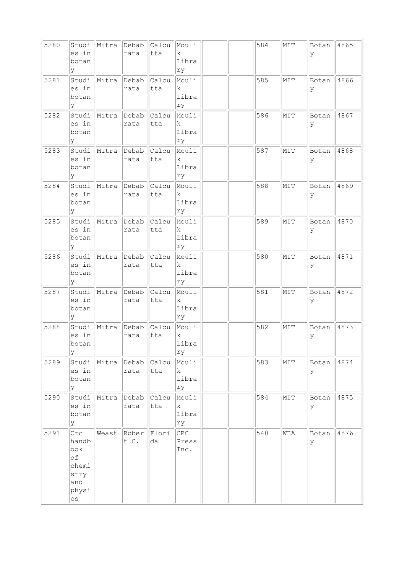| 5280 | Studi<br>es in<br>botan<br>У                                                | Mitra | Debab<br>rata             | Calcu<br>tta | Mouli<br>$\mathbf k$<br>Libra<br>ry  |  | 584 | MIT | Botan<br>У | 4865 |
|------|-----------------------------------------------------------------------------|-------|---------------------------|--------------|--------------------------------------|--|-----|-----|------------|------|
| 5281 | Studi<br>es in<br>botan<br>У                                                | Mitra | Debab<br>rata             | Calcu<br>tta | Mouli<br>k.<br>Libra<br>ry           |  | 585 | MIT | Botan<br>У | 4866 |
| 5282 | Studi<br>es in<br>botan<br>У                                                | Mitra | Debab<br>rata             | Calcu<br>tta | Mouli<br>$\mathbf{k}$<br>Libra<br>ry |  | 586 | MIT | Botan<br>У | 4867 |
| 5283 | Studi<br>es in<br>botan<br>У                                                | Mitra | Debab<br>rata             | Calcu<br>tta | Mouli<br>$\mathbf k$<br>Libra<br>rу  |  | 587 | MIT | Botan<br>У | 4868 |
| 5284 | Studi<br>es in<br>botan<br>У                                                | Mitra | Debab<br>rata             | Calcu<br>tta | Mouli<br>$\mathbf k$<br>Libra<br>ry  |  | 588 | MIT | Botan<br>У | 4869 |
| 5285 | Studi<br>es in<br>botan<br>У                                                | Mitra | Debab<br>rata             | Calcu<br>tta | Mouli<br>k.<br>Libra<br>ry           |  | 589 | MIT | Botan<br>У | 4870 |
| 5286 | Studi<br>es in<br>botan<br>У                                                | Mitra | Debab<br>rata             | Calcu<br>tta | Mouli<br>$\mathbf k$<br>Libra<br>ry  |  | 580 | MIT | Botan<br>У | 4871 |
| 5287 | Studi<br>es in<br>botan<br>У                                                | Mitra | Debab<br>rata             | Calcu<br>tta | Mouli<br>$\mathbf{k}$<br>Libra<br>rу |  | 581 | MIT | Botan<br>У | 4872 |
| 5288 | Studi<br>es in<br>botan<br>У                                                | Mitra | Debab<br>rata             | Calcu<br>tta | Mouli<br>$\mathbf k$<br>Libra<br>ry  |  | 582 | MIT | Botan<br>У | 4873 |
| 5289 | Studi<br>es in<br>botan<br>У                                                | Mitra | Debab<br>rata             | Calcu<br>tta | Mouli<br>k<br>Libra<br>ry            |  | 583 | NIT | Botan<br>У | 4874 |
| 5290 | Studi<br>es in<br>botan<br>У                                                | Mitra | Debab<br>rata             | Calcu<br>tta | Mouli<br>$\mathbf{k}$<br>Libra<br>ry |  | 584 | MIT | Botan<br>У | 4875 |
| 5291 | Crc<br>handb<br>ook<br>of<br>chemi<br>stry<br>and<br>physi<br>$\mathtt{CS}$ |       | Weast Rober Flori<br>t C. | da           | CRC<br>Press<br>Inc.                 |  | 540 | WEA | Botan<br>У | 4876 |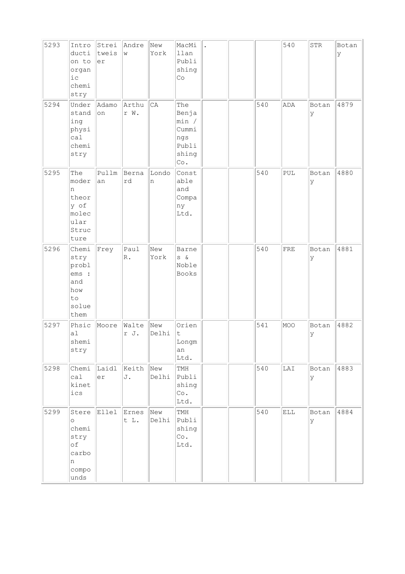| 5293 | Intro<br>ducti<br>on to<br>organ<br>i c<br>chemi<br>stry               | Strei<br>tweis<br>er | Andre<br>W            | New<br>York  | MacMi<br>llan<br>Publi<br>shing<br>Co                                          |  |     | 540         | ${\tt STR}$ | Botan<br>У |
|------|------------------------------------------------------------------------|----------------------|-----------------------|--------------|--------------------------------------------------------------------------------|--|-----|-------------|-------------|------------|
| 5294 | Under<br>stand<br>ing<br>physi<br>ca1<br>chemi<br>stry                 | Adamo<br>on          | Arthu<br>r W.         | CA           | The<br>Benja<br>min /<br>Cummi<br>ngs<br>Publi<br>shing<br>$\mathbb{C}\circ$ . |  | 540 | ADA         | Botan<br>У  | 4879       |
| 5295 | The<br>moder<br>n<br>theor<br>y of<br>molec<br>ular<br>Struc<br>ture   | Pullm<br>an          | Berna<br>rd           | Londo<br>n   | Const<br>able<br>and<br>Compa<br>ny<br>Ltd.                                    |  | 540 | ${\tt PUL}$ | Botan<br>У  | 4880       |
| 5296 | Chemi<br>stry<br>probl<br>ems :<br>and<br>how<br>to<br>solue<br>them   | Frey                 | Paul<br>$\mathbb R$ . | New<br>York  | <b>Barne</b><br>$S \delta$<br>Noble<br>Books                                   |  | 540 | FRE         | Botan<br>У  | 4881       |
| 5297 | Phsic<br>a1<br>shemi<br>stry                                           | Moore                | Walte<br>r J.         | New<br>Delhi | Orien<br>t<br>Longm<br>an<br>Ltd.                                              |  | 541 | MOO         | Botan<br>У  | 4882       |
| 5298 | Chemi<br>cal<br>kinet<br>ics                                           | Laidl<br>er          | Keith<br>J.           | New<br>Delhi | TMH<br>Publi<br>shing<br>Co.<br>Ltd.                                           |  | 540 | LAI         | Botan<br>Y  | 4883       |
| 5299 | Stere<br>$\circ$<br>chemi<br>stry<br>of<br>carbo<br>n<br>compo<br>unds | Ellel                | Ernes<br>t L.         | New<br>Delhi | TMH<br>Publi<br>shing<br>Co.<br>Ltd.                                           |  | 540 | ELL         | Botan<br>lУ | 4884       |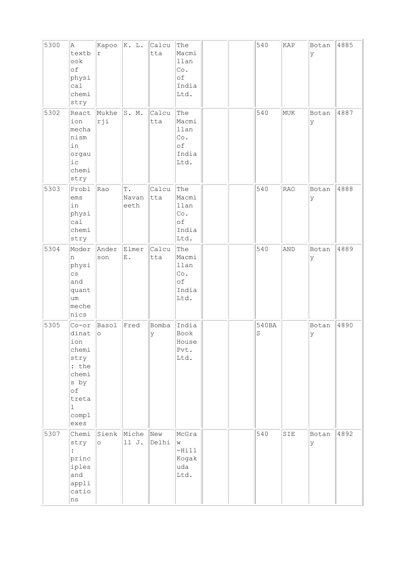| 5300 | A<br>textb<br>ook<br>of<br>physi<br>ca1<br>chemi<br>stry                                                             | Kapoo<br>$\Upsilon$ | K. L.                          | Calcu<br>tta | The<br>Macmi<br>llan<br>Co.<br>оf<br>India<br>Ltd.       |  | 540        | KAP        | Botan<br>У | 4885 |
|------|----------------------------------------------------------------------------------------------------------------------|---------------------|--------------------------------|--------------|----------------------------------------------------------|--|------------|------------|------------|------|
| 5302 | React<br>ion<br>mecha<br>nism<br>in<br>orgau<br>$i$ с<br>chemi<br>stry                                               | Mukhe<br>rji        | S. M.                          | Calcu<br>tta | The<br>Macmi<br>llan<br>$\circ$ .<br>оf<br>India<br>Ltd. |  | 540        | MUK        | Botan<br>У | 4887 |
| 5303 | Probl<br>ems<br>in<br>physi<br>ca1<br>chemi<br>stry                                                                  | Rao                 | $\mathbb T$ .<br>Navan<br>eeth | Calcu<br>tta | The<br>Macmi<br>llan<br>Co.<br>of<br>India<br>Ltd.       |  | 540        | <b>RAO</b> | Botan<br>У | 4888 |
| 5304 | Moder<br>n<br>physi<br>$\overline{c}$ s<br>and<br>quant<br>um<br>meche<br>nics                                       | Ander<br>son        | Elmer<br>${\bf E}$ .           | Calcu<br>tta | The<br>Macmi<br>llan<br>Co.<br>оf<br>India<br>Ltd.       |  | 540        | AND        | Botan<br>У | 4889 |
| 5305 | Cor<br>dinat<br>ion<br>chemi<br>stry<br>: the<br>chemi<br>s by<br>$\circ f$<br>treta<br>$\mathbf 1$<br>compl<br>exes | Basol<br>$\circ$    | Fred                           | Bomba<br>У   | India<br>Book<br>House<br>Pvt.<br>Ltd.                   |  | 540BA<br>S |            | Botan<br>У | 4890 |
| 5307 | Chemi<br>stry<br>$\ddot{\cdot}$<br>princ<br>iples<br>and<br>appli<br>catio<br>ns                                     | $\circ$             | Sienk Miche<br>11 J.           | New<br>Delhi | McGra<br>W<br>$-Hill$<br>Kogak<br>uda<br>Ltd.            |  | 540        | SIE        | Botan<br>Y | 4892 |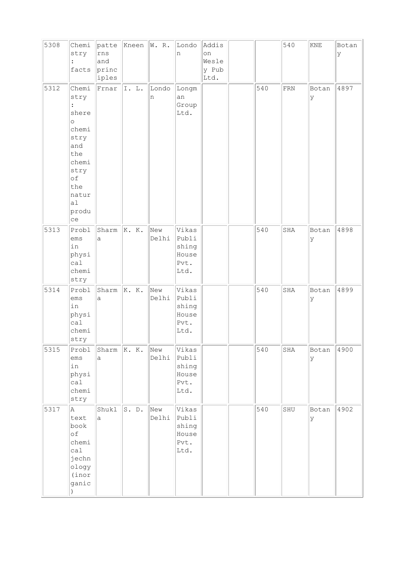| 5308 | Chemi<br>stry<br>$\ddot{\cdot}$<br>facts                                                                                                       | patte<br>rns<br>and<br>princ<br>iples | Kneen | W. R.        | Londo<br>n                                       | Addis<br>on<br>Wesle<br>y Pub<br>Ltd. |     | 540         | $\ensuremath{\mathrm{KNE}}$ | Botan<br>У |
|------|------------------------------------------------------------------------------------------------------------------------------------------------|---------------------------------------|-------|--------------|--------------------------------------------------|---------------------------------------|-----|-------------|-----------------------------|------------|
| 5312 | Chemi<br>stry<br>$\ddot{\cdot}$<br>shere<br>$\circ$<br>chemi<br>stry<br>and<br>the<br>chemi<br>stry<br>of<br>the<br>natur<br>a1<br>produ<br>ce | Frnar                                 | I.L.  | Londo<br>n   | Longm<br>an<br>Group<br>Ltd.                     |                                       | 540 | ${\rm FRN}$ | Botan<br>У                  | 4897       |
| 5313 | Probl<br>ems<br>in<br>physi<br>cal<br>chemi<br>stry                                                                                            | Sharm<br>a                            | K. K. | New<br>Delhi | Vikas<br>Publi<br>shing<br>House<br>Pvt.<br>Ltd. |                                       | 540 | SHA         | Botan<br>У                  | 4898       |
| 5314 | Probl<br>ems<br>in<br>physi<br>cal<br>chemi<br>stry                                                                                            | Sharm<br>a                            | K. K. | New<br>Delhi | Vikas<br>Publi<br>shing<br>House<br>Pvt.<br>Ltd. |                                       | 540 | SHA         | Botan<br>У                  | 4899       |
| 5315 | Probl<br>ems<br>in<br>physi<br>calal<br>chemi<br>stry                                                                                          | Sharm<br>а                            | K. K. | New<br>Delhi | Vikas<br>Publi<br>shing<br>House<br>Pvt.<br>Ltd. |                                       | 540 | SHA         | Botan<br>У                  | 4900       |
| 5317 | Α<br>text<br>book<br>of<br>chemi<br>calal<br>jechn<br>ology<br>(inor<br>ganic                                                                  | Shukl<br>$\mathsf{a}$                 | S. D. | New<br>Delhi | Vikas<br>Publi<br>shing<br>House<br>Pvt.<br>Ltd. |                                       | 540 | SHU         | Botan<br>У                  | 4902       |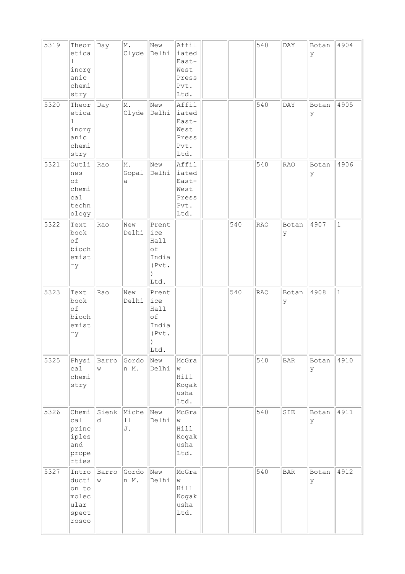| 5319 | Theor<br>etica<br>ı<br>inorg<br>anic<br>chemi<br>stry           | Day        | M.<br>Clyde       | New<br>Delhi                                         | Affil<br>iated<br>East-<br>West<br>Press<br>Pvt.<br>Ltd. |     | 540        | DAY         | Botan<br>У  | 4904         |
|------|-----------------------------------------------------------------|------------|-------------------|------------------------------------------------------|----------------------------------------------------------|-----|------------|-------------|-------------|--------------|
| 5320 | Theor<br>etica<br>$\mathbf 1$<br>inorg<br>anic<br>chemi<br>stry | Day        | M.<br>Clyde       | New<br>Delhi                                         | Affil<br>iated<br>East-<br>West<br>Press<br>Pvt.<br>Ltd. |     | 540        | <b>DAY</b>  | Botan<br>У  | 4905         |
| 5321 | Outli<br>nes<br>of<br>chemi<br>ca1<br>techn<br>ology            | Rao        | M.<br>Gopal<br>а  | New<br>Delhi                                         | Affil<br>iated<br>East-<br>West<br>Press<br>Pvt.<br>Ltd. |     | 540        | RAO         | Botan<br>lУ | 4906         |
| 5322 | Text<br>book<br>of<br>bioch<br>emist<br>ry                      | Rao        | New<br>Delhi      | Prent<br>ice<br>Hall<br>of<br>India<br>(Pvt.<br>Ltd. |                                                          | 540 | <b>RAO</b> | Botan<br>У  | 4907        | $\mathbf{1}$ |
| 5323 | Text<br>book<br>of<br>bioch<br>emist<br>ry                      | Rao        | New<br>Delhi      | Prent<br>ice<br>Hall<br>of<br>India<br>(Pvt.<br>Ltd. |                                                          | 540 | <b>RAO</b> | Botan<br>ly | 4908        | $\mathbf 1$  |
| 5325 | Physi<br>cal<br>chemi<br>stry                                   | Barro<br>W | Gordo<br>n M.     | New<br>Delhi                                         | McGra<br>W<br>Hill<br>Kogak<br>usha<br>Ltd.              |     | 540        | $\rm BAR$   | Botan<br>У  | 4910         |
| 5326 | Chemi<br>ca1<br>princ<br>iples<br>and<br>prope<br>rties         | Sienk<br>d | Miche<br>11<br>J. | New<br>Delhi                                         | McGra<br>W<br>Hill<br>Kogak<br>usha<br>Ltd.              |     | 540        | SIE         | Botan<br>У  | 4911         |
| 5327 | Intro<br>ducti<br>on to<br>molec<br>ular<br>spect<br>rosco      | Barro<br>W | Gordo<br>n M.     | New<br>Delhi                                         | McGra<br>W<br>Hill<br>Kogak<br>usha<br>Ltd.              |     | 540        | <b>BAR</b>  | Botan<br>У  | 4912         |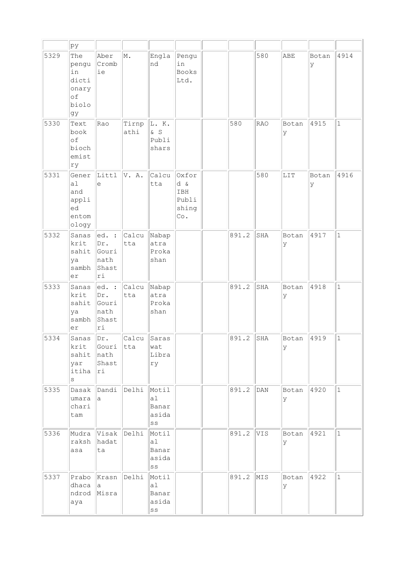|      | þу                                                        |                                                                      |               |                                                           |                                              |       |            |             |            |              |
|------|-----------------------------------------------------------|----------------------------------------------------------------------|---------------|-----------------------------------------------------------|----------------------------------------------|-------|------------|-------------|------------|--------------|
| 5329 | The<br>pengu<br>in<br>dicti<br>onary<br>of<br>biolo<br>gy | Aber<br>Cromb<br>ie                                                  | M.            | Engla<br>nd                                               | Pengu<br>in<br><b>Books</b><br>Ltd.          |       | 580        | ABE         | Botan<br>У | 4914         |
| 5330 | Text<br>book<br>of<br>bioch<br>emist<br>ry                | Rao                                                                  | Tirnp<br>athi | L. K.<br>$\delta$ S<br>Publi<br>shars                     |                                              | 580   | <b>RAO</b> | Botan<br>У  | 4915       | $\mathbf 1$  |
| 5331 | Gener<br>a1<br>and<br>appli<br>ed<br>entom<br>ology       | Littl<br>e                                                           | V. A.         | Calcu<br>tta                                              | Oxfor<br>d &<br>IBH<br>Publi<br>shing<br>Co. |       | 580        | LIT         | Botan<br>У | 4916         |
| 5332 | Sanas<br>krit<br>sahit<br>ya<br>sambh<br>er               | ed.<br>$\ddot{\phantom{1}}$ :<br>Dr.<br>Gouri<br>nath<br>Shast<br>ri | Calcu<br>tta  | Nabap<br>atra<br>Proka<br>shan                            |                                              | 891.2 | SHA        | Botan<br>У  | 4917       | $\mathbf{1}$ |
| 5333 | Sanas<br>krit<br>sahit<br>ya<br>sambh<br>er               | ed. :<br>Dr.<br>Gouri<br>nath<br>Shast<br>ri                         | Calcu<br>tta  | Nabap<br>atra<br>Proka<br>shan                            |                                              | 891.2 | SHA        | Botan<br>У  | 4918       | $\mathbf{1}$ |
| 5334 | Sanas<br>krit<br>sahit<br>yar<br>itiha<br>$\rm s$         | Dr.<br>Gouri<br>nath<br>Shast<br>ri                                  | Calcu<br>tta  | Saras<br>wat<br>Libra<br>ry                               |                                              | 891.2 | SHA        | Botan<br>У  | 4919       | $\mathbf{1}$ |
| 5335 | Dasak<br>umara<br>chari<br>tam                            | Dandi<br>а                                                           | Delhi         | Motil<br>a1<br>Banar<br>asida<br>$\mathbf{S}\,\mathbf{S}$ |                                              | 891.2 | DAN        | Botan<br>lУ | 4920       | $\mathbf{1}$ |
| 5336 | Mudra<br>raksh<br>asa                                     | Visak<br>hadat<br>ta                                                 | Delhi         | Motil<br>a1<br>Banar<br>asida<br>$_{\rm SS}$              |                                              | 891.2 | VIS        | Botan<br>У  | 4921       | $\mathbf 1$  |
| 5337 | Prabo<br>dhaca<br>ndrod<br>aya                            | Krasn<br>а<br>Misra                                                  | Delhi         | Motil<br>a1<br>Banar<br>asida<br>$\mathbb{S}\,\mathbb{S}$ |                                              | 891.2 | MIS        | Botan<br>lУ | 4922       | $\mathbf{1}$ |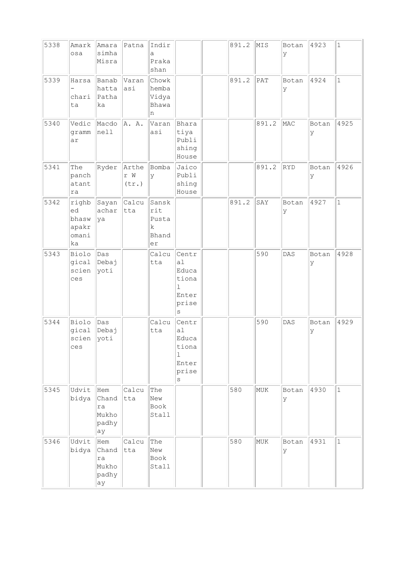| 5338 | Amark<br>osa                                 | Amara<br>simha<br>Misra                    | Patna                            | Indir<br>a<br>Praka<br>shan                     |                                                           | 891.2 | MIS   | Botan<br>У | 4923       | $\mathbf{1}$ |
|------|----------------------------------------------|--------------------------------------------|----------------------------------|-------------------------------------------------|-----------------------------------------------------------|-------|-------|------------|------------|--------------|
| 5339 | Harsa<br>chari<br>ta                         | Banab<br>hatta<br>Patha<br>ka              | Varan<br>asi                     | Chowk<br>hemba<br>Vidya<br>Bhawa<br>n           |                                                           | 891.2 | PAT   | Botan<br>У | 4924       | $\mathbf{1}$ |
| 5340 | Vedic<br>gramm<br>ar                         | Macdo<br>nell                              | A. A.                            | Varan<br>asi                                    | Bhara<br>tiya<br>Publi<br>shing<br>House                  |       | 891.2 | MAC        | Botan<br>У | 4925         |
| 5341 | The<br>panch<br>atant<br>ra                  | Ryder                                      | Arthe<br>r W<br>$(\texttt{tr.})$ | Bomba<br>У                                      | Jaico<br>Publi<br>shing<br>House                          |       | 891.2 | RYD        | Botan<br>У | 4926         |
| 5342 | righb<br>ed<br>bhasw<br>apakr<br>omani<br>ka | Sayan<br>achar<br> ya                      | Calcu<br>tta                     | Sansk<br>rit<br>Pusta<br>$\rm k$<br>Bhand<br>er |                                                           | 891.2 | SAY   | Botan<br>У | 4927       | $\mathbf{1}$ |
| 5343 | Biolo<br>gical<br>scien<br>ces               | Das<br>Debaj<br>yoti                       |                                  | Calcu<br>tta                                    | Centr<br>a1<br>Educa<br>tiona<br>ı<br>Enter<br>prise<br>S |       | 590   | DAS        | Botan<br>У | 4928         |
| 5344 | Biolo<br>gical<br>scien<br>ces               | $\vert$ Das<br>Debaj<br>yoti               |                                  | Calcu<br>tta                                    | Centr<br>a1<br>Educa<br>tiona<br>1<br>Enter<br>prise<br>S |       | 590   | DAS        | Botan<br>У | 4929         |
| 5345 | Udvit<br>bidya                               | Hem<br>Chand<br>ra<br>Mukho<br>padhy<br>ay | Calcu<br>tta                     | The<br>New<br>Book<br>Stall                     |                                                           | 580   | MUK   | Botan<br>У | 4930       | $\mathbf{1}$ |
| 5346 | Udvit<br>bidya                               | Hem<br>Chand<br>ra<br>Mukho<br>padhy<br>ау | Calcu<br>tta                     | The<br>New<br>Book<br>Stall                     |                                                           | 580   | MUK   | Botan<br>У | 4931       | $\mathbf{1}$ |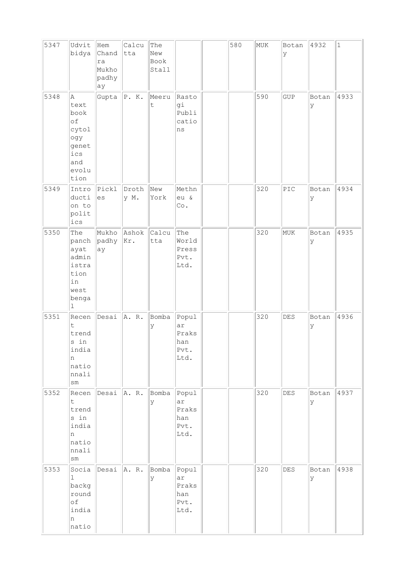| 5347 | Udvit<br>bidya                                                                  | Hem<br>Chand<br>ra<br>Mukho<br>padhy<br>ay | Calcu<br>tta  | The<br>New<br>Book<br>Stall |                                             | 580 | MUK | Botan<br>У                | 4932       | $\mathbf{1}$ |
|------|---------------------------------------------------------------------------------|--------------------------------------------|---------------|-----------------------------|---------------------------------------------|-----|-----|---------------------------|------------|--------------|
| 5348 | A<br>text<br>book<br>of<br>cytol<br>ogy<br>genet<br>ics<br>and<br>evolu<br>tion | Gupta                                      | P. K.         | Meeru<br>t                  | Rasto<br>gi<br>Publi<br>catio<br>ns         |     | 590 | <b>GUP</b>                | Botan<br>У | 4933         |
| 5349 | Intro<br>ducti<br>on to<br>polit<br>ics                                         | Pickl<br>es                                | Droth<br>y M. | New<br>York                 | Methn<br>eu &<br>Co.                        |     | 320 | $\ensuremath{\text{PIC}}$ | Botan<br>У | 4934         |
| 5350 | The<br>panch<br>ayat<br>admin<br>istra<br>tion<br>in<br>west<br>benga<br>ı      | Mukho<br>padhy<br>ay                       | Ashok<br>Kr.  | Calcu<br>tta                | The<br>World<br>Press<br>Pvt.<br>Ltd.       |     | 320 | MUK                       | Botan<br>У | 4935         |
| 5351 | Recen<br>t<br>trend<br>s in<br>india<br>n<br>natio<br>nnali<br>$\texttt{sm}$    | Desai                                      | A. R.         | Bomba<br>У                  | Popul<br>ar<br>Praks<br>han<br>Pvt.<br>Ltd. |     | 320 | <b>DES</b>                | Botan<br>У | 4936         |
| 5352 | Recen<br>t.<br>trend<br>s in<br>india<br>n<br>natio<br>nnali<br>$\texttt{sm}$   | Desai $ A. R.$                             |               | Bomba<br>У                  | Popul<br>ar<br>Praks<br>han<br>Pvt.<br>Ltd. |     | 320 | $\mathtt{DES}$            | Botan<br>У | 4937         |
| 5353 | Socia<br>1<br>backg<br>round<br>of<br>india<br>n<br>natio                       | Desai                                      | A. R.         | Bomba<br>У                  | Popul<br>ar<br>Praks<br>han<br>Pvt.<br>Ltd. |     | 320 | DES                       | Botan<br>У | 4938         |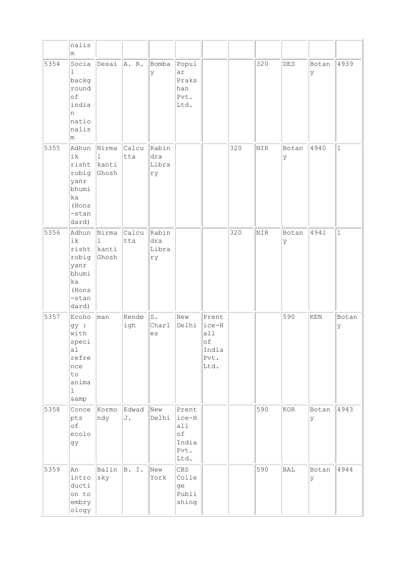|      | nalis<br>m                                                                              |                                         |                    |                             |                                                       |                                                      |     |     |             |             |              |
|------|-----------------------------------------------------------------------------------------|-----------------------------------------|--------------------|-----------------------------|-------------------------------------------------------|------------------------------------------------------|-----|-----|-------------|-------------|--------------|
| 5354 | Socia<br>$\mathbf{1}$<br>backg<br>round<br>of<br>india<br>n<br>natio<br>nalis<br>m      | Desai                                   | A. R.              | Bomba<br>У                  | Popul<br>ar<br>Praks<br>han<br>Pvt.<br>Ltd.           |                                                      |     | 320 | DES         | Botan<br>ly | 4939         |
| 5355 | Adhun<br>ik<br>risht<br>robig<br>yanr<br>bhumi<br>ka<br>(Hons<br>-stan<br>dard)         | Nirma<br>$\mathbf{1}$<br>kanti<br>Ghosh | Calcu Rabin<br>tta | dra<br>Libra<br>ry          |                                                       |                                                      | 320 | NIR | Botan<br>ΙY | 4940        | $\vert$ 1    |
| 5356 | Adhun<br>ik<br>risht<br>robig<br>yanr<br>bhumi<br>ka<br>(Hons<br>-stan<br>dard)         | Nirma<br>$\mathbf 1$<br>kanti<br>Ghosh  | Calcu<br>tta       | Rabin<br>dra<br>Libra<br>ry |                                                       |                                                      | 320 | NIR | Botan<br>ΙY | 4941        | $\mathbf{1}$ |
| 5357 | Ecoho<br>gy :<br>with<br>speci<br>a1<br>refre<br>nce<br>to<br>anima<br>$\mathbf 1$<br>& | man                                     | Kende<br>igh       | s.<br>Charl<br>es           | New<br>Delhi                                          | Prent<br>ice-H<br>all<br>of<br>India<br>Pvt.<br>Ltd. |     |     | 590         | KEN         | Botan<br>У   |
| 5358 | Conce<br>pts<br>of<br>ecolo<br>gу                                                       | Kormo<br>ndy                            | Edwad<br>J.        | New<br>Delhi                | Prent<br> ice-H<br>all<br>of<br>India<br>Pvt.<br>Ltd. |                                                      |     | 590 | KOR         | Botan<br>lУ | 4943         |
| 5359 | An<br>intro<br>ducti<br>on to<br>embry<br>ology                                         | Balin<br>sky                            | B. I.              | New<br>York                 | <b>CBS</b><br>Colle<br>ge<br>Publi<br>shing           |                                                      |     | 590 | BAL         | Botan<br>У  | 4944         |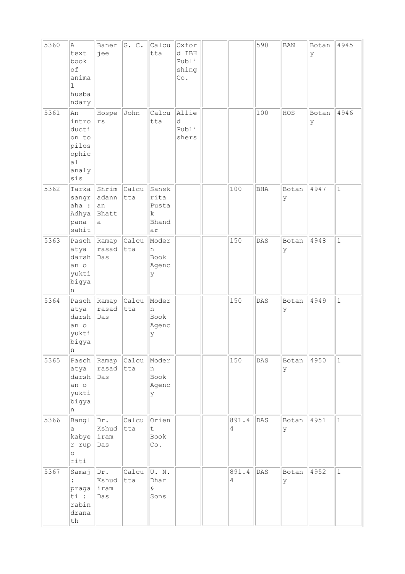| 5360 | A<br>text<br>book<br>of<br>anima<br>1<br>husba<br>ndary                | Baner<br>jee                            | G. C.                     | Calcu<br>tta                               | Oxfor<br>d IBH<br>Publi<br>shing<br>Co. |            | 590 | <b>BAN</b> | Botan<br>У | 4945         |
|------|------------------------------------------------------------------------|-----------------------------------------|---------------------------|--------------------------------------------|-----------------------------------------|------------|-----|------------|------------|--------------|
| 5361 | An<br>intro<br>ducti<br>on to<br>pilos<br>ophic<br>a1<br>analy<br>sis  | Hospe<br>rs                             | John                      | Calcu<br>tta                               | Allie<br>d<br>Publi<br>shers            |            | 100 | HOS        | Botan<br>У | 4946         |
| 5362 | Tarka<br>sangr<br>aha :<br>Adhya<br>pana<br>sahit                      | Shrim<br>adann<br>an<br>Bhatt<br>a      | Calcu<br>tta              | Sansk<br>rita<br>Pusta<br>k<br>Bhand<br>ar |                                         | 100        | BHA | Botan<br>У | 4947       | $\mathbf{1}$ |
| 5363 | Pasch<br>atya<br>darsh<br>an o<br>yukti<br>bigya<br>n                  | rasad<br>Das                            | Ramap <i>Calcu</i><br>tta | Moder<br>n<br>Book<br>Agenc<br>У           |                                         | 150        | DAS | Botan<br>У | 4948       | $\mathbf{1}$ |
| 5364 | Pasch<br>atya<br>darsh<br>an o<br>yukti<br>bigya<br>n                  | Ramap<br>rasad<br>Das                   | Calcu<br>tta              | Moder<br>n<br>Book<br>Agenc<br>У           |                                         | 150        | DAS | Botan<br>У | 4949       | $\mathbf{1}$ |
| 5365 | Pasch<br>atya<br>darsh<br>an o<br>yukti<br>bigya<br>n                  | Ramap Calcu<br>rasad tta<br>$\vert$ Das |                           | Moder<br>n<br>Book<br>Agenc<br>У           |                                         | 150        | DAS | Botan<br>У | 4950       | $\mathbf 1$  |
| 5366 | Bangl<br>а<br>kabye iram<br>r rup<br>$\circ$<br>riti                   | Dr.<br>Kshud<br>Das                     | Calcu<br>tta              | Orien<br>t<br>Book<br>Co.                  |                                         | 891.4<br>4 | DAS | Botan<br>У | 4951       | $\mathbf{1}$ |
| 5367 | Samaj<br>$\ddot{\phantom{a}}$<br>praga<br>ti :<br>rabin<br>drana<br>th | Dr.<br>Kshud<br>liram<br>Das            | Calcu<br> tta             | U. N.<br>Dhar<br>$\delta$<br>Sons          |                                         | 891.4<br>4 | DAS | Botan<br>У | 4952       | $\mathbf{1}$ |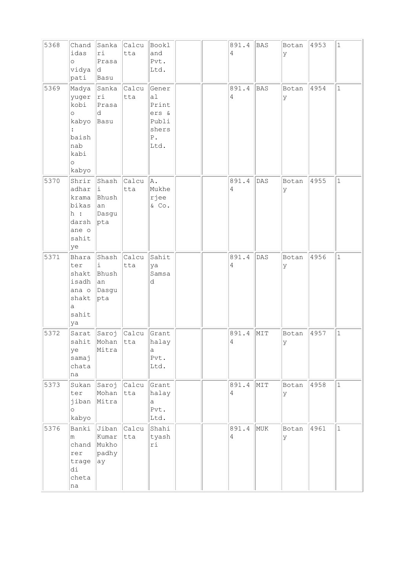| 5368 | Chand<br>idas<br>$\circ$<br>vidya<br>pati                                              | Sanka<br>ri<br>Prasa<br>ld.<br>Basu           | Calcu<br>tta  | Bookl<br>and<br>Pvt.<br>Ltd.                                           |  | 891.4<br>4              | <b>BAS</b> | Botan<br>У  | 4953 | $1\,$        |
|------|----------------------------------------------------------------------------------------|-----------------------------------------------|---------------|------------------------------------------------------------------------|--|-------------------------|------------|-------------|------|--------------|
| 5369 | Madya<br>yuger<br>kobi<br>$\circ$<br>kabyo<br>baish<br>nab<br>kabi<br>$\circ$<br>kabyo | Sanka<br> r1<br>Prasa<br>d<br>Basu            | Calcu<br>tta  | Gener<br>a1<br>Print<br>ers &<br>Publi<br>shers<br>${\bf P}$ .<br>Ltd. |  | 891.4<br>4              | <b>BAS</b> | Botan<br>У  | 4954 | $\mathbf 1$  |
| 5370 | Shrir<br>adhar<br>krama<br>bikas<br>h:<br>darsh<br>ane o<br>sahit<br>ye                | Shash<br>i<br>Bhush<br> an<br>Dasgu<br> pta   | Calcu<br>tta  | A.<br>Mukhe<br>rjee<br>$\&$ Co.                                        |  | 891.4<br>4              | DAS        | Botan<br>У  | 4955 | $\mathbf{1}$ |
| 5371 | Bhara<br>ter<br>shakt<br>isadh<br>ana o<br>shakt<br>a<br>sahit<br>ya                   | Shash<br>i<br>Bhush<br>an<br>Dasgu<br> pta    | Calcu<br>tta  | Sahit<br>ya<br>Samsa<br>d                                              |  | 891.4<br>4              | DAS        | Botan<br>У  | 4956 | $\mathbf{1}$ |
| 5372 | ye<br>samaj<br>chata<br>na                                                             | Sarat Saroj Calcu<br>sahit Mohan tta<br>Mitra |               | Grant<br>halay<br>$\mbox{a}$<br>Pvt.<br>Ltd.                           |  | 891.4<br>$\overline{4}$ | MIT        | Botan<br>ΙY | 4957 | $\mathbf{1}$ |
| 5373 | Sukan<br>ter<br>jiban<br>$\circ$<br>kabyo                                              | Saroj<br>Mohan<br>Mitra                       | Calcu<br> tta | Grant<br>halay<br>$\mathsf{a}$<br>Pvt.<br>Ltd.                         |  | 891.4<br>$\overline{4}$ | MIT        | Botan<br>У  | 4958 | $\mathbf{1}$ |
| 5376 | Banki<br>m<br>chand<br>rer<br>trage<br>di<br>cheta<br>na                               | Jiban<br>Kumar<br>Mukho<br>padhy<br> ay       | Calcu<br>tta  | Shahi<br>tyash<br>ri                                                   |  | 891.4<br>$\overline{4}$ | MUK        | Botan<br>У  | 4961 | $\mathbf{1}$ |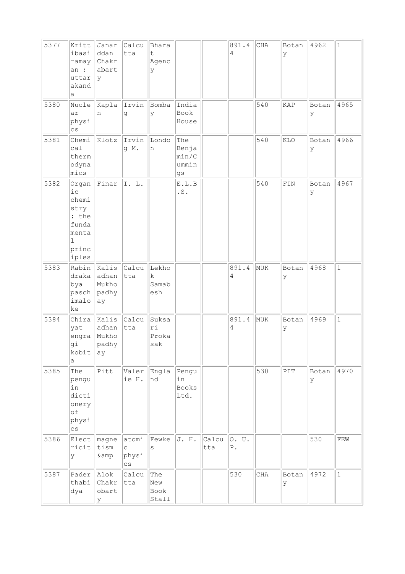| 5377 | Kritt<br>ibasi<br>ramay<br>an :<br>uttar<br>akand<br>а                          | Janar<br>ddan<br>Chakr<br>abart<br> y        | Calcu<br>tta                                                | Bhara<br>t<br>Agenc<br>У    |                                      |              | 891.4<br>$\overline{4}$ | CHA | Botan<br>У     | 4962        | $1\,$        |
|------|---------------------------------------------------------------------------------|----------------------------------------------|-------------------------------------------------------------|-----------------------------|--------------------------------------|--------------|-------------------------|-----|----------------|-------------|--------------|
| 5380 | Nucle<br>ar<br>physi<br>$\mathbb{C}\, \mathbb{S}$                               | n                                            | Kapla Irvin<br>g                                            | Bomba<br>У                  | India<br>Book<br>House               |              |                         | 540 | <b>KAP</b>     | Botan<br>У  | 4965         |
| 5381 | Chemi<br>ca1<br>therm<br>odyna<br>mics                                          | Klotz                                        | Irvin<br>g M.                                               | Londo<br>n                  | The<br>Benja<br>min/C<br>ummin<br>gs |              |                         | 540 | KLO            | Botan<br>ly | 4966         |
| 5382 | Organ<br>i c<br>chemi<br>stry<br>: the<br>funda<br>menta<br>1<br>princ<br>iples | Finar                                        | I. L.                                                       |                             | ${\tt E.L.B}$<br>.S.                 |              |                         | 540 | ${\tt FIN}$    | Botan<br>У  | 4967         |
| 5383 | Rabin<br>draka<br>bya<br>pasch<br>imalo<br>ke                                   | Kalis<br>adhan<br>Mukho<br>padhy<br>ay       | Calcu<br>tta                                                | Lekho<br>k<br>Samab<br>esh  |                                      |              | 891.4<br>4              | MUK | Botan<br>У     | 4968        | $\mathbf{1}$ |
| 5384 | Chira<br>yat<br>engra<br>gi<br>kobit<br>a                                       | Kalis Calcu<br>adhan<br>Mukho<br>padhy<br>ay | tta                                                         | Suksa<br>ri<br>Proka<br>sak |                                      |              | 891.4<br>4              | MUK | Botan<br>У     | 4969        | $\mathbf{1}$ |
| 5385 | The<br>pengu<br>in<br>dicti<br>onery<br>of<br>physi<br>$\mathtt{CS}$            | Pitt                                         | Valer<br>ie H.                                              | Engla<br>nd                 | Pengu<br>in<br><b>Books</b><br>Ltd.  |              |                         | 530 | $\texttt{PIT}$ | Botan<br>ΙY | 4970         |
| 5386 | Elect<br>ricit<br>У                                                             | magne<br>tism<br>& amp                       | atomi<br>$\mathtt{C}$<br>physi<br>$\mathbb{C}\, \mathbb{S}$ | Fewke<br>$\rm s$            | J. H.                                | Calcu<br>tta | 0. U.<br>${\tt P}$ .    |     |                | 530         | ${\tt FEW}$  |
| 5387 | Pader<br>thabi<br>dya                                                           | Alok<br>Chakr<br>obart<br>Y                  | Calcu<br>tta                                                | The<br>New<br>Book<br>Stall |                                      |              | 530                     | CHA | Botan<br>У     | 4972        | $\mathbf{1}$ |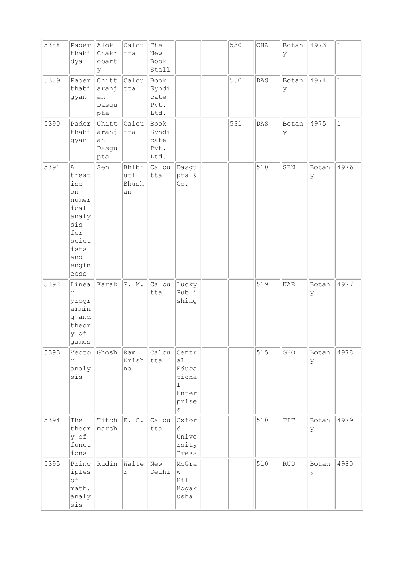| 5388 | Pader<br>thabi<br>dya                                                                                    | Alok<br>Chakr<br>obart<br>У          | Calcu<br>$ $ tta              | The<br>New<br>Book<br>Stall           |                                                                      | 530 | $\rm CHA$ | Botan<br>У                         | 4973       | $\vert$ 1    |
|------|----------------------------------------------------------------------------------------------------------|--------------------------------------|-------------------------------|---------------------------------------|----------------------------------------------------------------------|-----|-----------|------------------------------------|------------|--------------|
| 5389 | Pader<br>thabi<br>gyan                                                                                   | Chitt<br>aranj<br>an<br>Dasgu<br>pta | Calcu<br>tta                  | Book<br>Syndi<br>cate<br>Pvt.<br>Ltd. |                                                                      | 530 | DAS       | Botan<br>У                         | 4974       | $\mathbf{1}$ |
| 5390 | Pader<br>thabi<br>gyan                                                                                   | Chitt<br>aranj<br>an<br>Dasgu<br>pta | Calcu<br>tta                  | Book<br>Syndi<br>cate<br>Pvt.<br>Ltd. |                                                                      | 531 | DAS       | Botan<br>У                         | 4975       | $\mathbf{1}$ |
| 5391 | A<br>treat<br>ise<br>on<br>numer<br>ical<br>analy<br>sis<br>for<br>sciet<br>ists<br>and<br>engin<br>eess | Sen                                  | Bhibh<br>uti<br>Bhush<br>an   | Calcu<br>tta                          | Dasgu<br>pta &<br>Co.                                                |     | 510       | ${\tt SEN}$                        | Botan<br>У | 4976         |
| 5392 | Linea<br>r<br>progr<br>ammin<br>g and<br>theor<br>y of<br>games                                          | Karak                                | P. M.                         | Calcu<br>tta                          | Lucky<br>Publi<br>shing                                              |     | 519       | <b>KAR</b>                         | Botan<br>У | 4977         |
| 5393 | Vecto<br>r<br>analy<br>sis                                                                               | Ghosh                                | $\mathsf{Ram}$<br>Krish<br>na | Calcu<br>tta                          | Centr<br>al<br>Educa<br>tiona<br>$\mathbf{1}$<br>Enter<br>prise<br>S |     | 515       | GHO                                | Botan<br>У | 4978         |
| 5394 | The<br>theor<br>y of<br>funct<br>ions                                                                    | Titch<br>marsh                       | E. C.                         | Calcu<br>tta                          | Oxfor<br>d<br>Unive<br>rsity<br>Press                                |     | 510       | $\mathbb{T} \mathbb{T} \mathbb{T}$ | Botan<br>У | 4979         |
| 5395 | Princ<br>iples<br>of<br>math.<br>analy<br>$\sin s$                                                       | Rudin                                | Walte<br>$\,$ $\,$ $\,$       | New<br>Delhi                          | McGra<br>W<br>Hill<br>Kogak<br>usha                                  |     | 510       | ${\rm RUD}$                        | Botan<br>У | 4980         |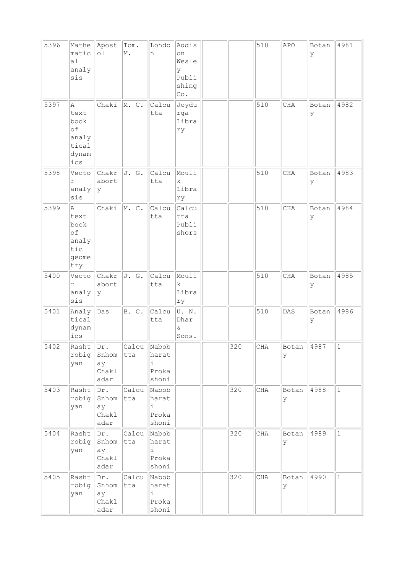| 5396 | Mathe<br>matic<br>a1<br>analy<br>sis                      | Apost<br>$\circ 1$                  | Tom.<br>M.   | Londo<br>n                             | Addis<br>on<br>Wesle<br>У<br>Publi<br>shing<br>Co. |     | 510 | APO         | Botan<br>У | 4981         |
|------|-----------------------------------------------------------|-------------------------------------|--------------|----------------------------------------|----------------------------------------------------|-----|-----|-------------|------------|--------------|
| 5397 | Α<br>text<br>book<br>of<br>analy<br>tical<br>dynam<br>ics | Chaki                               | M. C.        | Calcu<br>tta                           | Joydu<br>rga<br>Libra<br>ry                        |     | 510 | CHA         | Botan<br>У | 4982         |
| 5398 | Vecto<br>$\Upsilon$<br>analy<br>sis                       | Chakr<br>abort<br>lУ                | J. G.        | Calcu<br>tta                           | Mouli<br>$\mathbf{k}$<br>Libra<br>ry               |     | 510 | CHA         | Botan<br>У | 4983         |
| 5399 | Α<br>text<br>book<br>of<br>analy<br>tic<br>geome<br>try   | Chaki                               | M.C.         | Calcu<br>tta                           | Calcu<br>tta<br>Publi<br>shors                     |     | 510 | CHA         | Botan<br>У | 4984         |
| 5400 | Vecto<br>r<br>analy<br>sis                                | Chakr<br>abort<br>lУ                | J. G.        | Calcu<br>tta                           | Mouli<br>$\mathbf k$<br>Libra<br>rу                |     | 510 | CHA         | Botan<br>У | 4985         |
| 5401 | Analy<br>tical<br>dynam<br>ics                            | Das                                 | B. C.        | Calcu<br>tta                           | U.N.<br>Dhar<br>$\delta$<br>Sons.                  |     | 510 | DAS         | Botan<br>У | 4986         |
| 5402 | Rasht<br>robig<br>yan                                     | Dr.<br>Snhom<br>ay<br>Chakl<br>adar | Calcu<br>tta | Nabob<br>harat<br>i<br>Proka<br>shoni  |                                                    | 320 | CHA | Botan<br>У  | 4987       | 1            |
| 5403 | Rasht<br>robig<br>yan                                     | Dr.<br>Snhom<br>ау<br>Chakl<br>adar | Calcu<br>tta | Nabob<br>harat<br>i<br>Proka<br>shoni  |                                                    | 320 | CHA | Botan<br>lУ | 4988       | $\mathbf 1$  |
| 5404 | Rasht<br>robig<br>yan                                     | Dr.<br>Snhom<br>ay<br>Chakl<br>adar | Calcu<br>tta | Nabob<br>harat<br>i.<br>Proka<br>shoni |                                                    | 320 | CHA | Botan<br>ΙY | 4989       | $\mathbf 1$  |
| 5405 | Rasht<br>robig<br>yan                                     | Dr.<br>Snhom<br>ау<br>Chakl<br>adar | Calcu<br>tta | Nabob<br>harat<br>i<br>Proka<br>shoni  |                                                    | 320 | CHA | Botan<br>ΙY | 4990       | $\mathbf{1}$ |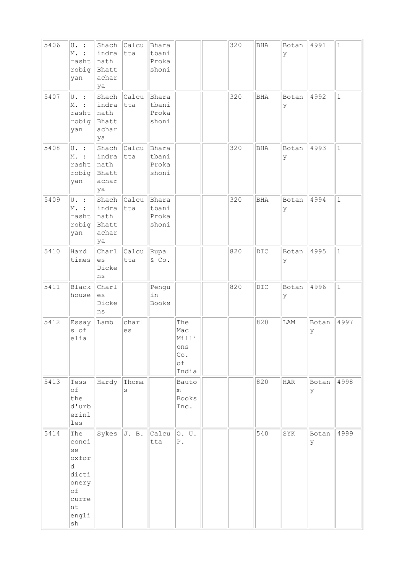| 5406 | $U.$ :<br>M. :<br>rasht<br>robig<br>yan                                                | Shach<br>indra<br>nath<br>Bhatt<br>achar<br>ya | $ $ Calcu<br>tta   | Bhara<br>tbani<br>Proka<br>shoni |                                                  | 320 | BHA | Botan<br>У | 4991        | $\mathbf 1$  |
|------|----------------------------------------------------------------------------------------|------------------------------------------------|--------------------|----------------------------------|--------------------------------------------------|-----|-----|------------|-------------|--------------|
| 5407 | U. :<br>M. :<br>rasht<br>robig<br>yan                                                  | Shach<br>indra<br>nath<br>Bhatt<br>achar<br>ya | Calcu<br>tta       | Bhara<br>tbani<br>Proka<br>shoni |                                                  | 320 | BHA | Botan<br>У | 4992        | $\mathbf{1}$ |
| 5408 | $U.$ :<br>M. :<br>rasht<br>robig<br>yan                                                | indra<br>nath<br>Bhatt<br>achar<br>ya          | Shach Calcu<br>tta | Bhara<br>tbani<br>Proka<br>shoni |                                                  | 320 | BHA | Botan<br>У | 4993        | $\mathbf{1}$ |
| 5409 | U. :<br>Μ.<br>rasht<br>robig<br>yan                                                    | Shach<br>indra<br>nath<br>Bhatt<br>achar<br>ya | Calcu<br>tta       | Bhara<br>tbani<br>Proka<br>shoni |                                                  | 320 | BHA | Botan<br>У | 4994        | $\mathbf{1}$ |
| 5410 | Hard<br>times                                                                          | Charl<br>es<br>Dicke<br>ns                     | Calcu<br>tta       | Rupa<br>$\&$ Co.                 |                                                  | 820 | DIC | Botan<br>У | 4995        | $\mathbf{1}$ |
| 5411 | <b>Black</b><br>house                                                                  | Charl<br>es<br>Dicke<br>ns                     |                    | Pengu<br>in<br>Books             |                                                  | 820 | DIC | Botan<br>У | 4996        | $\mathbf{1}$ |
| 5412 | Essay<br>s of<br>elia                                                                  | Lamb                                           | charl<br>es        |                                  | The<br>Mac<br>Milli<br>ons<br>Co.<br>оf<br>India |     | 820 | LAM        | Botan<br>У  | 4997         |
| 5413 | Tess<br>of<br>the<br>d'urb<br>erinl<br>les                                             | Hardy Thoma                                    | S                  |                                  | Bauto<br>m<br><b>Books</b><br>Inc.               |     | 820 | HAR        | Botan<br>lУ | 4998         |
| 5414 | The<br>conci<br>se<br>oxfor<br>d<br>dicti<br>onery<br>оf<br>curre<br>nt<br>engli<br>sh | Sykes $J. B.$                                  |                    | Calcu<br>tta                     | O. U.<br>${\mathbb P}$ .                         |     | 540 | SYK        | Botan<br>У  | 4999         |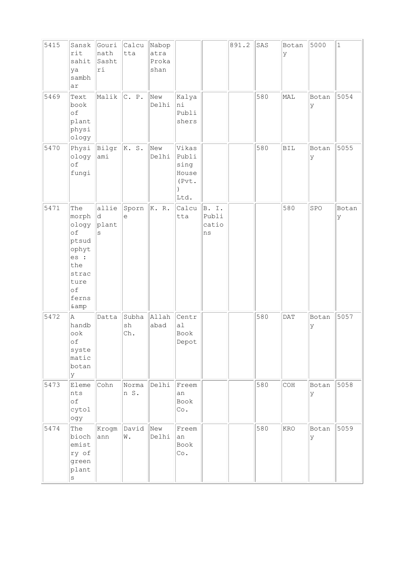| 5415 | Sansk<br>rit<br>sahit<br>ya<br>sambh<br>ar                                                            | Gouri<br>nath<br>Sasht<br>ri | Calcu<br>tta       | Nabop<br>atra<br>Proka<br>shan |                                                  |                               | 891.2 | SAS | Botan<br>У | 5000       | $1\,$      |
|------|-------------------------------------------------------------------------------------------------------|------------------------------|--------------------|--------------------------------|--------------------------------------------------|-------------------------------|-------|-----|------------|------------|------------|
| 5469 | Text<br>book<br>of<br>plant<br>physi<br>ology                                                         | Malik                        | C. P.              | New<br>Delhi                   | Kalya<br>hi<br>Publi<br>shers                    |                               |       | 580 | MAL        | Botan<br>У | 5054       |
| 5470 | Physi<br>ology<br>of<br>fungi                                                                         | Bilgr<br>ami                 | K. S.              | New<br>Delhi                   | Vikas<br>Publi<br>sing<br>House<br>(Pvt.<br>Ltd. |                               |       | 580 | <b>BIL</b> | Botan<br>У | 5055       |
| 5471 | The<br>morph<br>ology<br>of<br>ptsud<br>ophyt<br>es :<br>the<br>strac<br>ture<br>of<br>ferns<br>& amp | allie<br> d<br>plant<br>S    | Sporn<br>e         | K. R.                          | Calcu<br>tta                                     | B. I.<br>Publi<br>catio<br>ns |       |     | 580        | SPO        | Botan<br>У |
| 5472 | A<br>handb<br>ook<br>of<br>syste<br>matic<br>botan<br>lУ                                              | Datta                        | Subha<br>sh<br>Ch. | Allah<br>abad                  | Centr<br>a <sub>1</sub><br>Book<br>Depot         |                               |       | 580 | DAT        | Botan<br>У | 5057       |
| 5473 | Eleme<br>nts<br>оf<br>cytol<br>ogy                                                                    | Cohn                         | Norma<br>n S.      | Delhi                          | Freem<br>an<br>Book<br>Co.                       |                               |       | 580 | COH        | Botan<br>У | 5058       |
| 5474 | The<br>bioch<br>emist<br>ry of<br>green<br>plant<br>$\rm s$                                           | Krogm<br>ann                 | David<br>W.        | New<br>Delhi                   | Freem<br>an<br>Book<br>Co.                       |                               |       | 580 | KRO        | Botan<br>У | 5059       |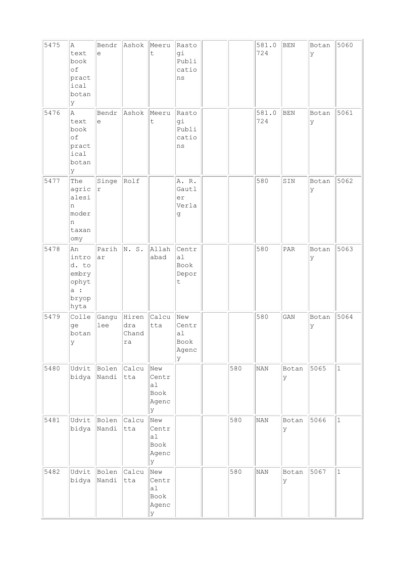| 5475 | Α<br>text<br>book<br>of<br>pract<br>ical<br>botan<br>У        | Bendr<br>$\epsilon$ | Ashok                       | Meeru<br>$\mathsf t$                      | Rasto<br>gi<br>Publi<br>catio<br>ns      |     | 581.0<br>724 | <b>BEN</b>                  | Botan<br>У | 5060         |
|------|---------------------------------------------------------------|---------------------|-----------------------------|-------------------------------------------|------------------------------------------|-----|--------------|-----------------------------|------------|--------------|
| 5476 | la.<br>text<br>book<br>of<br>pract<br>ical<br>botan<br>У      | Bendr<br>е          | Ashok                       | Meeru<br>t                                | Rasto<br>gi<br>Publi<br>catio<br>ns      |     | 581.0<br>724 | <b>BEN</b>                  | Botan<br>У | 5061         |
| 5477 | The<br>agric<br>alesi<br>n<br>moder<br>n<br>taxan<br>omy      | Singe<br>$\Upsilon$ | Rolf                        |                                           | A. R.<br>Gautl<br>er<br>Verla<br>g       |     | 580          | SIN                         | Botan<br>У | 5062         |
| 5478 | An<br>intro<br>d. to<br>embry<br>ophyt<br>a:<br>bryop<br>hyta | Parih<br>ar         | N.S.                        | Allah<br>abad                             | Centr<br>a1<br>Book<br>Depor<br>t        |     | 580          | $\ensuremath{\mathsf{PAR}}$ | Botan<br>У | 5063         |
| 5479 | Colle<br>ge<br>botan<br>У                                     | Gangu<br>lee        | Hiren<br>dra<br>Chand<br>ra | Calcu<br>tta                              | New<br>Centr<br>a1<br>Book<br>Agenc<br>У |     | 580          | GAN                         | Botan<br>У | 5064         |
| 5480 | Udvit<br>bidya                                                | Bolen<br>Nandi      | Calcu<br>tta                | New<br>Centr<br>a1<br>Book<br>Agenc<br>У  |                                          | 580 | NAN          | Botan<br>lУ                 | 5065       | $\mathbf 1$  |
| 5481 | Udvit<br>bidya                                                | Bolen<br>Nandi      | Calcu<br>tta                | New<br>Centr<br>a1<br>Book<br>Agenc<br>lУ |                                          | 580 | NAN          | Botan<br>У                  | 5066       | $\mathbf{1}$ |
| 5482 | Udvit<br>bidya                                                | Bolen<br>Nandi      | Calcu<br>tta                | New<br>Centr<br>a1<br>Book<br>Agenc<br>У  |                                          | 580 | NAN          | Botan<br>У                  | 5067       | $\mathbf{1}$ |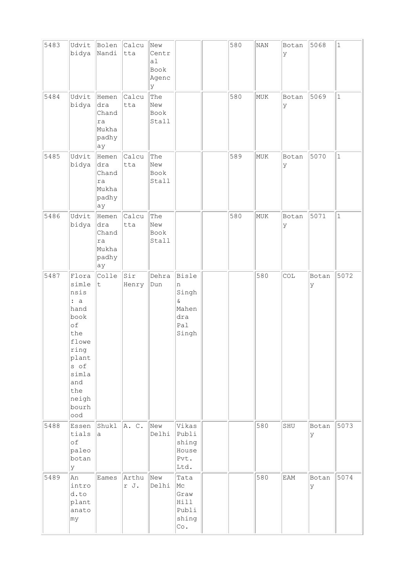| 5483 | Udvit<br>bidya                                                                                                                               | Bolen<br>Nandi                                      | Calcu<br>tta  | New<br>Centr<br>a1<br>Book<br>Agenc<br>У |                                                                 | 580 | <b>NAN</b> | Botan<br>У  | 5068        | $\mathbf 1$  |
|------|----------------------------------------------------------------------------------------------------------------------------------------------|-----------------------------------------------------|---------------|------------------------------------------|-----------------------------------------------------------------|-----|------------|-------------|-------------|--------------|
| 5484 | Udvit<br>bidya                                                                                                                               | Hemen<br>dra<br>Chand<br>ra<br>Mukha<br>padhy<br>ay | Calcu<br>tta  | The<br>New<br>Book<br>Stall              |                                                                 | 580 | MUK        | Botan<br>ly | 5069        | $\mathbf{1}$ |
| 5485 | Udvit<br>bidya                                                                                                                               | Hemen<br>dra<br>Chand<br>ra<br>Mukha<br>padhy<br>ay | Calcu<br>tta  | The<br>New<br>Book<br>Stall              |                                                                 | 589 | MUK        | Botan<br>lУ | 5070        | $1\,$        |
| 5486 | Udvit<br>bidya                                                                                                                               | Hemen<br>dra<br>Chand<br>ra<br>Mukha<br>padhy<br>ay | Calcu<br>tta  | The<br>New<br>Book<br>Stall              |                                                                 | 580 | MUK        | Botan<br>У  | 5071        | $\mathbf{1}$ |
| 5487 | Flora<br>simle<br>nsis<br>: a<br>hand<br>book<br>of<br>the<br>flowe<br>ring<br>plant<br>s of<br>simla<br>and<br>the<br>neigh<br>bourh<br>ood | Colle<br>$\sf t$                                    | Sir<br>Henry  | Dehra<br>Dun                             | Bisle<br>n<br>Singh<br>$\delta$<br>Mahen<br>dra<br>Pal<br>Singh |     | 580        | COL         | Botan<br>У  | 5072         |
| 5488 | Essen<br>tials<br>of<br>paleo<br>botan<br>Y                                                                                                  | Shukl<br>a                                          | A. C.         | New<br>Delhi                             | Vikas<br>Publi<br>shing<br>House<br>Pvt.<br>Ltd.                |     | 580        | SHU         | Botan<br>lУ | 5073         |
| 5489 | An<br>intro<br>d.to<br>plant<br>anato<br> my                                                                                                 | Eames                                               | Arthu<br>r J. | New<br>Delhi                             | Tata<br>Mc<br>Graw<br>Hill<br>Publi<br>shing<br>Co.             |     | 580        | <b>EAM</b>  | Botan<br>ly | 5074         |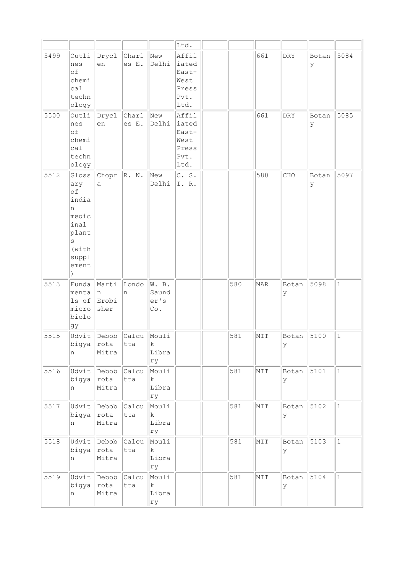|      |                                                                                            |                              |                       |                                      | Ltd.                                                     |     |     |            |             |              |
|------|--------------------------------------------------------------------------------------------|------------------------------|-----------------------|--------------------------------------|----------------------------------------------------------|-----|-----|------------|-------------|--------------|
| 5499 | Outli<br>nes<br>of<br>chemi<br>ca1<br>techn<br>ology                                       | Drycl<br>en                  | Charl<br>es E.        | New<br>Delhi                         | Affil<br>iated<br>East-<br>West<br>Press<br>Pvt.<br>Ltd. |     | 661 | <b>DRY</b> | Botan<br>У  | 5084         |
| 5500 | Outli<br>nes<br>of<br>chemi<br>ca1<br>techn<br>ology                                       | Drycl<br>en                  | <b>Char1</b><br>es E. | New<br>Delhi                         | Affil<br>iated<br>East-<br>West<br>Press<br>Pvt.<br>Ltd. |     | 661 | <b>DRY</b> | Botan<br>ly | 5085         |
| 5512 | Gloss<br>ary<br>of<br>india<br>n<br>medic<br>inal<br>plant<br>S<br>(with<br>suppl<br>ement | Chopr<br>a                   | R. N.                 | New<br>Delhi                         | C. S.<br>I.R.                                            |     | 580 | CHO        | Botan<br>У  | 5097         |
| 5513 | Funda<br>menta<br>ls of<br>micro<br>biolo<br>gy                                            | Marti<br>In<br>Erobi<br>sher | Londo<br>n            | W. B.<br>Saund<br>er's<br>Co.        |                                                          | 580 | MAR | Botan<br>У | 5098        | $\mathbf{1}$ |
| 5515 | Udvit<br>bigya<br>n                                                                        | Debob<br>$ $ rota<br>Mitra   | Calcu<br>tta          | Mouli<br>$\mathbf k$<br>Libra<br>ry  |                                                          | 581 | MIT | Botan<br>У | 5100        | $\mathbf{1}$ |
| 5516 | Udvit<br>bigya<br>n                                                                        | Debob<br> rota<br>Mitra      | Calcu<br>tta          | Mouli<br>$\rm k$<br>Libra<br>ry      |                                                          | 581 | NIT | Botan<br>У | 5101        | $\mathbf{1}$ |
| 5517 | Udvit<br>bigya<br>n                                                                        | Debob<br> rota<br>Mitra      | Calcu<br>tta          | Mouli<br>$\mathbf k$<br>Libra<br>rу  |                                                          | 581 | MIT | Botan<br>У | 5102        | $\vert$ 1    |
| 5518 | Udvit<br>bigya<br>n                                                                        | Debob<br> rota<br>Mitra      | calcu<br>tta          | Mouli<br>$\mathbf{k}$<br>Libra<br>ry |                                                          | 581 | MIT | Botan<br>У | 5103        | $\mathbf{1}$ |
| 5519 | Udvit<br>bigya<br>n                                                                        | Debob<br>rota<br>Mitra       | Calcu<br>tta          | Mouli<br>$\mathbf k$<br>Libra<br>ry  |                                                          | 581 | MIT | Botan<br>У | 5104        | $\mathbf 1$  |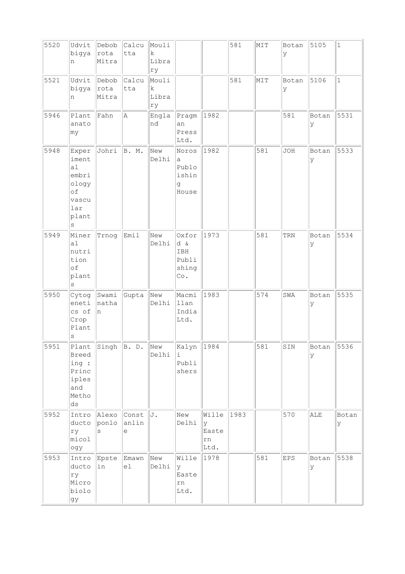| 5520 | Udvit<br>bigya<br>n                                                              | Debob<br> rota<br>Mitra | Calcu<br>tta          | Mouli<br>$\mathbf k$<br>Libra<br>ry |                                              |                                   | 581  | MIT | Botan<br>У | 5105       | $\mathbf{1}$ |
|------|----------------------------------------------------------------------------------|-------------------------|-----------------------|-------------------------------------|----------------------------------------------|-----------------------------------|------|-----|------------|------------|--------------|
| 5521 | Udvit<br>bigya<br>n                                                              | Debob<br> rota<br>Mitra | Calcu<br>tta          | Mouli<br>$\rm k$<br>Libra<br>ry     |                                              |                                   | 581  | NIT | Botan<br>У | 5106       | $\mathbf{1}$ |
| 5946 | Plant<br>anato<br>my                                                             | Fahn                    | A                     | Engla<br>nd                         | Pragm<br>an<br>Press<br>Ltd.                 | 1982                              |      |     | 581        | Botan<br>У | 5531         |
| 5948 | Exper<br>iment<br>a1<br>embri<br>ology<br>of<br>vascu<br>lar<br>plant<br>$\rm s$ | Johri                   | B. M.                 | New<br>Delhi                        | Noros<br>a<br>Publo<br>ishin<br>g<br>House   | 1982                              |      | 581 | JOH        | Botan<br>У | 5533         |
| 5949 | Miner<br>a1<br>nutri<br>tion<br>of<br>plant<br>$\rm s$                           | Trnog                   | Emil                  | New<br>Delhi                        | Oxfor<br>d &<br>IBH<br>Publi<br>shing<br>Co. | 1973                              |      | 581 | TRN        | Botan<br>У | 5534         |
| 5950 | Cytog<br>eneti<br>cs of<br>Crop<br>Plant<br>$\rm s$                              | Swami<br>natha<br>In.   | Gupta                 | New<br>Delhi                        | Macmi<br>llan<br>India<br>Ltd.               | 1983                              |      | 574 | SWA        | Botan<br>У | 5535         |
| 5951 | Breed<br>ing :<br>Princ<br>iples<br>and<br>Metho<br>$\mathrm{d}\mathbf{s}$       |                         | Plant Singh B. D. New | Delhi                               | Kalyn  <br>i.<br>Publi<br>shers              | 1984                              |      | 581 | SIN        | Botan<br>У | 5536         |
| 5952 | Intro<br>ducto<br>ry<br>micol<br>ogy                                             | Alexo<br>ponlo<br>S     | Const<br>anlin<br>е   | IJ.                                 | New<br>Delhi                                 | Wille<br>У<br>Easte<br>rn<br>Ltd. | 1983 |     | 570        | ALE        | Botan<br>У   |
| 5953 | Intro<br>ducto<br>ry<br>Micro<br>biolo<br>gy                                     | Epste Emawn<br>in       | el                    | New<br>Delhi                        | Wille<br>У<br>Easte<br>rn<br>Ltd.            | 1978                              |      | 581 | EPS        | Botan<br>У | 5538         |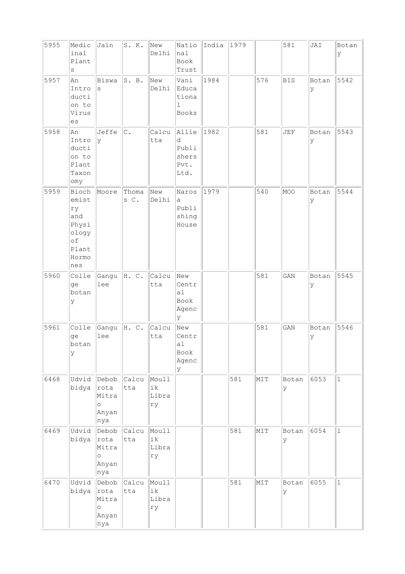| 5955 | Medic<br>inal<br>Plant<br>$\rm s$                                            | Jain                                              | S. K.         | New<br>Delhi               | Natio<br>nal<br>Book<br>Trust                | India | 1979 |     | 581         | JAI         | Botan<br>lУ  |
|------|------------------------------------------------------------------------------|---------------------------------------------------|---------------|----------------------------|----------------------------------------------|-------|------|-----|-------------|-------------|--------------|
| 5957 | An<br>Intro<br>ducti<br>on to<br>Virus<br>es                                 | Biswa<br>S                                        | S. B.         | New<br>Delhi               | Vani<br>Educa<br>tiona<br>1<br><b>Books</b>  | 1984  |      | 576 | <b>BIS</b>  | Botan<br>y  | 5542         |
| 5958 | An<br>Intro<br>ducti<br>on to<br>Plant<br>Taxon<br>omy                       | Jeffe<br>У                                        | $\mathbb C$ . | Calcu<br>tta               | Allie<br>d<br>Publi<br>shers<br>Pvt.<br>Ltd. | 1982  |      | 581 | <b>JEF</b>  | Botan<br>Ιy | 5543         |
| 5959 | Bioch<br>emist<br>ry<br>and<br>Physi<br>ology<br>of<br>Plant<br>Hormo<br>nes | Moore                                             | Thoma<br>s C. | New<br>Delhi               | Naros<br>a<br>Publi<br>shing<br>House        | 1979  |      | 540 | MOO         | Botan<br>У  | 5544         |
| 5960 | Colle<br>qe<br>botan<br>У                                                    | Gangu<br>lee                                      | H. C.         | Calcu<br>tta               | New<br>Centr<br>a1<br>Book<br>Agenc<br>lУ    |       |      | 581 | GAN         | Botan<br>У  | 5545         |
| 5961 | Colle<br>ge<br>botan<br>У                                                    | Gangu<br>lee                                      | H. C.         | Calcu<br>tta               | New<br>Centr<br>a1<br>Book<br>Agenc<br>У     |       |      | 581 | GAN         | Botan<br>Ιy | 5546         |
| 6468 | Udvid<br>bidya                                                               | Debob<br>rota<br>Mitra<br>$\circ$<br>Anyan<br>nya | Calcu<br>tta  | Moull<br>ik<br>Libra<br>ry |                                              |       | 581  | MIT | Botan<br>Ιy | 6053        | $\vert$ 1    |
| 6469 | Udvid<br>bidya                                                               | Debob<br>rota<br>Mitra<br>$\circ$<br>Anyan<br>nya | Calcu<br>tta  | Moull<br>ik<br>Libra<br>rу |                                              |       | 581  | MIT | Botan<br>ly | 6054        | $\mathbf{1}$ |
| 6470 | Udvid<br>bidya                                                               | Debob<br>rota<br>Mitra<br>$\circ$<br>Anyan<br>nya | Calcu<br>tta  | Moull<br>ik<br>Libra<br>rу |                                              |       | 581  | MIT | Botan<br>ly | 6055        | $\vert$ 1    |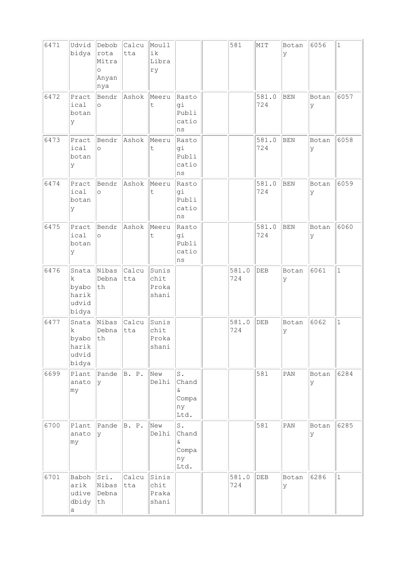| 6471 | Udvid<br>bidya                                  | Debob<br>rota<br>Mitra<br>$\circ$<br>Anyan<br>nya | Calcu<br>tta | Moull<br>ik<br>Libra<br>ry      |                                             | 581          | MIT          | Botan<br>У | 6056        | $\mathbf 1$  |
|------|-------------------------------------------------|---------------------------------------------------|--------------|---------------------------------|---------------------------------------------|--------------|--------------|------------|-------------|--------------|
| 6472 | Pract<br>ical<br>botan<br>У                     | Bendr<br>$\circ$                                  | Ashok        | Meeru<br>t                      | Rasto<br>gi<br>Publi<br>catio<br>ns         |              | 581.0<br>724 | <b>BEN</b> | Botan<br>У  | 6057         |
| 6473 | Pract<br>ical<br>botan<br>У                     | Bendr<br>$\circ$                                  | Ashok        | Meeru<br>t                      | Rasto<br>gi<br>Publi<br>catio<br>ns         |              | 581.0<br>724 | <b>BEN</b> | Botan<br>У  | 6058         |
| 6474 | Pract<br>ical<br>botan<br>У                     | Bendr<br>$\circ$                                  | Ashok        | Meeru<br>t                      | Rasto<br>gi<br>Publi<br>catio<br>ns         |              | 581.0<br>724 | <b>BEN</b> | Botan<br>У  | 6059         |
| 6475 | Pract<br>ical<br>botan<br>У                     | Bendr<br>$\circ$                                  | Ashok        | Meeru<br>t                      | Rasto<br>gi<br>Publi<br>catio<br>ns         |              | 581.0<br>724 | BEN        | Botan<br>У  | 6060         |
| 6476 | Snata<br>k.<br>byabo<br>harik<br>udvid<br>bidya | Nibas<br>Debna<br>th                              | Calcu<br>tta | Sunis<br>chit<br>Proka<br>shani |                                             | 581.0<br>724 | DEB          | Botan<br>У | 6061        | $\mathbf{1}$ |
| 6477 | Snata<br>k<br>byabo<br>harık<br>udvid<br>bidya  | Nibas<br>Debna<br>$\operatorname{\mathsf{th}}$    | Calcu<br>tta | Sunis<br>chit<br>Proka<br>shani |                                             | 581.0<br>724 | DEB          | Botan<br>У | 6062        | $\mathbf{1}$ |
| 6699 | Plant<br>anato<br>my                            | Pande<br>Ιy                                       | B. P.        | New<br>Delhi                    | $S$ .<br>Chand<br>&.<br>Compa<br>ny<br>Ltd. |              | 581          | PAN        | Botan<br>lУ | 6284         |
| 6700 | Plant<br>anato<br>my                            | Pande<br>У                                        | B. P.        | New<br>Delhi                    | S.<br>Chand<br>&.<br>Compa<br>ny<br>Ltd.    |              | 581          | PAN        | Botan<br>У  | 6285         |
| 6701 | Baboh<br>arik<br>udive<br>dbidy<br>a            | Sri.<br>Nibas<br>Debna<br>th                      | Calcu<br>tta | Sinis<br>chit<br>Praka<br>shani |                                             | 581.0<br>724 | DEB          | Botan<br>У | 6286        | $\mathbf{1}$ |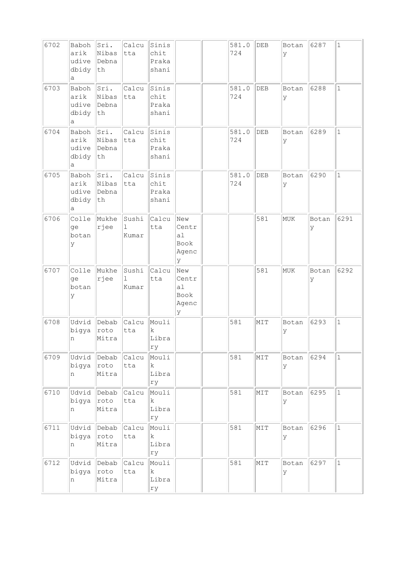| 6702 | Baboh<br>arik<br>udive<br>dbidy<br>а | Sri.<br>Nibas<br>Debna<br>th | Calcu<br> tta                  | Sinis<br>chit<br>Praka<br>shani     |                                          | 581.0<br>724 | DEB | Botan<br>У | 6287         | $\mathbf{1}$ |
|------|--------------------------------------|------------------------------|--------------------------------|-------------------------------------|------------------------------------------|--------------|-----|------------|--------------|--------------|
| 6703 | Baboh<br>arik<br>udive<br>dbidy<br>а | Sri.<br>Nibas<br>Debna<br>th | Calcu<br>tta                   | Sinis<br>chit<br>Praka<br>shani     |                                          | 581.0<br>724 | DEB | Botan<br>У | 6288         | $\mathbf{1}$ |
| 6704 | Baboh<br>arik<br>udive<br>dbidy<br>а | Sri.<br>Nibas<br>Debna<br>th | Calcu<br>tta                   | Sinis<br>chit<br>Praka<br>shani     |                                          | 581.0<br>724 | DEB | Botan<br>У | 6289         | $\mathbf 1$  |
| 6705 | Baboh<br>arik<br>udive<br>dbidy<br>а | Sri.<br>Nibas<br>Debna<br>th | Calcu<br>tta                   | Sinis<br>chit<br>Praka<br>shani     |                                          | 581.0<br>724 | DEB | Botan<br>У | 6290         | $\mathbf{1}$ |
| 6706 | Colle<br>ge<br>botan<br>У            | Mukhe<br>rjee                | Sushi<br>$\mathbf{1}$<br>Kumar | Calcu<br>tta                        | New<br>Centr<br>a1<br>Book<br>Agenc<br>У |              | 581 | <b>MUK</b> | Botan<br>ΙY  | 6291         |
| 6707 | Colle<br>ge<br>botan<br>У            | Mukhe<br>rjee                | Sushi<br>1<br>Kumar            | Calcu<br>tta                        | New<br>Centr<br>al<br>Book<br>Agenc<br>У |              | 581 | MUK        | Botan<br>ly. | 6292         |
| 6708 | Udvid<br>bigya<br>n                  | Debab<br>roto<br>Mitra       | Calcu<br>tta                   | Mouli<br>k<br>Libra<br>ry           |                                          | 581          | MIT | Botan<br>У | 6293         | $\mathbf{1}$ |
| 6709 | Udvid<br>bigya<br>n                  | Debab<br>roto<br>Mitra       | Calcu<br>tta                   | Mouli<br>$\mathbf k$<br>Libra<br>ry |                                          | 581          | MIT | Botan<br>У | 6294         | $1\,$        |
| 6710 | Udvid<br>bigya<br>n                  | Debab<br>roto<br>Mitra       | Calcu<br>tta                   | Mouli<br>$\mathbf k$<br>Libra<br>rу |                                          | 581          | MIT | Botan<br>У | 6295         | $\mathbf{1}$ |
| 6711 | Udvid<br>bigya<br>n                  | Debab<br>roto<br>Mitra       | Calcu<br>tta                   | Mouli<br>k<br>Libra<br>ry           |                                          | 581          | MIT | Botan<br>У | 6296         | $\mathbf{1}$ |
| 6712 | Udvid<br>bigya                       | Debab<br>roto                | Calcu<br>tta                   | Mouli<br>$\mathbf k$                |                                          | 581          | NIT | Botan<br>У | 6297         | $\mathbf{1}$ |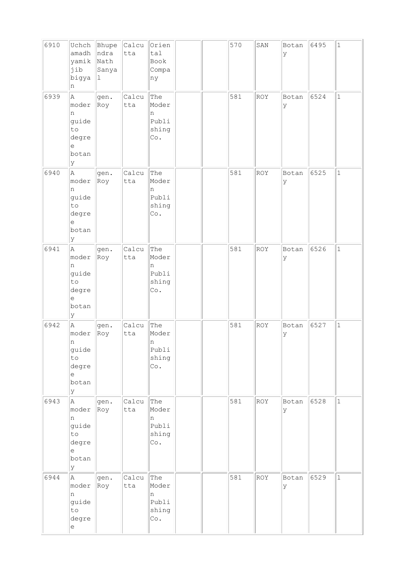| 6910 | Uchch<br>amadh<br>yamik<br>jib<br>bigya<br>n                                         | Bhupe<br>ndra<br>Nath<br>Sanya<br>$\perp$ | Calcu<br>tta | Orien<br>tal<br>Book<br>Compa<br>ny        |  | 570 | SAN        | Botan<br>Ιy | 6495 | $\mathbf 1$  |
|------|--------------------------------------------------------------------------------------|-------------------------------------------|--------------|--------------------------------------------|--|-----|------------|-------------|------|--------------|
| 6939 | A<br>moder<br>n<br>guide<br>to<br>degre<br>е<br>botan<br>lУ                          | gen.<br>Roy                               | Calcu<br>tta | The<br>Moder<br>n<br>Publi<br>shing<br>Co. |  | 581 | <b>ROY</b> | Botan<br>ly | 6524 | $\mathbf{1}$ |
| 6940 | A<br>moder<br>n<br>guide<br>to<br>degre<br>e<br>botan<br>Y                           | gen.<br>Roy                               | Calcu<br>tta | The<br>Moder<br>n<br>Publi<br>shing<br>Co. |  | 581 | ROY        | Botan<br>lУ | 6525 | $\mathbf 1$  |
| 6941 | A<br>moder<br>n<br>guide<br>to<br>degre<br>е<br>botan<br>lУ                          | gen.<br>Roy                               | Calcu<br>tta | The<br>Moder<br>n<br>Publi<br>shing<br>Co. |  | 581 | ROY        | Botan<br>У  | 6526 | $\mathbf{1}$ |
| 6942 | A<br>moder<br>n<br>guide<br>to<br>degre<br>e<br>botan<br>Y                           | gen.<br>Roy                               | Calcu<br>tta | The<br>Moder<br>n<br>Publi<br>shing<br>Co. |  | 581 | <b>ROY</b> | Botan<br>ly | 6527 | $\mathbf{1}$ |
| 6943 | A<br>moder<br>n<br>guide<br>to<br>degre<br>e<br>botan<br>Y                           | gen.<br>Roy                               | Calcu<br>tta | The<br>Moder<br>n<br>Publi<br>shing<br>Co. |  | 581 | ROY        | Botan<br>lУ | 6528 | $\mathbf{1}$ |
| 6944 | A.<br>moder<br>n<br>guide<br>to<br>degre<br>$\mathrel{\mathop{\mathrm{e}}\nolimits}$ | gen.<br>Roy                               | Calcu<br>tta | The<br>Moder<br>n<br>Publi<br>shing<br>Co. |  | 581 | ROY        | Botan<br>lУ | 6529 | $\mathbf{1}$ |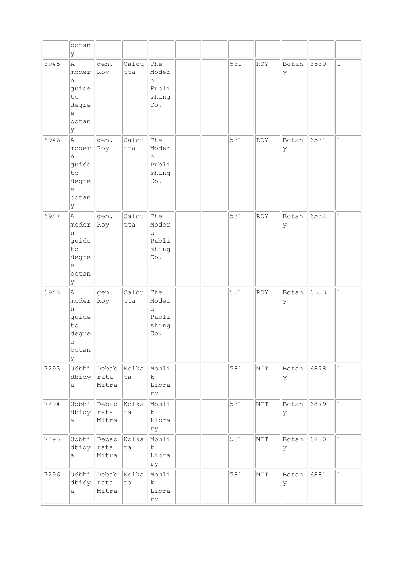|      | botan<br>У                                                                     |                               |                   |                                            |  |     |            |            |      |              |
|------|--------------------------------------------------------------------------------|-------------------------------|-------------------|--------------------------------------------|--|-----|------------|------------|------|--------------|
| 6945 | A<br>moder<br>n<br>guide<br>to<br>degre<br>е<br>botan<br>У                     | gen.<br>Roy                   | Calcu<br>tta      | The<br>Moder<br>n<br>Publi<br>shing<br>Co. |  | 581 | <b>ROY</b> | Botan<br>У | 6530 | $\mathbf{1}$ |
| 6946 | $\mathbb{A}$<br>moder<br>n<br>guide<br>to<br>degre<br>$\epsilon$<br>botan<br>У | gen.<br>Roy                   | Calcu<br>tta      | The<br>Moder<br>n<br>Publi<br>shing<br>Co. |  | 581 | <b>ROY</b> | Botan<br>У | 6531 | $\mathbf{1}$ |
| 6947 | A<br>moder<br>n<br>guide<br>to<br>degre<br>е<br>botan<br>У                     | gen.<br>Roy                   | Calcu<br>tta      | The<br>Moder<br>n<br>Publi<br>shing<br>Co. |  | 581 | ROY        | Botan<br>У | 6532 | $\mathbf{1}$ |
| 6948 | A<br>moder<br>n<br>guide<br>to<br>degre<br>e<br>botan<br>У                     | gen.<br>Roy                   | Calcu<br>tta      | The<br>Moder<br>n<br>Publi<br>shing<br>Co. |  | 581 | <b>ROY</b> | Botan<br>У | 6533 | $\mathbf{1}$ |
| 7293 | Udbhi<br>dbidy<br>a                                                            | Debab<br>rata<br>Mitra        | Kolka Mouli<br>ta | $\mathbf{k}$<br>Libra<br>ry                |  | 581 | MIT        | Botan<br>У | 6878 | $\mathbf{1}$ |
| 7294 | Udbhi<br>dbidy<br>a                                                            | Debab<br> rata<br>Mitra       | Kolka<br>ta       | Mouli<br>$\mathbf k$<br>Libra<br>rу        |  | 581 | NIT        | Botan<br>У | 6879 | $1\,$        |
| 7295 | Udbhi<br>dbidy<br>a                                                            | Debab<br> rata<br>Mitra       | Kolka<br>ta       | Mouli<br>$\mathbf k$<br>Libra<br>ry        |  | 581 | MIT        | Botan<br>У | 6880 | $1\,$        |
| 7296 | dbidy<br>a                                                                     | Udbhi Debab<br> rata<br>Mitra | Kolka<br>ta       | Mouli<br>k<br>Libra<br>ry                  |  | 581 | NIT        | Botan<br>У | 6881 | $\mathbf{1}$ |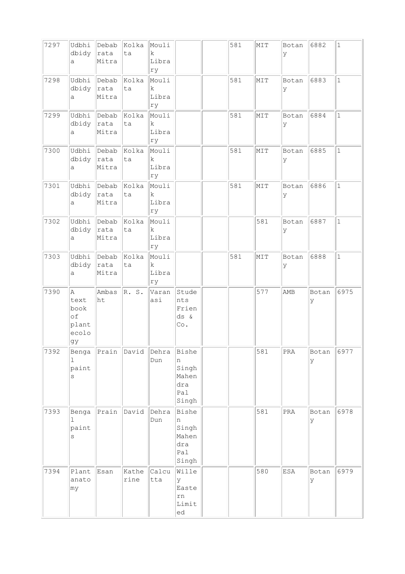| 7297 | Udbhi<br>dbidy<br>a                             | Debab<br> rata<br>Mitra | Kolka<br>ta   | Mouli<br>$\mathbf k$<br>Libra<br>ry |                                                     | 581 | NIT | Botan<br>У   | 6882       | $\mathbf{1}$ |
|------|-------------------------------------------------|-------------------------|---------------|-------------------------------------|-----------------------------------------------------|-----|-----|--------------|------------|--------------|
| 7298 | Udbhi<br>dbidy<br>a                             | Debab<br>rata<br>Mitra  | Kolka<br>ta   | Mouli<br>$\mathbf k$<br>Libra<br>ry |                                                     | 581 | MIT | Botan<br>У   | 6883       | $\mathbf{1}$ |
| 7299 | Udbhi<br>dbidy<br>a                             | Debab<br>rata<br>Mitra  | Kolka<br>ta   | Mouli<br>$\mathbf k$<br>Libra<br>ry |                                                     | 581 | MIT | Botan<br>У   | 6884       | $\mathbf{1}$ |
| 7300 | Udbhi<br>dbidy<br>a                             | Debab<br>rata<br>Mitra  | Kolka<br>ta   | Mouli<br>$\mathbf k$<br>Libra<br>ry |                                                     | 581 | NIT | Botan<br>У   | 6885       | $\mathbf 1$  |
| 7301 | Udbhi<br>dbidy<br>a                             | Debab<br>rata<br>Mitra  | Kolka<br>ta   | Mouli<br>$\rm k$<br>Libra<br>ry     |                                                     | 581 | NIT | Botan<br>У   | 6886       | $\mathbf{1}$ |
| 7302 | Udbhi<br>dbidy<br>a                             | Debab<br>rata<br>Mitra  | Kolka<br>ta   | Mouli<br>k<br>Libra<br>ry           |                                                     |     | 581 | Botan<br>У   | 6887       | $\mathbf{1}$ |
| 7303 | Udbhi<br>dbidy<br>a                             | Debab<br> rata<br>Mitra | Kolka<br>ta   | Mouli<br>$\mathbf k$<br>Libra<br>ry |                                                     | 581 | MIT | Botan<br>У   | 6888       | $\mathbf{1}$ |
| 7390 | Α<br>text<br>book<br>of<br>plant<br>ecolo<br>gy | Ambas<br>ht             | R. S.         | Varan<br>asi                        | Stude<br>nts<br>Frien<br>$ds$ &<br>Co.              |     | 577 | AMB          | Botan<br>У | 6975         |
| 7392 | Benga<br>ı<br>paint<br>S                        | Prain                   | David         | Dehra<br>Dun                        | Bishe<br>n<br>Singh<br>Mahen<br>dra<br>Pal<br>Singh |     | 581 | $\mbox{PRA}$ | Botan<br>У | 6977         |
| 7393 | Benga<br>ı<br>paint<br>$\rm s$                  | Prain                   | David         | Dehra<br>Dun                        | Bishe<br>n<br>Singh<br>Mahen<br>dra<br>Pal<br>Singh |     | 581 | PRA          | Botan<br>У | 6978         |
| 7394 | Plant<br>anato<br>my                            | Esan                    | Kathe<br>rine | Calcu<br>tta                        | Wille<br>У<br>Easte<br>rn<br>Limit<br>ed            |     | 580 | ESA          | Botan<br>У | 6979         |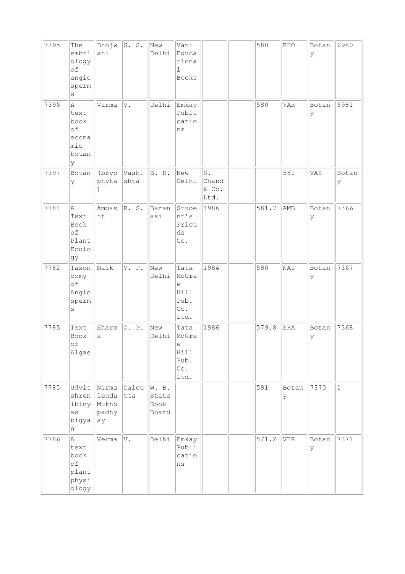| 7395 | The<br>embri<br>ology<br>of<br>angio<br>sperm<br>$\rm s$ | Bhojw<br>ani                           | s. s.         | New<br>Delhi                    | Vani<br>Educa<br>tiona<br>$\mathbf{1}$<br><b>Books</b> |                                          | 580   | <b>BHO</b> | Botan<br>lУ | 6980        |
|------|----------------------------------------------------------|----------------------------------------|---------------|---------------------------------|--------------------------------------------------------|------------------------------------------|-------|------------|-------------|-------------|
| 7396 | Α<br>text<br>book<br>of<br>econa<br>mic<br>botan<br>lУ   | Varma                                  | V.            | Delhi                           | Emkay<br>Publi<br>catio<br>ns                          |                                          | 580   | <b>VAR</b> | Botan<br>ly | 6981        |
| 7397 | Botan<br>У                                               | (bryo<br>phyta                         | Vashi<br>shta | B. R.                           | New<br>Delhi                                           | $\texttt{S}$ .<br>Chand<br>& Co.<br>Ltd. |       | 581        | VAS         | Botan<br>У  |
| 7781 | Α<br>Text<br>Book<br>$\circ f$<br>Plant<br>Ecolo<br>gу   | Ambas<br>ht                            | R. S.         | Baran<br>asi                    | Stude<br>nt's<br>Fricu<br>ds<br>Co.                    | 1986                                     | 581.7 | AMB        | Botan<br>Ιy | 7366        |
| 7782 | Taxon<br>oomy<br>of<br>Angio<br>sperm<br>$\rm s$         | $\sqrt{\texttt{Naik}}$                 | V. P.         | New<br>Delhi                    | Tata<br>McGra<br>W<br>Hill<br>Pub.<br>Co.<br>Ltd.      | 1984                                     | 580   | NAI        | Botan<br>У  | 7367        |
| 7783 | Text<br>Book<br>of<br>Algae                              | Sharm<br>a                             | O. P.         | New<br>Delhi                    | Tata<br>McGra<br>W<br>Hill<br>Pub.<br>Co.<br>Ltd.      | 1986                                     | 579.8 | SHA        | Botan<br>lУ | 7368        |
| 7785 | Udvit<br>shren<br>ibiny<br>as<br>bigya<br>n              | Nirma<br>lendu<br>Mukho<br>padhy<br>ay | Calcu<br>tta  | W. B.<br>State<br>Book<br>Board |                                                        |                                          | 581   | Botan<br>У | 7370        | $\mathbf 1$ |
| 7786 | A<br>text<br>book<br>of<br>plant<br>physi<br>ology       | Verma                                  | V.            | Delhi                           | Emkay<br>Publi<br>catio<br>$\rm ns$                    |                                          | 571.2 | VER        | Botan<br>ΙY | 7371        |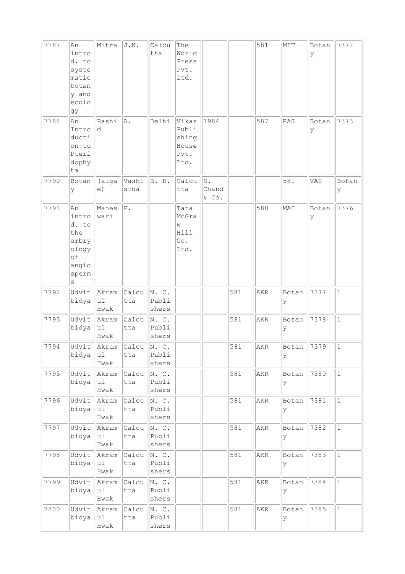| 7787<br>7788   | An<br>intro<br>d. to<br>syste<br>matic<br>botan<br>y and<br>ecolo<br>gy<br>An<br>Intro | Mitra<br>Rashi<br>d   | J.N.<br>A.    | Calcu<br>tta<br>Delhi   | The<br>World<br>Press<br>Pvt.<br>Ltd.<br>Vikas<br>Publi | 1984                       |     | 581<br>587 | MIT<br><b>RAS</b> | Botan<br>У<br>Botan<br>У | 7372<br>7373 |
|----------------|----------------------------------------------------------------------------------------|-----------------------|---------------|-------------------------|---------------------------------------------------------|----------------------------|-----|------------|-------------------|--------------------------|--------------|
|                | ducti<br>on to<br>Pteri<br>dophy<br>ta                                                 |                       |               |                         | shing<br>House<br>Pvt.<br>Ltd.                          |                            |     |            |                   |                          |              |
| 7790           | Botan<br>У                                                                             | (alga<br>e)           | Vashi<br>stha | B. R.                   | Calcu<br>tta                                            | $S$ .<br>Chand<br>$\&$ Co. |     |            | 581               | VAS                      | Botan<br>У   |
| 7791           | An<br>intro<br>d. to<br>the<br>embry<br>ology<br>of<br>angio<br>sperm<br>$\rm s$       | Mahes<br>wari         | ${\tt P}$ .   |                         | Tata<br>McGra<br>W<br>Hill<br>Co.<br>Ltd.               |                            |     | 580        | MAH               | Botan<br>У               | 7376         |
| 7792           | Udvit<br>bidya                                                                         | Akram<br> u1<br>Hwak  | Calcu<br>tta  | N. C.<br>Publi<br>shers |                                                         |                            | 581 | AKR        | Botan<br>У        | 7377                     | $\mathbf{1}$ |
| 7793           | Udvit<br>bidya                                                                         | Akram<br>ul<br>Hwak   | Calcu<br>tta  | N. C.<br>Publi<br>shers |                                                         |                            | 581 | AKR        | Botan<br>y        | 7378                     | $\mathbf{1}$ |
| $\boxed{7794}$ | Udvit<br>bidya                                                                         | Akram<br>ul<br>Hwak   | Calcu<br>tta  | N. C.<br>Publi<br>shers |                                                         |                            | 581 | AKR        | Botan<br>У        | 7379                     | $\vert$ 1    |
| 7795           | Udvit<br>bidya                                                                         | Akram<br> u1 <br>Hwak | Calcu<br>tta  | N. C.<br>Publi<br>shers |                                                         |                            | 581 | AKR        | Botan<br>У        | 7380                     | $\mathbf{1}$ |
| 7796           | Udvit<br>bidya                                                                         | Akram<br>u1<br>Hwak   | Calcu<br>tta  | N. C.<br>Publi<br>shers |                                                         |                            | 581 | AKR        | Botan<br>У        | 7381                     | $\mathbf{1}$ |
| 7797           | Udvit<br>bidya                                                                         | Akram<br>u1<br>Hwak   | Calcu<br>tta  | N. C.<br>Publi<br>shers |                                                         |                            | 581 | AKR        | Botan<br>У        | 7382                     | $\mathbf{1}$ |
| 7798           | Udvit<br>bidya                                                                         | Akram<br> u1 <br>Hwak | Calcu<br>tta  | N. C.<br>Publi<br>shers |                                                         |                            | 581 | AKR        | Botan<br>У        | 7383                     | $\mathbf{1}$ |
| 7799           | Udvit<br>bidya                                                                         | Akram<br> u1<br>Hwak  | Calcu<br>tta  | N. C.<br>Publi<br>shers |                                                         |                            | 581 | AKR        | Botan<br>У        | 7384                     | $\mathbf{1}$ |
| 7800           | Udvit<br>bidya                                                                         | Akram<br>u1<br>Hwak   | Calcu<br>tta  | N. C.<br>Publi<br>shers |                                                         |                            | 581 | AKR        | Botan<br>У        | 7385                     | $\mathbf 1$  |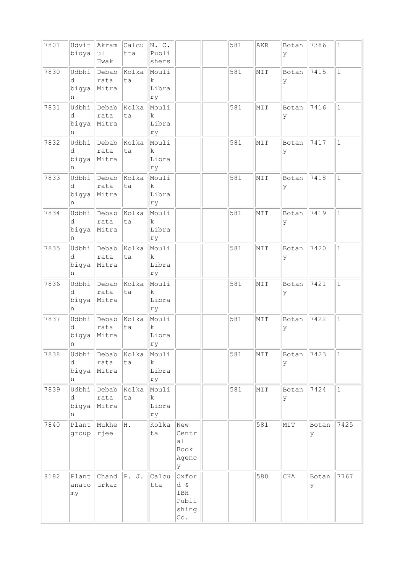| 7801 | Udvit<br>bidya           | Akram<br> u1<br>Hwak   | Calcu<br>tta      | N. C.<br>Publi<br>shers             |                                              | 581 | AKR | Botan<br>У | 7386       | $1\,$        |
|------|--------------------------|------------------------|-------------------|-------------------------------------|----------------------------------------------|-----|-----|------------|------------|--------------|
| 7830 | Udbhi<br>d<br>bigya<br>n | Debab<br>rata<br>Mitra | Kolka<br>ta       | Mouli<br>$\mathbf k$<br>Libra<br>ry |                                              | 581 | MIT | Botan<br>У | 7415       | $\mathbf{1}$ |
| 7831 | Udbhi<br>d<br>bigya<br>n | Debab<br>rata<br>Mitra | Kolka<br>ta       | Mouli<br>$\mathbf k$<br>Libra<br>ry |                                              | 581 | MIT | Botan<br>У | 7416       | $\mathbf{1}$ |
| 7832 | Udbhi<br>d<br>bigya<br>n | Debab<br>rata<br>Mitra | Kolka<br>ta       | Mouli<br>k<br>Libra<br>ry           |                                              | 581 | MIT | Botan<br>У | 7417       | $\mathbf{1}$ |
| 7833 | Udbhi<br>d<br>bigya<br>n | Debab<br>rata<br>Mitra | Kolka<br>ta       | Mouli<br>$\rm k$<br>Libra<br>ry     |                                              | 581 | NIT | Botan<br>У | 7418       | $\mathbf{1}$ |
| 7834 | Udbhi<br>d<br>bigya<br>n | Debab<br>rata<br>Mitra | Kolka<br>ta       | Mouli<br>k<br>Libra<br>ry           |                                              | 581 | MIT | Botan<br>У | 7419       | $\mathbf{1}$ |
| 7835 | Udbhi<br>d<br>bigya<br>n | Debab<br>rata<br>Mitra | Kolka<br>ta       | Mouli<br>k<br>Libra<br>ry           |                                              | 581 | MIT | Botan<br>У | 7420       | $\mathbf{1}$ |
| 7836 | Udbhi<br>d<br>bigya<br>n | Debab<br>rata<br>Mitra | Kolka<br>ta       | Mouli<br>k<br>Libra<br>ry           |                                              | 581 | NIT | Botan<br>У | 7421       | $\mathbf{1}$ |
| 7837 | Udbhi<br>d<br>bigya<br>n | Debab<br>rata<br>Mitra | kolka<br>ta       | Mouli<br>k<br>Libra<br> ry          |                                              | 581 | MIT | Botan<br>y | 7422       | $\mathbf{1}$ |
| 7838 | Udbhi<br>d<br>bigya<br>n | rata<br>Mitra          | Debab Kolka<br>ta | Mouli<br>k<br>Libra<br>rу           |                                              | 581 | MIT | Botan<br>У | 7423       | $\mathbf{1}$ |
| 7839 | Udbhi<br>d<br>bigya<br>n | Debab<br>rata<br>Mitra | Kolka<br>ta       | Mouli<br>$\mathbf k$<br>Libra<br>rу |                                              | 581 | MIT | Botan<br>У | 7424       | $\mathbf{1}$ |
| 7840 | group                    | Plant Mukhe<br> rjee   | H.                | Kolka<br>ta                         | New<br>Centr<br>al<br>Book<br>Agenc<br>У     |     | 581 | MIT        | Botan<br>У | 7425         |
| 8182 | Plant<br>anato<br>my     | Chand<br>urkar         | P. J.             | Calcu<br>tta                        | Oxfor<br>d &<br>IBH<br>Publi<br>shing<br>Co. |     | 580 | $\rm CHA$  | Botan<br>У | 7767         |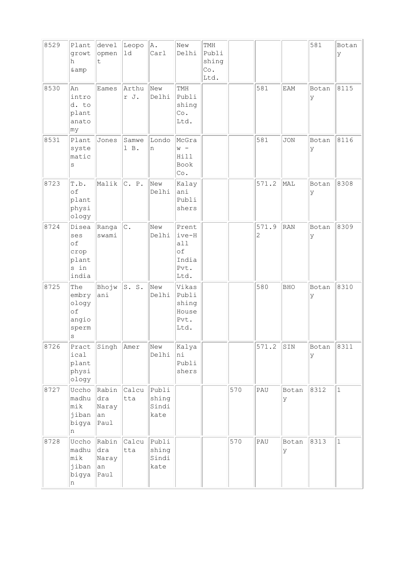| 8529 | Plant<br>growt<br>h<br>& amp                             | devel<br>opmen<br>t.                | Leopo<br>$1d$   | A.<br>Carl                      | New<br>Delhi                                         | TMH<br>Publi<br>shing<br>Co.<br>Ltd. |     |                         |            | 581         | Botan<br>У  |
|------|----------------------------------------------------------|-------------------------------------|-----------------|---------------------------------|------------------------------------------------------|--------------------------------------|-----|-------------------------|------------|-------------|-------------|
| 8530 | An<br>intro<br>d. to<br>plant<br>anato<br> my            | Eames                               | Arthu<br>r J.   | New<br>Delhi                    | TMH<br>Publi<br>shing<br>Co.<br>Ltd.                 |                                      |     | 581                     | <b>EAM</b> | Botan<br>Ιy | 8115        |
| 8531 | Plant<br>syste<br>matic<br>S                             | Jones                               | Samwe<br>$l$ B. | Londo<br>n                      | McGra<br>$W -$<br>Hill<br>Book<br>Co.                |                                      |     | 581                     | <b>JON</b> | Botan<br>Ιy | 8116        |
| 8723 | T.b.<br>of<br>plant<br>physi<br>ology                    | Malik                               | C. P.           | New<br>Delhi                    | Kalay<br>ani<br>Publi<br>shers                       |                                      |     | 571.2                   | MAL        | Botan<br>У  | 8308        |
| 8724 | Disea<br>ses<br>of<br>crop<br>plant<br>s in<br>india     | Ranga<br>swami                      | c.              | New<br>Delhi                    | Prent<br>ive-H<br>all<br>оf<br>India<br>Pvt.<br>Ltd. |                                      |     | 571.9<br>$\overline{2}$ | RAN        | Botan<br>Ιy | 8309        |
| 8725 | The<br>embry<br>ology<br>of<br>angio<br>sperm<br>$\rm s$ | Bhojw<br>ani                        | S. S.           | New<br>Delhi                    | Vikas<br>Publi<br>shing<br>House<br>Pvt.<br>Ltd.     |                                      |     | 580                     | <b>BHO</b> | Botan<br>lУ | 8310        |
| 8726 | Pract<br>ical<br>plant<br>physi<br>ology                 | Singh                               | Amer            | New<br>Delhi                    | Kalya<br>ni<br>Publi<br>shers                        |                                      |     | 571.2                   | SIN        | Botan<br>ΙY | 8311        |
| 8727 | Uccho<br>madhu<br>mik<br>jiban<br>bigya<br>n             | Rabin<br>dra<br>Naray<br>an<br>Paul | Calcu<br>tta    | Publi<br>shing<br>Sindi<br>kate |                                                      |                                      | 570 | PAU                     | Botan<br>У | 8312        | $\vert$ 1   |
| 8728 | Uccho<br>madhu<br>mik<br>jiban<br>bigya<br>n             | Rabin<br>dra<br>Naray<br>an<br>Paul | Calcu<br>tta    | Publi<br>shing<br>Sindi<br>kate |                                                      |                                      | 570 | PAU                     | Botan<br>У | 8313        | $\mathbf 1$ |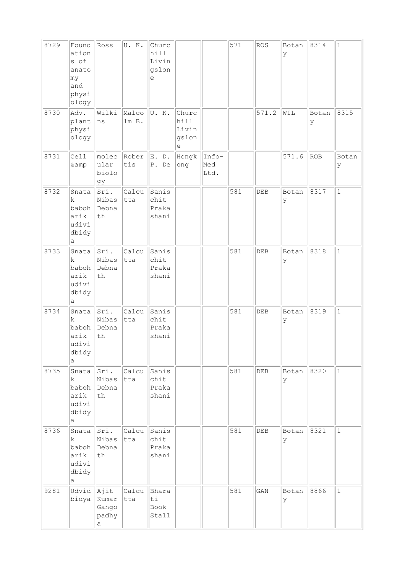| 8729 | Found<br>ation<br>s of<br>anato<br>my<br>and<br>physi<br>ology | Ross                                                   | U.K.           | Churc<br>hill<br>Livin<br>gslon<br>e |                                      |                      | 571 | <b>ROS</b> | Botan<br>У | 8314       | $1\,$        |
|------|----------------------------------------------------------------|--------------------------------------------------------|----------------|--------------------------------------|--------------------------------------|----------------------|-----|------------|------------|------------|--------------|
| 8730 | Adv.<br>plant<br>physi<br>ology                                | Wilki<br>ns                                            | Malco<br>lm B. | U.K.                                 | Churc<br>hill<br>Livin<br>gslon<br>е |                      |     | 571.2      | WIL        | Botan<br>У | 8315         |
| 8731 | Cell<br>& amp                                                  | molec<br>ular<br>biolo<br>gу                           | Rober<br>tis   | E.<br>$D$ .<br>P. De                 | Hongk<br>ong                         | Info-<br>Med<br>Ltd. |     |            | 571.6      | ROB        | Botan<br>У   |
| 8732 | Snata<br>k<br>baboh<br>arik<br>udivi<br>dbidy<br>а             | Sri.<br>Nibas<br>Debna<br>th                           | Calcu<br>tta   | Sanis<br>chit<br>Praka<br>shani      |                                      |                      | 581 | DEB        | Botan<br>У | 8317       | $\mathbf{1}$ |
| 8733 | Snata<br>$\rm k$<br>baboh<br>arik<br>udivi<br>dbidy<br>а       | Sri.<br>Nibas<br>Debna<br>$\operatorname{\mathsf{th}}$ | Calcu<br>tta   | Sanis<br>chit<br>Praka<br>shani      |                                      |                      | 581 | DEB        | Botan<br>У | 8318       | $\mathbf{1}$ |
| 8734 | Snata<br>k<br>baboh<br>arik<br>udivi<br>dbidy<br>a             | Sri.<br>Nibas<br>Debna<br>th                           | Calcu<br>tta   | Sanis<br>chit<br>Praka<br>shani      |                                      |                      | 581 | DEB        | Botan<br>У | 8319       | $\mathbf{1}$ |
| 8735 | Snata<br>k<br>baboh<br>arik<br>udivi<br>dbidy<br>а             | Sri.<br>Nibas<br>Debna<br>th                           | Calcu<br>tta   | Sanis<br>chit<br>Praka<br>shani      |                                      |                      | 581 | DEB        | Botan<br>У | 8320       | $1\,$        |
| 8736 | Snata<br>$\mathbf k$<br>baboh<br>arik<br>udivi<br>dbidy<br>a   | Sri.<br>Nibas<br>Debna<br>th                           | Calcu<br>tta   | Sanis<br>chit<br>Praka<br>shani      |                                      |                      | 581 | DEB        | Botan<br>У | 8321       | $\mathbf{1}$ |
| 9281 | Udvid Ajit<br>bidya                                            | Kumar<br>Gango<br>padhy<br>$\rm{a}$                    | Calcu<br>tta   | Bhara<br>ti<br>Book<br>Stall         |                                      |                      | 581 | GAN        | Botan<br>У | 8866       | $\mathbf 1$  |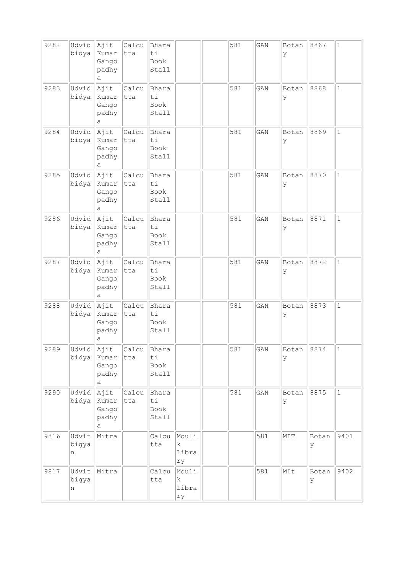| 9282 | Udvid<br>bidya      | Ajit<br>Kumar<br>Gango<br>padhy<br>а | Calcu<br>tta       | Bhara<br>ti<br>Book<br>Stall |                           | 581 | GAN | Botan<br>У | 8867        | $1\,$        |
|------|---------------------|--------------------------------------|--------------------|------------------------------|---------------------------|-----|-----|------------|-------------|--------------|
| 9283 | Udvid<br>bidya      | Ajit<br>Kumar<br>Gango<br>padhy<br>а | Calcu<br>tta       | Bhara<br>ti<br>Book<br>Stall |                           | 581 | GAN | Botan<br>У | 8868        | $\mathbf{1}$ |
| 9284 | Udvid<br>bidya      | Ajit<br>Kumar<br>Gango<br>padhy<br>а | Calcu<br>tta       | Bhara<br>ti<br>Book<br>Stall |                           | 581 | GAN | Botan<br>У | 8869        | $\mathbf{1}$ |
| 9285 | Udvid<br>bidya      | Ajit<br>Kumar<br>Gango<br>padhy<br>а | Calcu<br>tta       | Bhara<br>ti<br>Book<br>Stall |                           | 581 | GAN | Botan<br>У | 8870        | $\mathbf{1}$ |
| 9286 | Udvid<br>bidya      | Ajit<br>Kumar<br>Gango<br>padhy<br>а | Calcu<br>tta       | Bhara<br>ti<br>Book<br>Stall |                           | 581 | GAN | Botan<br>У | 8871        | $\mathbf{1}$ |
| 9287 | Udvid<br>bidya      | Ajit<br>Kumar<br>Gango<br>padhy<br>а | Calcu<br>tta       | Bhara<br>ti<br>Book<br>Stall |                           | 581 | GAN | Botan<br>У | 8872        | $\mathbf{1}$ |
| 9288 | Udvid<br>bidya      | Ajit<br>Kumar<br>Gango<br>padhy<br>a | Calcu<br>tta       | Bhara<br>ti<br>Book<br>Stall |                           | 581 | GAN | Botan<br>У | 8873        | $\mathbf{1}$ |
| 9289 | Udvid<br>bidya      | Ajit<br>Kumar<br>Gango<br>padhy<br>а | Calcu<br>tta       | Bhara<br>ti<br>Book<br>Stall |                           | 581 | GAN | Botan<br>У | 8874        | $\mathbf 1$  |
| 9290 | Udvid<br>bidya      | Ajit<br>Kumar<br>Gango<br>padhy<br>а | Calcu Bhara<br>tta | ti<br>Book<br>Stall          |                           | 581 | GAN | Botan<br>У | 8875        | $\mathbf 1$  |
| 9816 | Udvit<br>bigya<br>n | Mitra                                |                    | Calcu<br>tta                 | Mouli<br>k<br>Libra<br>ry |     | 581 | MIT        | Botan<br>ΙY | 9401         |
| 9817 | Udvit<br>bigya<br>n | Mitra                                |                    | Calcu<br>tta                 | Mouli<br>k<br>Libra<br>rу |     | 581 | MIt        | Botan<br>ΙY | 9402         |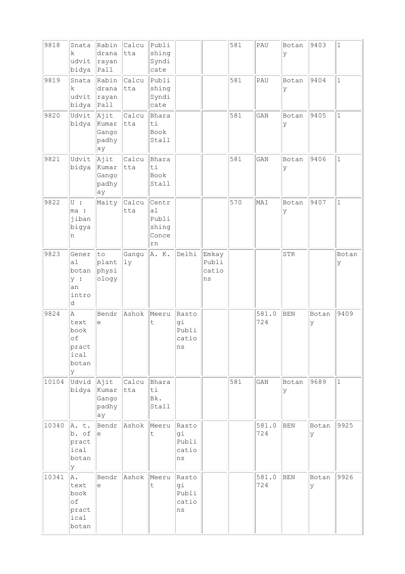| 9818  | Snata<br>k<br>udvit<br>bidya                                | Rabin<br>drana<br> rayan<br>Paul      | Calcu<br>tta        | Publi<br>shing<br>Syndi<br>cate              |                                     |                               | 581 | PAU          | Botan<br>У | 9403       | $\mathbf{1}$ |
|-------|-------------------------------------------------------------|---------------------------------------|---------------------|----------------------------------------------|-------------------------------------|-------------------------------|-----|--------------|------------|------------|--------------|
| 9819  | Snata<br>k<br>udvit<br>bidya                                | Rabin<br>drana<br>rayan<br>$ $ Pall   | Calcu<br>tta        | Publi<br>shing<br>Syndi<br>cate              |                                     |                               | 581 | PAU          | Botan<br>У | 9404       | $\mathbf{1}$ |
| 9820  | Udvit<br>bidya                                              | Ajit<br>Kumar<br>Gango<br>padhy<br>ay | Calcu<br>tta        | Bhara<br>ti<br>Book<br>Stall                 |                                     |                               | 581 | GAN          | Botan<br>У | 9405       | $\mathbf{1}$ |
| 9821  | Udvit<br>bidya                                              | Ajit<br>Kumar<br>Gango<br>padhy<br>ay | Calcu<br>tta        | Bhara<br>ti<br>Book<br>Stall                 |                                     |                               | 581 | GAN          | Botan<br>У | 9406       | $\mathbf{1}$ |
| 9822  | $U$ :<br>ma :<br>jiban<br>bigya<br>n                        | Maity                                 | Calcu<br>tta        | Centr<br>a1<br>Publi<br>shing<br>Conce<br>rn |                                     |                               | 570 | MAI          | Botan<br>У | 9407       | $\mathbf{1}$ |
| 9823  | Gener<br>a <sub>1</sub><br>botan<br>y :<br>an<br>intro<br>d | to<br>plant<br>physi<br>ology         | Gangu<br>1y         | A. K.                                        | Delhi                               | Emkay<br>Publi<br>catio<br>ns |     |              | STR        |            | Botan<br>У   |
| 9824  | Α<br>text<br>book<br>of<br>pract<br>ical<br>botan<br>У      | Bendr<br>е                            | Ashok               | Meeru<br>t                                   | Rasto<br>gi<br>Publi<br>catio<br>ns |                               |     | 581.0<br>724 | <b>BEN</b> | Botan<br>У | 9409         |
| 10104 | Udvid Ajit<br>bidya Kumar                                   | Gango<br>padhy<br>ay                  | Calcu Bhara<br> tta | ti<br>Bk.<br>Stall                           |                                     |                               | 581 | GAN          | Botan<br>У | 9689       | $\mathbf{1}$ |
| 10340 | A. t.<br>b. of<br>pract<br>ical<br>botan<br>У               | е                                     | Bendr Ashok         | Meeru<br>t.                                  | Rasto<br>gi<br>Publi<br>catio<br>ns |                               |     | 581.0<br>724 | BEN        | Botan<br>У | 9925         |
| 10341 | A.<br>text<br>book<br>оf<br>pract<br>ical<br>botan          | Bendr<br>е                            | Ashok               | Meeru<br>$\mathsf t$                         | Rasto<br>gi<br>Publi<br>catio<br>ns |                               |     | 581.0<br>724 | <b>BEN</b> | Botan<br>У | 9926         |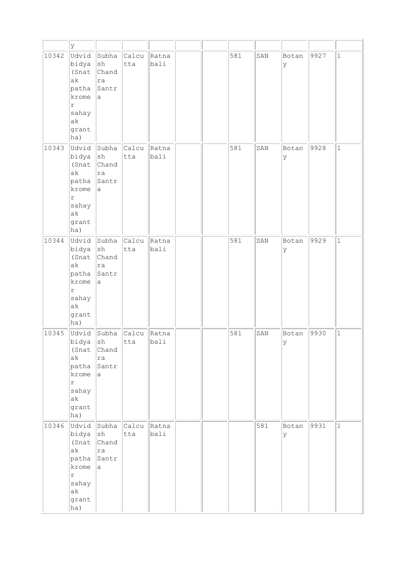|       | У                                                                                               |                                                    |              |               |  |     |     |            |      |              |
|-------|-------------------------------------------------------------------------------------------------|----------------------------------------------------|--------------|---------------|--|-----|-----|------------|------|--------------|
| 10342 | Udvid<br>bidya<br>(Snat<br>ak<br>patha<br>krome<br>r<br>sahay<br>ak<br>grant<br>ha)             | Subha<br> sh<br>Chand<br> ra<br>Santr<br>la.       | Calcu<br>tta | Ratna<br>bali |  | 581 | SAN | Botan<br>У | 9927 | $\mathbf{1}$ |
| 10343 | Udvid<br>bidya<br>(Snat<br>ak<br>patha<br>krome<br>r<br>sahay<br>ak<br>grant<br>ha)             | Subha<br>$\vert$ sh<br>Chand<br>ra<br>Santr<br>la. | Calcu<br>tta | Ratna<br>bali |  | 581 | SAN | Botan<br>У | 9928 | $\mathbf{1}$ |
| 10344 | Udvid Subha<br>$big$ $ sh$<br>(Snat<br>ak<br>patha<br>krome<br>r<br>sahay<br>ak<br>grant<br>ha) | Chand<br> ra<br>Santr<br>la.                       | Calcu<br>tta | Ratna<br>bali |  | 581 | SAN | Botan<br>У | 9929 | $\mathbf{1}$ |
| 10345 | Udvid<br>bidya<br>(Snat<br>ak<br>patha<br>krome<br>$\Upsilon$<br>sahay<br>ak<br>grant<br>ha)    | Subha<br>sh<br>Chand<br>ra<br>Santr<br>la.         | Calcu<br>tta | Ratna<br>bali |  | 581 | SAN | Botan<br>У | 9930 | $\mathbf{1}$ |
| 10346 | $bidya$ sh<br>(Snat<br>ak<br>patha<br>krome<br>$\Upsilon$<br>sahay<br>ak<br>grant<br>ha)        | Udvid Subha Calcu<br>Chand<br>ra<br>Santr<br>la.   | tta          | Ratna<br>bali |  |     | 581 | Botan<br>У | 9931 | $\mathbf{1}$ |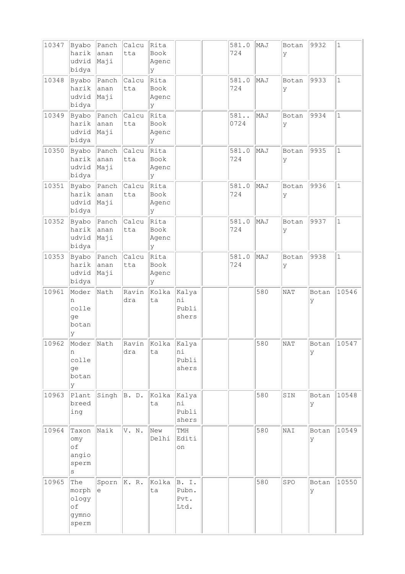| 10347 | Byabo<br>harik<br>udvid<br>bidya              | Panch<br>anan<br>Maji  | Calcu<br>tta       | Rita<br>Book<br>Agenc<br>У  |                                | 581.0<br>724 | MAJ | Botan<br>У | 9932       | $\mathbf{1}$ |
|-------|-----------------------------------------------|------------------------|--------------------|-----------------------------|--------------------------------|--------------|-----|------------|------------|--------------|
| 10348 | Byabo<br>harik<br>udvid<br>bidya              | Panch<br>lanan<br>Maji | Calcu<br>tta       | Rita<br>Book<br>Agenc<br>У  |                                | 581.0<br>724 | MAJ | Botan<br>У | 9933       | $\mathbf{1}$ |
| 10349 | Byabo<br>harik<br>udvid<br>bidya              | Panch<br>anan<br>Maji  | Calcu<br>tta       | Rita<br>Book<br>Agenc<br>y  |                                | 581<br>0724  | MAJ | Botan<br>У | 9934       | $\mathbf{1}$ |
| 10350 | Byabo<br>harik<br>udvid<br>bidya              | Panch<br>anan<br>Maji  | Calcu<br>tta       | Rita<br>Book<br>Agenc<br>У  |                                | 581.0<br>724 | MAJ | Botan<br>У | 9935       | $\mathbf{1}$ |
| 10351 | Byabo<br>harik<br>udvid<br>bidya              | Panch<br>anan<br>Maji  | Calcu<br>tta       | Rita<br>Book<br>Agenc<br>У  |                                | 581.0<br>724 | MAJ | Botan<br>У | 9936       | $\mathbf{1}$ |
| 10352 | Byabo<br>harik<br>udvid<br>bidya              | Panch<br>anan<br>Maji  | Calcu<br>tta       | Rita<br>Book<br>Agenc<br>lУ |                                | 581.0<br>724 | MAJ | Botan<br>У | 9937       | $\mathbf{1}$ |
| 10353 | Byabo<br>harik<br>udvid<br>bidya              | Panch<br>anan<br>Maji  | Calcu<br>tta       | Rita<br>Book<br>Agenc<br>lУ |                                | 581.0<br>724 | MAJ | Botan<br>У | 9938       | $\mathbf{1}$ |
| 10961 | Moder<br>n<br>colle<br>ge<br>botan<br>У       | Nath                   | Ravin<br>dra       | Kolka<br>ta                 | Kalya<br>ni<br>Publi<br>shers  |              | 580 | <b>NAT</b> | Botan<br>У | 10546        |
| 10962 | Moder Nath<br>n<br>colle<br>ge<br>botan<br>У  |                        | Ravin Kolka<br>dra | ta                          | Kalya<br>ni<br>Publi<br>shers  |              | 580 | NAT        | Botan<br>У | 10547        |
| 10963 | Plant<br>breed<br>ing                         | Singh $ B. D.$         |                    | Kolka<br>ta                 | Kalya<br>hi<br>Publi<br>shers  |              | 580 | SIN        | Botan<br>У | 10548        |
| 10964 | Taxon<br>omy<br>оf<br>angio<br>sperm<br>S     | Naik                   | V. N.              | New<br>Delhi                | TMH<br>Editi<br>on             |              | 580 | NAI        | Botan<br>У | 10549        |
| 10965 | The<br>morph<br>ology<br>of<br>gymno<br>sperm | Sporn<br>e             | K. R.              | Kolka<br>ta                 | B. I.<br>Pubn.<br>Pvt.<br>Ltd. |              | 580 | SPO        | Botan<br>У | 10550        |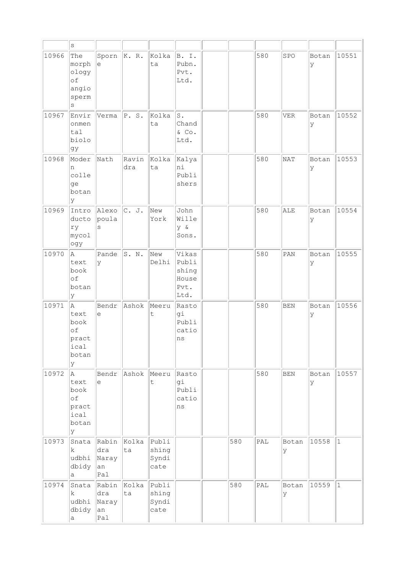|       | $\mathtt{s}$                                           |                                    |                   |                                 |                                                  |     |                             |             |             |             |
|-------|--------------------------------------------------------|------------------------------------|-------------------|---------------------------------|--------------------------------------------------|-----|-----------------------------|-------------|-------------|-------------|
| 10966 | The<br>morph<br>ology<br>of<br>angio<br>sperm<br>S     | Sporn<br>e                         | K. R.             | Kolka<br>ta                     | B. I.<br>Pubn.<br>Pvt.<br>Ltd.                   |     | 580                         | SPO         | Botan<br>y  | 10551       |
| 10967 | Envir<br>onmen<br>tal<br>biolo<br>gy                   | Verma                              | P. S.             | Kolka<br>ta                     | s.<br>Chand<br>& Co.<br>Ltd.                     |     | 580                         | <b>VER</b>  | Botan<br>Ιy | 10552       |
| 10968 | Moder<br>n<br>colle<br>ge<br>botan<br>У                | Nath                               | Ravin<br>dra      | Kolka<br>ta                     | Kalya<br>ni<br>Publi<br>shers                    |     | 580                         | <b>NAT</b>  | Botan<br>ly | 10553       |
| 10969 | Intro<br>ducto<br>ry<br>mycol<br>ogy                   | Alexo<br>poula<br>S                | C. J.             | New<br>York                     | John<br>Wille<br>y &<br>Sons.                    |     | 580                         | ALE         | Botan<br>У  | 10554       |
| 10970 | A<br>text<br>book<br>of<br>botan<br>У                  | Pande<br>У                         | S. N.             | New<br>Delhi                    | Vikas<br>Publi<br>shing<br>House<br>Pvt.<br>Ltd. |     | 580                         | PAN         | Botan<br>У  | 10555       |
| 10971 | A<br>text<br>book<br>of<br>pract<br>ical<br>botan<br>У | Bendr<br>е                         | Ashok             | Meeru<br>t                      | Rasto<br>gi<br>Publi<br>catio<br>ns              |     | 580                         | <b>BEN</b>  | Botan<br>У  | 10556       |
| 10972 | A<br>text<br>book<br>оf<br>pract<br>ical<br>botan<br>У | Bendr<br>е                         | Ashok             | Meeru<br>t                      | Rasto<br>gi<br>Publi<br>catio<br>ns              |     | 580                         | BEN         | Botan<br>У  | 10557       |
| 10973 | Snata<br>k.<br>udbhi<br>dbidy<br>a                     | Rabin<br>dra<br>Naray<br>an<br>Pal | Kolka<br>ta       | Publi<br>shing<br>Syndi<br>cate |                                                  | 580 | $\mathsf{PAL}$              | Botan<br>lУ | 10558       | $ 1\rangle$ |
| 10974 | Snata<br>k<br>udbhi<br>dbidy<br>а                      | Rabin<br>dra<br>Naray<br>an<br>Pal | Kolka Publi<br>ta | shing<br>Syndi<br>cate          |                                                  | 580 | $\ensuremath{\mathsf{PAL}}$ | Botan<br>У  | 10559       | $ 1\rangle$ |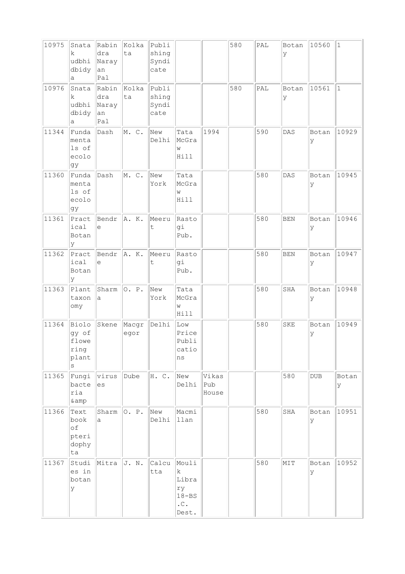| 10975 | Snata<br>k.<br>udbhi<br>dbidy<br>а            | Rabin<br>dra<br>Naray<br>an<br>Pal | Kolka<br>ta   | Publi<br>shing<br>Syndi<br>cate |                                                                      |                       | 580 | PAL                         | Botan<br>У | 10560        | $\mathbf{1}$ |
|-------|-----------------------------------------------|------------------------------------|---------------|---------------------------------|----------------------------------------------------------------------|-----------------------|-----|-----------------------------|------------|--------------|--------------|
| 10976 | Snata<br>k.<br>udbhi<br>dbidy<br>а            | Rabin<br>dra<br>Naray<br>an<br>Pal | Kolka<br>ta   | Publi<br>shing<br>Syndi<br>cate |                                                                      |                       | 580 | $\ensuremath{\mathsf{PAL}}$ | Botan<br>У | 10561        | $1\,$        |
| 11344 | Funda<br>menta<br>ls of<br>ecolo<br>gy        | Dash                               | M. C.         | New<br>Delhi                    | Tata<br>McGra<br>W<br>Hill                                           | 1994                  |     | 590                         | DAS        | Botan<br>У   | 10929        |
| 11360 | Funda<br>menta<br>ls of<br>ecolo<br>gy        | Dash                               | M. C.         | New<br>York                     | Tata<br>McGra<br>W<br>Hill                                           |                       |     | 580                         | DAS        | Botan<br>У   | 10945        |
| 11361 | Pract<br>ical<br>Botan<br>У                   | Bendr<br>e                         | A. K.         | Meeru<br>t                      | Rasto<br>gi<br>Pub.                                                  |                       |     | 580                         | <b>BEN</b> | Botan<br>У   | 10946        |
| 11362 | Pract<br>ical<br>Botan<br>У                   | Bendr<br>е                         | A. K.         | Meeru<br>t                      | Rasto<br>gi<br>Pub.                                                  |                       |     | 580                         | <b>BEN</b> | Botan<br>У   | 10947        |
| 11363 | Plant<br>taxon<br>omy                         | Sharm<br>а                         | O. P.         | New<br>York                     | Tata<br>McGra<br>W<br>Hill                                           |                       |     | 580                         | SHA        | Botan<br>У   | 10948        |
| 11364 | Biolo<br>gy of<br>flowe<br>ring<br>plant<br>S | Skene                              | Macgr<br>egor | Delhi                           | Low<br>Price<br>Publi<br>catio<br>ns                                 |                       |     | 580                         | <b>SKE</b> | Botan<br>У   | 10949        |
| 11365 | Fungi<br>bacte<br>ria<br>& amp                | virus<br>es                        | Dube          | H. C.                           | New<br>Delhi                                                         | Vikas<br>Pub<br>House |     |                             | 580        | $_{\rm DUB}$ | Botan<br>У   |
| 11366 | Text<br>book<br>of<br>pteri<br>dophy<br>ta    | Sharm<br>a                         | O. P.         | New<br>Delhi                    | Macmi<br>llan                                                        |                       |     | 580                         | SHA        | Botan<br>У   | 10951        |
| 11367 | Studi<br>es in<br>botan<br>У                  | Mitra                              | J. N.         | Calcu<br>tta                    | Mouli<br>k<br>Libra<br>ry<br>$18 - BS$<br>$\cdot$ C $\cdot$<br>Dest. |                       |     | 580                         | MIT        | Botan<br>У   | 10952        |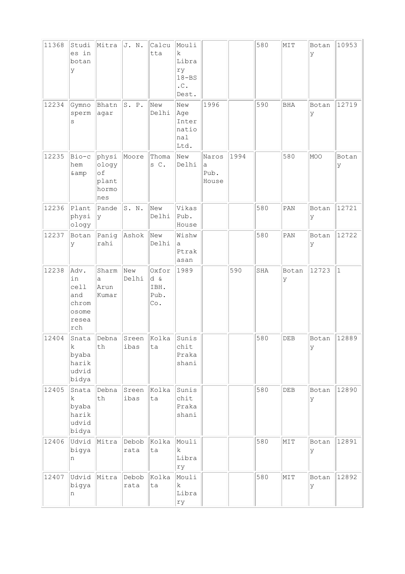| 11368<br>12234 | Studi<br>es in<br>botan<br>У<br>Gymno<br>sperm<br>S         | Mitra<br>Bhatn<br>agar                        | J. N.<br>S. P. | Calcu<br>tta<br>New<br>Delhi        | Mouli<br>k.<br>Libra<br>ry<br>$18 - BS$<br>$\cdot$ C .<br>Dest.<br>New<br>Age<br>Inter<br>natio | 1996                        |      | 580<br>590 | MIT<br><b>BHA</b> | Botan<br>У<br>Botan<br>У | 10953<br>12719 |
|----------------|-------------------------------------------------------------|-----------------------------------------------|----------------|-------------------------------------|-------------------------------------------------------------------------------------------------|-----------------------------|------|------------|-------------------|--------------------------|----------------|
|                |                                                             |                                               |                |                                     | nal<br>Ltd.                                                                                     |                             |      |            |                   |                          |                |
| 12235          | Bio-c<br>hem<br>& amp                                       | physi<br>ology<br>of<br>plant<br>hormo<br>nes | Moore          | Thoma<br>s C.                       | New<br>Delhi                                                                                    | Naros<br>a<br>Pub.<br>House | 1994 |            | 580               | MOO                      | Botan<br>У     |
| 12236          | Plant<br>physi<br>ology                                     | Pande<br>У                                    | S. N.          | New<br>Delhi                        | Vikas<br>Pub.<br>House                                                                          |                             |      | 580        | PAN               | Botan<br>У               | 12721          |
| 12237          | Botan<br>У                                                  | Panig<br>rahi                                 | Ashok          | New<br>Delhi                        | Wishw<br>а<br>Ptrak<br>asan                                                                     |                             |      | 580        | PAN               | Botan<br>У               | 12722          |
| 12238          | Adv.<br>in<br>cell<br>and<br>chrom<br>osome<br>resea<br>rch | Sharm<br>a<br>Arun<br>Kumar                   | New<br>Delhi   | Oxfor<br>d &<br>IBH.<br>Pub.<br>Co. | 1989                                                                                            |                             | 590  | SHA        | Botan<br>У        | 12723                    | $\mathbf{1}$   |
| 12404          | Snata<br>k.<br>byaba<br>harik<br>udvid<br>bidya             | Debna<br>th                                   | Sreen<br>ibas  | Kolka<br>ta                         | Sunis<br>chit<br>Praka<br>shani                                                                 |                             |      | 580        | DEB               | Botan<br>У               | 12889          |
| 12405          | Snata<br>k.<br>byaba<br>harik<br>udvid<br>bidya             | Debna<br>th                                   | Sreen<br>ibas  | Kolka<br>ta                         | Sunis<br>chit<br>Praka<br>shani                                                                 |                             |      | 580        | ${\rm DEB}$       | Botan<br>lУ              | 12890          |
| 12406          | Udvid<br>bigya<br>n                                         | Mitra                                         | Debob<br>rata  | Kolka<br>ta                         | Mouli<br>k<br>Libra<br>ry                                                                       |                             |      | 580        | MIT               | Botan<br>У               | 12891          |
| 12407          | Udvid<br>bigya<br>n                                         | Mitra                                         | Debob<br>rata  | Kolka<br>ta                         | Mouli<br>$\mathbf k$<br>Libra<br>rу                                                             |                             |      | 580        | MIT               | Botan<br>ly              | 12892          |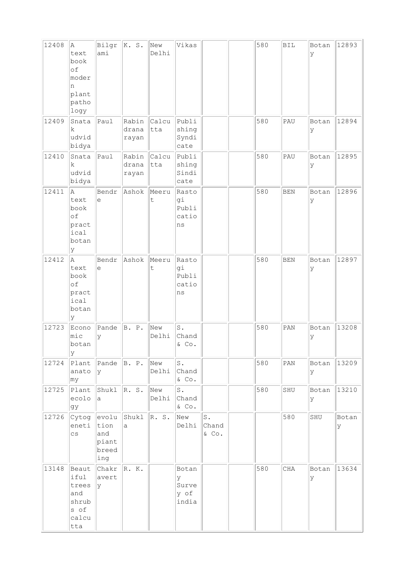| 12408 | A.                                                             | Bilgr                                                                                    | K. S.                   | New                  | Vikas                                |                      | 580 | <b>BIL</b>                  | Botan       | 12893       |
|-------|----------------------------------------------------------------|------------------------------------------------------------------------------------------|-------------------------|----------------------|--------------------------------------|----------------------|-----|-----------------------------|-------------|-------------|
|       | text<br>book<br>of<br>moder<br>n<br>plant<br>patho<br>logy     | ami                                                                                      |                         | Delhi                |                                      |                      |     |                             | ly          |             |
| 12409 | Snata<br>k.<br>udvid<br>bidya                                  | Paul                                                                                     | Rabin<br>drana<br>rayan | Calcu<br>tta         | Publi<br>shing<br>Syndi<br>cate      |                      | 580 | PAU                         | Botan<br>У  | 12894       |
| 12410 | Snata<br>$\mathbf k$<br>udvid<br>bidya                         | Paul                                                                                     | Rabin<br>drana<br>rayan | Calcu<br>tta         | Publi<br>shing<br>Sindi<br>cate      |                      | 580 | PAU                         | Botan<br>ly | 12895       |
| 12411 | A<br>text<br>book<br>of<br>pract<br>ical<br>botan<br>У         | Bendr<br>e                                                                               | Ashok                   | Meeru<br>t           | Rasto<br>gi<br>Publi<br>catio<br>ns  |                      | 580 | <b>BEN</b>                  | Botan<br>ly | 12896       |
| 12412 | la.<br>text<br>book<br>of<br>pract<br>ical<br>botan<br>lУ      | Bendr<br>e                                                                               | Ashok                   | Meeru<br>$\mathsf t$ | Rasto<br>gi<br>Publi<br>catio<br>ns  |                      | 580 | <b>BEN</b>                  | Botan<br>У  | 12897       |
| 12723 | Econo<br>$ $ mic<br>botan<br>У                                 | Pande<br>У                                                                               | B. P.                   | New<br>Delhi         | ${\tt S}$ .<br>Chand<br>& Co.        |                      | 580 | PAN                         | Botan<br>Ιy | 13208       |
| 12724 | Plant<br>anato<br> my                                          | $\vert$ Pande $\vert$ B. P.<br>l y                                                       |                         | New<br>Delhi         | s.<br>Chand<br>$\&$ Co.              |                      | 580 | $\ensuremath{\mathrm{PAN}}$ | Botan<br>lУ | 13209       |
| 12725 | Plant<br>ecolo<br>gy                                           | Shukl<br>a                                                                               | R. S.                   | New<br>Delhi         | S.<br>Chand<br>$\&$ Co.              |                      | 580 | SHU                         | Botan<br>lУ | 13210       |
| 12726 | Cytog<br>eneti<br>$\mathtt{CS}$                                | $ $ evolu<br>$\begin{vmatrix} \text{tion} \end{vmatrix}$<br>and<br>piant<br>breed<br>ing | Shukl<br>a              | R. S.                | New<br>Delhi                         | S.<br>Chand<br>& Co. |     | 580                         | SHU         | Botan<br>lУ |
| 13148 | Beaut<br>iful<br>trees<br>and<br>shrub<br>s of<br>calcu<br>tta | Chakr $\ R. K.$<br>avert<br>У                                                            |                         |                      | Botan<br>У<br>Surve<br>y of<br>india |                      | 580 | CHA                         | Botan<br>У  | 13634       |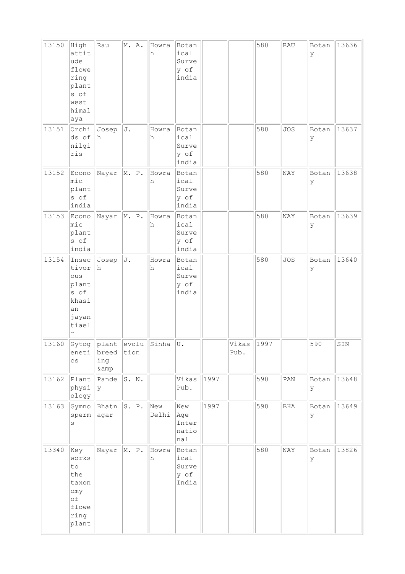| 13150 | High<br>attit<br>ude<br>flowe<br>ring<br>plant<br>s of<br>west<br>himal<br>aya | Rau               | M. A.                                                                                                                  | Howra<br>h   | Botan<br>ical<br>Surve<br>y of<br>india |      |               | 580  | RAU            | Botan<br>У | 13636 |
|-------|--------------------------------------------------------------------------------|-------------------|------------------------------------------------------------------------------------------------------------------------|--------------|-----------------------------------------|------|---------------|------|----------------|------------|-------|
| 13151 | Orchi<br>ds of<br>nilgi<br>ris                                                 | Josep<br>lh.      | J.                                                                                                                     | Howra<br>h   | Botan<br>ical<br>Surve<br>y of<br>india |      |               | 580  | <b>JOS</b>     | Botan<br>У | 13637 |
| 13152 | Econo<br>mic<br>plant<br>s of<br>india                                         | Nayar             | M. P.                                                                                                                  | Howra<br>h   | Botan<br>ical<br>Surve<br>y of<br>india |      |               | 580  | NAY            | Botan<br>У | 13638 |
| 13153 | Econo<br>mic<br>plant<br>s of<br>india                                         | Nayar             | M. P.                                                                                                                  | Howra<br>h   | Botan<br>ical<br>Surve<br>y of<br>india |      |               | 580  | NAY            | Botan<br>У | 13639 |
| 13154 | Insec<br>tivor<br>ous<br>plant<br>s of<br>khasi<br>an<br>jayan<br>tiael<br>r   | Josep<br>h.       | J.                                                                                                                     | Howra<br>h   | Botan<br>ical<br>Surve<br>y of<br>india |      |               | 580  | <b>JOS</b>     | Botan<br>У | 13640 |
| 13160 | eneti<br>$\mathtt{CS}$                                                         | breed<br>ing<br>& | $\left \mathtt{Gytog}\right \left \mathtt{plant}\right \left \mathtt{evolu}\right \left \mathtt{Sinha}\right $<br>tion |              | U.                                      |      | Vikas<br>Pub. | 1997 |                | 590        | SIN   |
| 13162 | Plant<br>physi<br>ology                                                        | Pande<br> y       | S. N.                                                                                                                  |              | Vikas<br>Pub.                           | 1997 |               | 590  | $\texttt{PAN}$ | Botan<br>У | 13648 |
| 13163 | Gymno<br>sperm<br>$\rm s$                                                      | Bhatn<br>agar     | S. P.                                                                                                                  | New<br>Delhi | New<br>Age<br>Inter<br>natio<br>$ $ nal | 1997 |               | 590  | BHA            | Botan<br>У | 13649 |
| 13340 | Key<br>works<br>to<br>the<br>taxon<br>omy<br>оf<br>flowe<br>ring<br>plant      | Nayar             | M. P.                                                                                                                  | Howra<br>h   | Botan<br>ical<br>Surve<br>y of<br>India |      |               | 580  | NAY            | Botan<br>У | 13826 |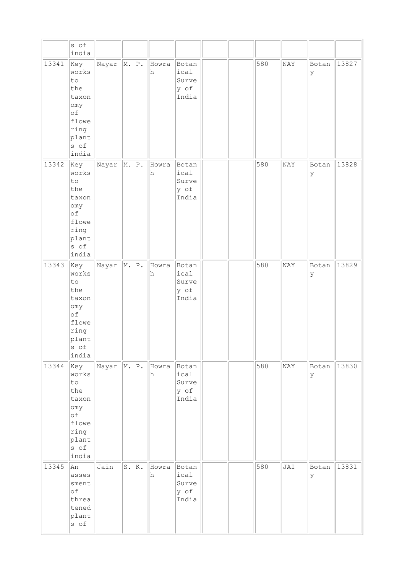|       | s of<br>india                                                                              |                       |       |            |                                         |  |     |     |            |       |
|-------|--------------------------------------------------------------------------------------------|-----------------------|-------|------------|-----------------------------------------|--|-----|-----|------------|-------|
| 13341 | Key<br>works<br>to<br>the<br>taxon<br>omy<br>of<br>flowe<br>ring<br>plant<br>s of<br>india | Nayar $\ $ M. P.      |       | Howra<br>h | Botan<br>ical<br>Surve<br>y of<br>India |  | 580 | NAY | Botan<br>У | 13827 |
| 13342 | key<br>works<br>to<br>the<br>taxon<br>omy<br>оf<br>flowe<br>ring<br>plant<br>s of<br>india | Nayar $\ $ M. P.      |       | Howra<br>h | Botan<br>ical<br>Surve<br>y of<br>India |  | 580 | NAY | Botan<br>У | 13828 |
| 13343 | key<br>works<br>to<br>the<br>taxon<br>omy<br>of<br>flowe<br>ring<br>plant<br>s of<br>india | $\ $ Nayar $\ $ M. P. |       | Howra<br>h | Botan<br>ical<br>Surve<br>y of<br>India |  | 580 | NAY | Botan<br>У | 13829 |
| 13344 | Key<br>works<br>to<br>the<br>taxon<br>omy<br>оf<br>flowe<br>ring<br>plant<br>s of<br>india | Nayar $\ $ M. P.      |       | Howra<br>h | Botan<br>ical<br>Surve<br>y of<br>India |  | 580 | NAY | Botan<br>У | 13830 |
| 13345 | An<br>asses<br>sment<br>of<br>threa<br>tened<br>plant<br>s of                              | Jain                  | S. K. | Howra<br>h | Botan<br>ical<br>Surve<br>y of<br>India |  | 580 | JAI | Botan<br>У | 13831 |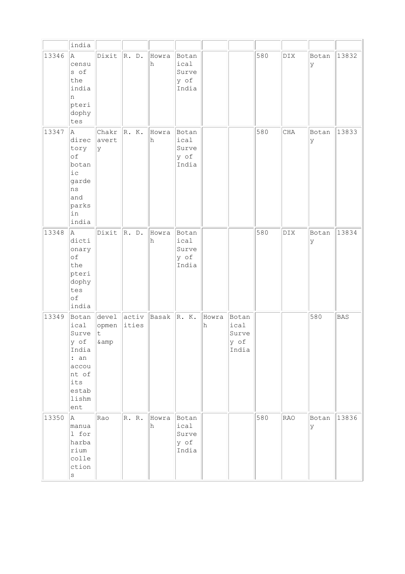|       | india                                                                                                      |                               |                       |            |                                         |            |                                         |     |            |             |            |
|-------|------------------------------------------------------------------------------------------------------------|-------------------------------|-----------------------|------------|-----------------------------------------|------------|-----------------------------------------|-----|------------|-------------|------------|
| 13346 | la.<br>censu<br>s of<br>the<br>india<br>n<br>pteri<br>dophy<br>tes                                         | Dixit                         | R. D.                 | Howra<br>h | Botan<br>ical<br>Surve<br>y of<br>India |            |                                         | 580 | <b>DIX</b> | Botan<br>lУ | 13832      |
| 13347 | A<br>direc<br>tory<br>of<br>botan<br>$i$ c<br>garde<br>ns<br>and<br>parks<br>in<br>india                   | Chakr<br>avert<br> y          | R. K.                 | Howra<br>h | Botan<br>ical<br>Surve<br>y of<br>India |            |                                         | 580 | CHA        | Botan<br>lУ | 13833      |
| 13348 | la.<br>dicti<br>onary<br>of<br>the<br>pteri<br>dophy<br>tes<br>of<br>india                                 | Dixit                         | R. D.                 | Howra<br>h | Botan<br>ical<br>Surve<br>y of<br>India |            |                                         | 580 | DIX        | Botan<br>ly | 13834      |
| 13349 | Botan<br>ical<br>Surve<br>y of<br>India<br>: an<br>accou<br>nt of<br>its<br>estab<br>lishm<br>$_{\rm ent}$ | level<br>opmen<br> t<br>& amp | activ<br><i>ities</i> | Basak      | R. K.                                   | Howra<br>h | Botan<br>ical<br>Surve<br>y of<br>India |     |            | 580         | <b>BAS</b> |
| 13350 | A<br>manua<br>1 for<br>harba<br>rium<br>colle<br>ction<br>$\rm s$                                          | Rao                           | R. R.                 | Howra<br>h | Botan<br>ical<br>Surve<br>y of<br>India |            |                                         | 580 | <b>RAO</b> | Botan<br>Y  | 13836      |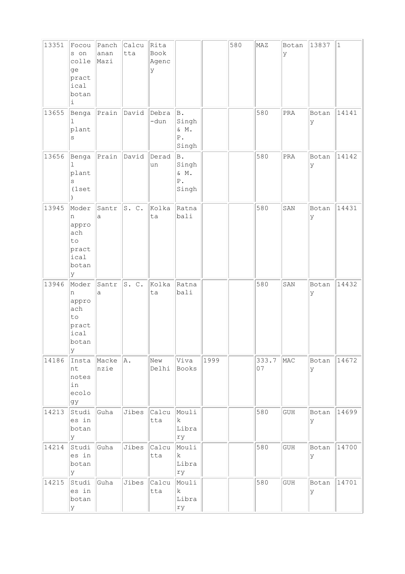| 13351 | Focou<br>s on<br>colle<br>ge<br>pract<br>ical<br>botan<br>Ŀ.    | Panch<br>anan<br>Mazi | Calcu<br>tta | Rita<br>Book<br>Agenc<br>У |                                                 |      | 580 | MAZ         | Botan<br>У | 13837      | $\vert$ 1 |
|-------|-----------------------------------------------------------------|-----------------------|--------------|----------------------------|-------------------------------------------------|------|-----|-------------|------------|------------|-----------|
| 13655 | Benga<br>ı<br>plant<br>$\rm s$                                  | Prain                 | David        | Debra<br>-dun              | B.<br>Singh<br>& M.<br>${\mathbb P}$ .<br>Singh |      |     | 580         | PRA        | Botan<br>У | 14141     |
| 13656 | Benga<br>1<br>plant<br>S<br>(1set                               | $ $ Prain             | David        | Derad<br>un                | B.<br>Singh<br>$\&\,$ M .<br>Ρ.<br>Singh        |      |     | 580         | PRA        | Botan<br>У | 14142     |
| 13945 | Moder<br>n<br>appro<br>ach<br>to<br>pract<br>ical<br>botan<br>Y | Santr<br>a            | S. C.        | Kolka<br>ta                | Ratna<br>bali                                   |      |     | 580         | SAN        | Botan<br>У | 14431     |
| 13946 | Moder<br>n<br>appro<br>ach<br>to<br>pract<br>ical<br>botan<br>У | Santr<br>a            | S.C.         | Kolka<br>ta                | Ratna<br>bali                                   |      |     | 580         | SAN        | Botan<br>У | 14432     |
| 14186 | Insta<br>nt<br>notes<br>in<br>ecolo<br>gy                       | Macke<br>nzie         | A.           | New<br>Delhi               | Viva<br>Books                                   | 1999 |     | 333.7<br>07 | MAC        | Botan<br>У | 14672     |
| 14213 | Studi<br>es in<br>botan<br>Y                                    | Guha                  | Jibes        | Calcu<br>tta               | Mouli<br>k<br>Libra<br>ry                       |      |     | 580         | GUH        | Botan<br>У | 14699     |
| 14214 | Studi<br>es in<br>botan<br>У                                    | Guha                  | Jibes        | Calcu<br>tta               | Mouli<br> k <br>Libra<br>ry                     |      |     | 580         | GUH        | Botan<br>У | 14700     |
| 14215 | Studi<br>es in<br>botan<br>У                                    | Guha                  | Jibes        | Calcu<br>tta               | Mouli<br>$\mathbf{k}$<br>Libra<br>ry            |      |     | 580         | GUH        | Botan<br>У | 14701     |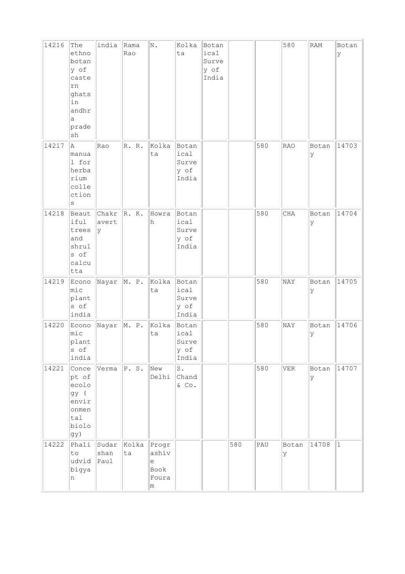| 14216 | The<br>ethno<br>botan<br>y of<br>caste<br>rn<br>ghats<br>in<br>andhr<br>a<br>prade<br>sh | india                  | Rama<br>Rao | $\mathbbm{N}$ .                                              | Kolka<br>ta                             | Botan<br>ical<br>Surve<br>y of<br>India |     |     | 580        | RAM         | Botan<br>У |
|-------|------------------------------------------------------------------------------------------|------------------------|-------------|--------------------------------------------------------------|-----------------------------------------|-----------------------------------------|-----|-----|------------|-------------|------------|
| 14217 | A<br>manua<br>1 for<br>herba<br>rium<br>colle<br>ction<br>S                              | Rao                    | R. R.       | Kolka<br>ta                                                  | Botan<br>ical<br>Surve<br>y of<br>India |                                         |     | 580 | <b>RAO</b> | Botan<br>У  | 14703      |
| 14218 | Beaut<br>iful<br>trees<br>and<br>shrul<br>s of<br>calcu<br>tta                           | Chakr<br>avert<br>У    | R. K.       | Howra<br>h                                                   | Botan<br>ical<br>Surve<br>y of<br>India |                                         |     | 580 | CHA        | Botan<br>У  | 14704      |
| 14219 | Econo<br>mic<br>plant<br>s of<br>india                                                   | Nayar                  | M. P.       | Kolka<br>ta                                                  | Botan<br>ical<br>Surve<br>y of<br>India |                                         |     | 580 | NAY        | Botan<br>У  | 14705      |
| 14220 | Econo<br>mic<br>plant<br>s of<br>india                                                   | Nayar                  | M. P.       | Kolka<br>ta                                                  | Botan<br>ical<br>Surve<br>y of<br>India |                                         |     | 580 | NAY        | Botan<br>У  | 14706      |
| 14221 | Conce<br>pt of<br>ecolo<br>gy (<br>envir<br>onmen<br>tal<br>biolo<br>gy)                 | Verma                  | P.S.        | New<br>Delhi                                                 | $S$ .<br>Chand<br>$\&$ Co.              |                                         |     | 580 | <b>VER</b> | Botan<br>lУ | 14707      |
| 14222 | Phali<br>to<br>udvid<br>bigya<br>n                                                       | Sudar<br>shan<br>leaul | Kolka<br>ta | Progr<br>ashiv<br>$\mathrel{\text{e}}$<br>Book<br>Foura<br>m |                                         |                                         | 580 | PAU | Botan<br>У | 14708       | $\vert$ 1  |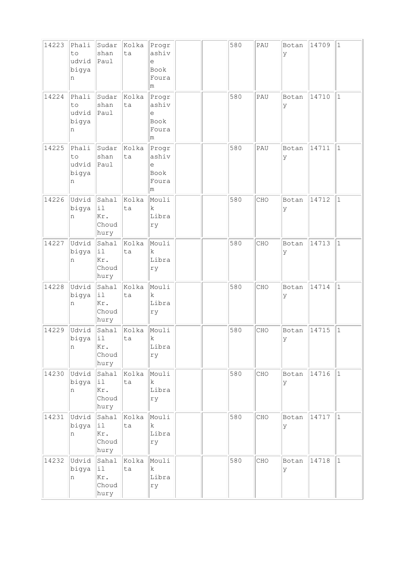| 14223 | Phali<br>to<br>udvid<br>bigya<br>n | Sudar<br>shan<br>Paul                                   | Kolka<br>ta | Progr<br>ashiv<br>e<br>Book<br>Foura<br>m |  | 580 | PAU | Botan<br>У  | 14709 | $\mathbf{1}$ |
|-------|------------------------------------|---------------------------------------------------------|-------------|-------------------------------------------|--|-----|-----|-------------|-------|--------------|
| 14224 | Phali<br>to<br>udvid<br>bigya<br>n | Sudar<br>shan<br>Paul                                   | Kolka<br>ta | Progr<br>ashiv<br>e<br>Book<br>Foura<br>m |  | 580 | PAU | Botan<br>У  | 14710 | $\mathbf{1}$ |
| 14225 | Phali<br>to<br>udvid<br>bigya<br>n | Sudar<br>shan<br>Paul                                   | Kolka<br>ta | Progr<br>ashiv<br>e<br>Book<br>Foura<br>m |  | 580 | PAU | Botan<br>У  | 14711 | $\mathbf{1}$ |
| 14226 | Udvid<br>bigya<br>n                | Sahal<br>$\mathtt{i}\mathtt{l}$<br>Kr.<br>Choud<br>hury | Kolka<br>ta | Mouli<br>k<br>Libra<br>ry                 |  | 580 | CHO | Botan<br>У  | 14712 | $\mathbf{1}$ |
| 14227 | Udvid<br>bigya<br>n                | Sahal<br>i1<br>Kr.<br>Choud<br>hury                     | Kolka<br>ta | Mouli<br>k<br>Libra<br>ry                 |  | 580 | CHO | Botan<br>У  | 14713 | $\mathbf{1}$ |
| 14228 | Udvid<br>bigya<br>n                | Sahal<br>$\pm 1$<br>Kr.<br>Choud<br>hury                | Kolka<br>ta | Mouli<br>k.<br>Libra<br>ry                |  | 580 | CHO | Botan<br>У  | 14714 | $\mathbf{1}$ |
| 14229 | Udvid<br>bigya<br>n                | Sahal<br>$\mathtt{il}$<br>Kr.<br>Choud<br>hury          | Kolka<br>ta | Mouli<br>$\rm k$<br>Libra<br>ry           |  | 580 | CHO | Botan<br>У  | 14715 | $\mathbf 1$  |
| 14230 | Udvid<br>bigya<br>n                | Sahal<br>il.<br>Kr.<br>Choud<br>hury                    | kolka<br>ta | Mouli<br>$\mathbf{k}$<br>Libra<br>ry      |  | 580 | CHO | Botan<br>Ιy | 14716 | $\vert$ 1    |
| 14231 | Udvid<br>bigya<br>n                | Sahal<br> il<br>Kr.<br>Choud<br>hury                    | Kolka<br>ta | Mouli<br>k.<br>Libra<br>ry                |  | 580 | CHO | Botan<br>lУ | 14717 | $\mathbf{1}$ |
| 14232 | Udvid<br>bigya<br>n                | Sahal<br> i1<br>Kr.<br>Choud<br>hury                    | Kolka<br>ta | Mouli<br>k<br>Libra<br>ry                 |  | 580 | CHO | Botan<br>Ιy | 14718 | $\mathbf{1}$ |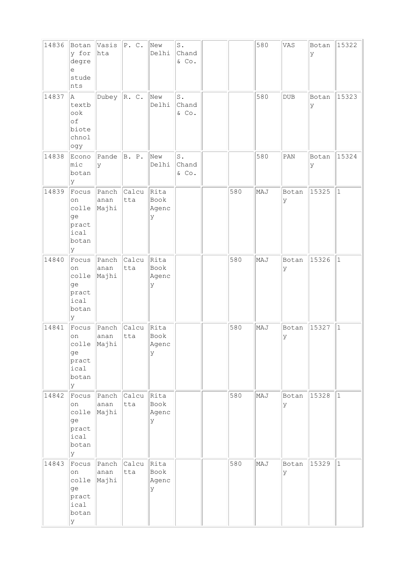| 14836 | Botan<br>y for<br>degre<br>е<br>stude<br>nts               | Vasis $ P.C. $<br>hta        |              | New<br>Delhi                | $\texttt{S}$ .<br>Chand<br>$\&$ Co. |     | 580 | VAS          | Botan<br>У | 15322        |
|-------|------------------------------------------------------------|------------------------------|--------------|-----------------------------|-------------------------------------|-----|-----|--------------|------------|--------------|
| 14837 | A<br>textb<br>ook<br>of<br>biote<br>chnol<br>ogy           | Dubey                        | R. C.        | New<br>Delhi                | $\mathbbm{S}$ .<br>Chand<br>& Co.   |     | 580 | $_{\rm DUB}$ | Botan<br>У | 15323        |
| 14838 | Econo<br>$ $ mic<br>botan<br>У                             | Pande<br>У                   | B. P.        | New<br>Delhi                | $\texttt{S}$ .<br>Chand<br>& Co.    |     | 580 | PAN          | Botan<br>У | 15324        |
| 14839 | Focus<br>on<br>colle<br>ge<br>pract<br>ical<br>botan<br>lУ | Panch<br>anan<br>Majhi       | Calcu<br>tta | Rita<br>Book<br>Agenc<br>У  |                                     | 580 | MAJ | Botan<br>У   | 15325      | $\mathbf{1}$ |
| 14840 | Focus<br>on<br>colle<br>ge<br>pract<br>ical<br>botan<br>У  | Panch<br>anan<br>Majhi       | Calcu<br>tta | Rita<br>Book<br>Agenc<br>У  |                                     | 580 | MAJ | Botan<br>У   | 15326      | $\mathbf{1}$ |
| 14841 | Focus<br>on<br>ge<br>pract<br>ical<br>botan<br>y           | Panch<br>anan<br>colle Majhi | Calcu<br>tta | Rita<br>Book<br>Agenc<br>Y  |                                     | 580 | MAJ | Botan<br>ΙY  | 15327      | $\mathbf{1}$ |
| 14842 | Focus<br>on<br>colle<br>ge<br>pract<br>ical<br>botan<br>lУ | Panch<br>anan<br>Majhi       | Calcu<br>tta | Rita<br>Book<br>Agenc<br>lУ |                                     | 580 | MAJ | Botan<br>У   | 15328      | $\mathbf{1}$ |
| 14843 | Focus<br>on<br>colle<br>ge<br>pract<br>ical<br>botan<br>У  | Panch<br>anan<br>Majhi       | Calcu<br>tta | Rita<br>Book<br>Agenc<br>У  |                                     | 580 | MAJ | Botan<br>У   | 15329      | $\vert$ 1    |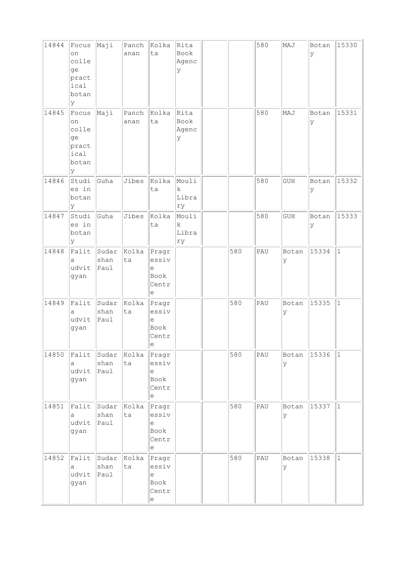| 14844 | Focus<br>on<br>colle<br>ge<br>pract<br>ical<br>botan<br>lУ | Maji                  | Panch<br>anan | Kolka<br>ta                                                                           | Rita<br>Book<br>Agenc<br>У           |     | 580 | MAJ         | Botan<br>У | 15330     |
|-------|------------------------------------------------------------|-----------------------|---------------|---------------------------------------------------------------------------------------|--------------------------------------|-----|-----|-------------|------------|-----------|
| 14845 | Focus<br>on<br>colle<br>ge<br>pract<br>ical<br>botan<br>lУ | Maji                  | Panch<br>anan | Kolka<br>ta                                                                           | Rita<br>Book<br>Agenc<br>У           |     | 580 | MAJ         | Botan<br>У | 15331     |
| 14846 | Studi<br>es in<br>botan<br>lУ                              | Guha                  | Jibes         | Kolka<br>ta                                                                           | Mouli<br>$\mathbf{k}$<br>Libra<br>ry |     | 580 | <b>GUH</b>  | Botan<br>У | 15332     |
| 14847 | Studi<br>es in<br>botan<br>lУ                              | Guha                  | Jibes         | Kolka<br>ta                                                                           | Mouli<br>k<br>Libra<br>ry            |     | 580 | GUH         | Botan<br>У | 15333     |
| 14848 | $ $ Falit<br>а<br>udvit<br>gyan                            | Sudar<br>shan<br>Paul | Kolka<br>ta   | $ $ Pragr<br>essiv<br>$\in$<br>Book<br>Centr<br>е                                     |                                      | 580 | PAU | Botan<br>Ιy | 15334      | $\vert$ 1 |
| 14849 | Falit<br>а<br>udvit<br>gyan                                | Sudar<br>shan<br>Paul | Kolka<br>ta   | Pragr<br>essiv<br>$\epsilon$<br>Book<br>Centr<br> e                                   |                                      | 580 | PAU | Botan<br>У  | 15335      | $\vert$ 1 |
| 14850 | Falit<br>а<br>udvit<br>gyan                                | Sudar<br>shan<br>Paul | Kolka<br>ta   | Pragr<br>essiv<br>$\mathop{\mathrm{e}}$<br>Book<br>Centr<br>$\mathop{\rm e}\nolimits$ |                                      | 580 | PAU | Botan<br>Ιy | 15336      | 1         |
| 14851 | Falit<br>а<br>udvit<br>gyan                                | Sudar<br>shan<br>Paul | Kolka<br>ta   | Pragr<br>essiv<br>е<br>Book<br>Centr<br>е                                             |                                      | 580 | PAU | Botan<br>lУ | 15337      | 1         |
| 14852 | Falit<br>a<br>udvit<br>gyan                                | Sudar<br>shan<br>Paul | Kolka<br>ta   | Pragr<br>essiv<br>$\epsilon$<br>Book<br>Centr<br>$\in$                                |                                      | 580 | PAU | Botan<br>ΙY | 15338      | $\vert$ 1 |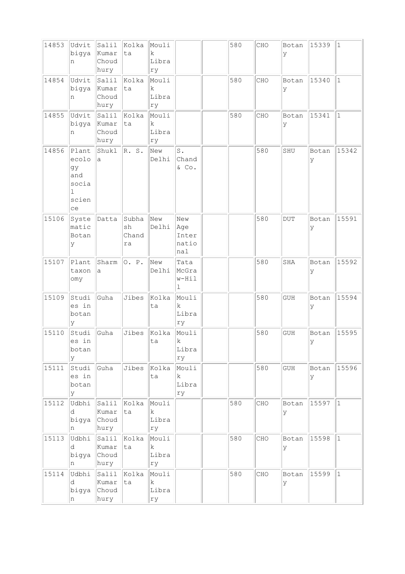| 14853 | Udvit<br>bigya<br>n                                      | Salil<br>kumar<br>Choud<br>hury | Kolka<br>ta                | Mouli<br>$\mathbf k$<br>Libra<br>ry |                                       | 580 | CHO | Botan<br>ΙY | 15339       | $\vert$ 1    |
|-------|----------------------------------------------------------|---------------------------------|----------------------------|-------------------------------------|---------------------------------------|-----|-----|-------------|-------------|--------------|
| 14854 | Udvit<br>bigya<br>n                                      | Salil<br>Kumar<br>Choud<br>hury | Kolka<br>ta                | Mouli<br>k<br>Libra<br>ry           |                                       | 580 | CHO | Botan<br>Ιy | 15340       | $\mathbf{1}$ |
| 14855 | Udvit<br>bigya<br>n                                      | Salil<br>Kumar<br>Choud<br>hury | Kolka<br>ta                | Mouli<br>$\rm k$<br>Libra<br>ry     |                                       | 580 | CHO | Botan<br>У  | 15341       | $\vert$ 1    |
| 14856 | Plant<br>ecolo<br>gy<br>and<br>socia<br>ı<br>scien<br>ce | Shukl<br>a                      | R. S.                      | New<br>Delhi                        | $\texttt{S}$ .<br>Chand<br>& Co.      |     | 580 | SHU         | Botan<br>ly | 15342        |
| 15106 | Syste<br>matic<br>Botan<br>У                             | Datta                           | Subha<br>sh<br>Chand<br>ra | New<br>Delhi                        | New<br>Age<br>Inter<br>natio<br>nal   |     | 580 | <b>DUT</b>  | Botan<br>У  | 15591        |
| 15107 | Plant<br>taxon<br>omy                                    | Sharm<br>a                      | 0. P.                      | New<br>Delhi                        | Tata<br>McGra<br>w-Hil<br>$\mathbf 1$ |     | 580 | <b>SHA</b>  | Botan<br>У  | 15592        |
| 15109 | Studi<br>es in<br>botan<br>У                             | Guha                            | Jibes                      | Kolka<br>ta                         | Mouli<br>k<br>Libra<br>ry             |     | 580 | <b>GUH</b>  | Botan<br>У  | 15594        |
| 15110 | Studi<br>es ın<br>botan<br>У                             | Guha                            | Jibes                      | Kolka<br>ta                         | Mouli<br>k.<br>Libra<br>ry            |     | 580 | <b>GUH</b>  | Botan<br>У  | 15595        |
| 15111 | Studi<br>es in<br>botan<br>У                             | Guha                            | Jibes                      | Kolka<br>ta                         | Mouli<br>$\mathbf k$<br>Libra<br>rу   |     | 580 | GUH         | Botan<br>lУ | 15596        |
| 15112 | Udbhi<br>d<br>bigya<br>n                                 | Salil<br>Kumar<br>Choud<br>hury | Kolka<br>ta                | Mouli<br>k<br>Libra<br>ry           |                                       | 580 | CHO | Botan<br>У  | 15597       | $\mathbf{1}$ |
| 15113 | Udbhi<br>d<br>bigya<br>n                                 | Salil<br>Kumar<br>Choud<br>hury | Kolka<br>ta                | Mouli<br>$\mathbf k$<br>Libra<br>rу |                                       | 580 | CHO | Botan<br>lУ | 15598       | $ 1\rangle$  |
| 15114 | Udbhi<br>d<br>bigya<br>n                                 | Salil<br>Kumar<br>Choud<br>hury | Kolka<br>ta                | Mouli<br>k<br>Libra<br>rу           |                                       | 580 | CHO | Botan<br>lУ | 15599       | $ 1\rangle$  |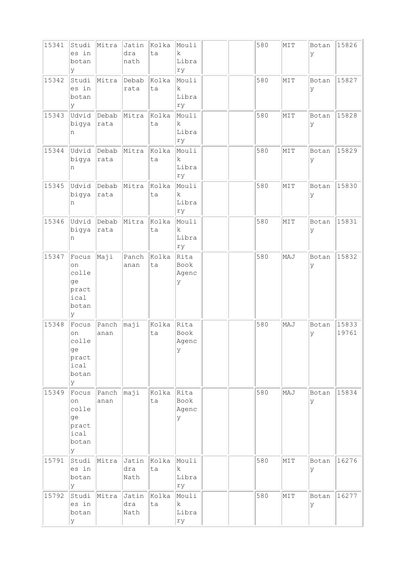| 15341 | Studi<br>es in<br>botan<br>У                              | Mitra         | Jatin<br>dra<br>nath | Kolka<br>ta | Mouli<br>$\mathbf k$<br>Libra<br>ry |  | 580 | MTT | Botan<br>У  | 15826          |
|-------|-----------------------------------------------------------|---------------|----------------------|-------------|-------------------------------------|--|-----|-----|-------------|----------------|
| 15342 | Studi<br>es in<br>botan<br>У                              | Mitra         | Debab<br>rata        | Kolka<br>ta | Mouli<br>$\mathbf k$<br>Libra<br>ry |  | 580 | MIT | Botan<br>У  | 15827          |
| 15343 | Udvid<br>bigya<br>n                                       | Debab<br>rata | Mitra                | Kolka<br>ta | Mouli<br>k.<br>Libra<br>ry          |  | 580 | MIT | Botan<br>lУ | 15828          |
| 15344 | Udvid<br>bigya<br>n                                       | Debab<br>rata | Mitra                | Kolka<br>ta | Mouli<br>k<br>Libra<br>ry           |  | 580 | MIT | Botan<br>У  | 15829          |
| 15345 | Udvid<br>bigya<br>n                                       | Debab<br>rata | Mitra                | Kolka<br>ta | Mouli<br>$\mathbf k$<br>Libra<br>ry |  | 580 | MIT | Botan<br>У  | 15830          |
| 15346 | Udvid<br>bigya<br>n                                       | Debab<br>rata | Mitra                | Kolka<br>ta | Mouli<br>k<br>Libra<br>ry           |  | 580 | MIT | Botan<br>У  | 15831          |
| 15347 | Focus<br>on<br>colle<br>ge<br>pract<br>ical<br>botan<br>У | Maji          | Panch<br>anan        | Kolka<br>ta | Rita<br>Book<br>Agenc<br>У          |  | 580 | MAJ | Botan<br>У  | 15832          |
| 15348 | Focus<br>on<br>colle<br>ge<br>pract<br>ical<br>botan<br>У | Panch<br>anan | maji                 | Kolka<br>ta | Rita<br>Book<br>Agenc<br>У          |  | 580 | MAJ | Botan<br>ΙY | 15833<br>19761 |
| 15349 | Focus<br>on<br>colle<br>ge<br>pract<br>ical<br>botan<br>У | Panch<br>anan | maji                 | Kolka<br>ta | Rita<br>Book<br>Agenc<br>У          |  | 580 | MAJ | Botan<br>У  | 15834          |
| 15791 | Studi<br>es in<br>botan<br>У                              | Mitra         | Jatin<br>dra<br>Nath | Kolka<br>ta | Mouli<br>k<br>Libra<br>ry           |  | 580 | MIT | Botan<br>ΙY | 16276          |
| 15792 | Studi<br>es in<br>botan<br>У                              | Mitra         | Jatin<br>dra<br>Nath | Kolka<br>ta | Mouli<br>k<br>Libra<br>ry           |  | 580 | MTT | Botan<br>lУ | 16277          |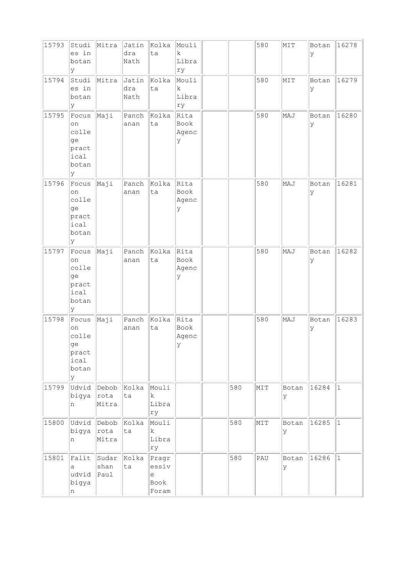| 15793 | Studi<br>es in<br>botan<br>У                               | Mitra                  | dra<br>Nath          | Jatin  Kolka<br>ta                       | Mouli<br>$\mathbf k$<br>Libra<br>rу |     | 580 | MIT        | Botan<br>ΙY | 16278       |
|-------|------------------------------------------------------------|------------------------|----------------------|------------------------------------------|-------------------------------------|-----|-----|------------|-------------|-------------|
| 15794 | Studi<br>es in<br>botan<br>Y                               | Mitra                  | Jatin<br>dra<br>Nath | Kolka<br>ta                              | Mouli<br>k<br>Libra<br>rу           |     | 580 | MIT        | Botan<br>lУ | 16279       |
| 15795 | Focus<br>on<br>colle<br>ge<br>pract<br>ical<br>botan<br>У  | Maji                   | Panch<br>anan        | Kolka<br>ta                              | Rita<br>Book<br>Agenc<br>У          |     | 580 | MAJ        | Botan<br>lУ | 16280       |
| 15796 | Focus<br>on<br>colle<br>ge<br>pract<br>ical<br>botan<br>lУ | Maji                   | Panch<br>anan        | Kolka<br>ta                              | Rita<br>Book<br>Agenc<br>У          |     | 580 | MAJ        | Botan<br>У  | 16281       |
| 15797 | Focus<br>on<br>colle<br>ge<br>pract<br>ical<br>botan<br>lУ | Maji                   | Panch<br>anan        | Kolka<br>ta                              | Rita<br>Book<br>Agenc<br>У          |     | 580 | MAJ        | Botan<br>У  | 16282       |
| 15798 | Focus<br>on<br>colle<br>ge<br>pract<br>ical<br>botan<br>lУ | Maji                   | Panch<br>anan        | Kolka<br>ta                              | Rita<br>Book<br>Agenc<br>У          |     | 580 | MAJ        | Botan<br>Ιy | 16283       |
| 15799 | Udvid<br>bigya<br>n                                        | Debob<br>rota<br>Mitra | Kolka<br>ta          | Mouli<br>$\rm k$<br>Libra<br>ry          |                                     | 580 | MIT | Botan<br>У | 16284       | $\vert$ 1   |
| 15800 | Udvid<br>bigya<br>n                                        | Debob<br>rota<br>Mitra | Kolka<br>ta          | Mouli<br>$\mathbf k$<br>Libra<br>ry      |                                     | 580 | MIT | Botan<br>У | 16285       | $ 1\rangle$ |
| 15801 | Falit<br>a<br>udvid<br>bigya<br>n                          | Sudar<br>shan<br>Paul  | Kolka<br>ta          | Pragr<br>essiv<br>$\in$<br>Book<br>Foram |                                     | 580 | PAU | Botan<br>У | 16286       | $ 1\rangle$ |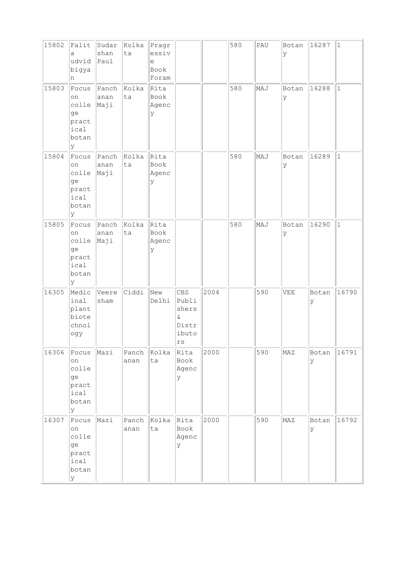| 15802 | Falit<br>a<br>udvid<br>bigya<br>n                          | Sudar<br>shan<br>Paul | Kolka<br>ta   | Pragr<br>essiv<br>$\in$<br>Book<br>Foram |                                                                      |      | 580 | PAU | Botan<br>У | 16287       | $ 1\rangle$ |
|-------|------------------------------------------------------------|-----------------------|---------------|------------------------------------------|----------------------------------------------------------------------|------|-----|-----|------------|-------------|-------------|
| 15803 | Focus<br>on<br>colle<br>ge<br>pract<br>ical<br>botan<br>Y  | Panch<br>anan<br>Maji | Kolka<br>ta   | Rita<br>Book<br>Agenc<br>У               |                                                                      |      | 580 | MAJ | Botan<br>У | 16288       | $\vert$ 1   |
| 15804 | Focus<br>on<br>colle<br>ge<br>pract<br>ical<br>botan<br>lУ | Panch<br>anan<br>Maji | Kolka<br>ta   | Rita<br>Book<br>Agenc<br>У               |                                                                      |      | 580 | MAJ | Botan<br>У | 16289       | $\vert$ 1   |
| 15805 | Focus<br>on<br>colle<br>ge<br>pract<br>ical<br>botan<br>lУ | Panch<br>anan<br>Maji | Kolka<br>ta   | Rita<br>Book<br>Agenc<br>У               |                                                                      |      | 580 | MAJ | Botan<br>У | 16290       | $\vert$ 1   |
| 16305 | Medic<br>inal<br>plant<br>biote<br>chnol<br>ogy            | Veere<br>sham         | Ciddi         | New<br>Delhi                             | CBS<br>Publi<br>shers<br>$\delta$<br>Distr<br>ibuto<br>$\mathtt{rs}$ | 2004 |     | 590 | VEE        | Botan<br>ΙY | 16790       |
| 16306 | Focus<br>on<br>colle<br>ge<br>pract<br>ical<br>botan<br>lУ | Mazi                  | Panch<br>anan | Kolka<br>ta                              | Rita<br>Book<br>Agenc<br>У                                           | 2000 |     | 590 | MAZ        | Botan<br>lУ | 16791       |
| 16307 | Focus<br>on<br>colle<br>ge<br>pract<br>ical<br>botan<br>У  | Mazi                  | Panch<br>anan | Kolka<br>ta                              | Rita<br>Book<br>Agenc<br>У                                           | 2000 |     | 590 | MAZ        | Botan<br>lУ | 16792       |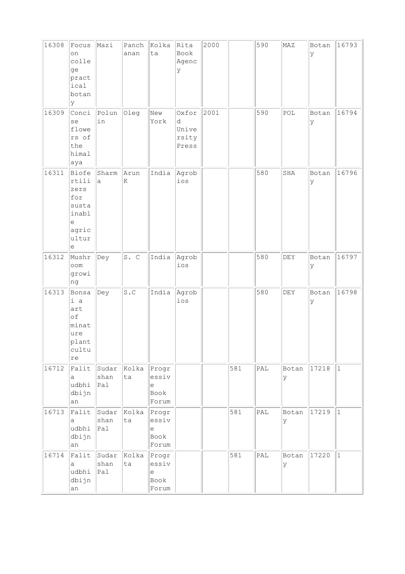| 16308 | Focus<br>on<br>colle<br>ge<br>pract<br>ical<br>botan<br>У                                                                                                 | Mazi                  | Panch<br>anan | Kolka<br>ta                                                                 | Rita<br>Book<br>Agenc<br>У            | 2000 |     | 590                         | MAZ                         | Botan<br>lУ | 16793       |
|-------|-----------------------------------------------------------------------------------------------------------------------------------------------------------|-----------------------|---------------|-----------------------------------------------------------------------------|---------------------------------------|------|-----|-----------------------------|-----------------------------|-------------|-------------|
| 16309 | Conci<br>se<br>flowe<br>rs of<br>the<br>himal<br>aya                                                                                                      | Polun<br>in           | Oleg          | New<br>York                                                                 | Oxfor<br>d<br>Unive<br>rsity<br>Press | 2001 |     | 590                         | POL                         | Botan<br>У  | 16794       |
| 16311 | Biofe<br>rtili<br>zers<br>for<br>susta<br>inabl<br>$\mathrel{\mathop{\mathrm{e}}\nolimits}$<br>agric<br>ultur<br>$\mathrel{\mathop{\mathrm{e}}\nolimits}$ | Sharm<br>a            | Arun<br>K     | India                                                                       | Agrob<br>ios                          |      |     | 580                         | SHA                         | Botan<br>lУ | 16796       |
| 16312 | Mushr<br>oom<br>growi<br>ng                                                                                                                               | Dey                   | S. C          | India                                                                       | Agrob<br>ios                          |      |     | 580                         | DEY                         | Botan<br>У  | 16797       |
| 16313 | Bonsa<br>i a<br>art<br>of<br>minat<br>ure<br>plant<br>cultu<br>re                                                                                         | Dey                   | S.C           | India                                                                       | Agrob<br>ios                          |      |     | 580                         | $\mathop{\rm DEY}\nolimits$ | Botan<br>У  | 16798       |
| 16712 | Falit<br>a<br>udbhi<br>dbijn<br>an                                                                                                                        | Sudar<br>shan<br>Pal  | Kolka<br>ta   | Progr<br>essiv<br>$\mathrel{\mathop{\mathrm{e}}\nolimits}$<br>Book<br>Forum |                                       |      | 581 | $\mathtt{PAL}$              | Botan<br>У                  | 17218       | $ 1\rangle$ |
| 16713 | Falit<br>a<br>udbhi<br>dbijn<br>an                                                                                                                        | Sudar<br>shan<br> Pa1 | Kolka<br>ta   | Progr<br>essiv<br>$\mathrel{\mathop{\mathrm{e}}\nolimits}$<br>Book<br>Forum |                                       |      | 581 | $\ensuremath{\mathsf{PAL}}$ | Botan<br>У                  | 17219       | $\vert$ 1   |
| 16714 | Falit<br>a<br>udbhi<br>dbijn<br>an                                                                                                                        | Sudar<br>shan<br>Pal  | Kolka<br>ta   | Progr<br>essiv<br>$\epsilon$<br>Book<br>Forum                               |                                       |      | 581 | $\mathtt{PAL}$              | Botan<br>У                  | 17220       | $ 1\rangle$ |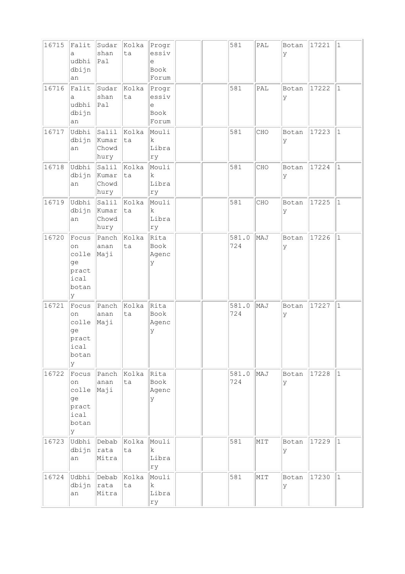| 16715 | Falit<br>a<br>udbhi<br>dbijn<br>an                                   | Sudar<br>shan<br>Pal            | Kolka<br>ta | Progr<br>essiv<br>$\in$<br>Book<br>Forum |  | 581          | $\ensuremath{\mathsf{PAL}}$ | Botan<br>У  | 17221 | $\vert$ 1   |
|-------|----------------------------------------------------------------------|---------------------------------|-------------|------------------------------------------|--|--------------|-----------------------------|-------------|-------|-------------|
| 16716 | Falit<br>а<br>udbhi<br>dbijn<br>an                                   | Sudar<br>shan<br>Pal            | Kolka<br>ta | Progr<br>essiv<br>е<br>Book<br>Forum     |  | 581          | PAL                         | Botan<br>Ιy | 17222 | $ 1\rangle$ |
| 16717 | Udbhi<br>dbijn<br>an                                                 | Salil<br>Kumar<br>Chowd<br>hury | Kolka<br>ta | Mouli<br>$\mathbf k$<br>Libra<br>rу      |  | 581          | CHO                         | Botan<br>ΙY | 17223 | $\vert$ 1   |
| 16718 | Udbhi<br>dbijn<br>an                                                 | Salil<br>Kumar<br>Chowd<br>hury | Kolka<br>ta | Mouli<br>k<br>Libra<br>ry                |  | 581          | CHO                         | Botan<br>У  | 17224 | $\vert$ 1   |
| 16719 | Udbhi<br>dbijn<br>an                                                 | Salil<br>Kumar<br>Chowd<br>hury | Kolka<br>ta | Mouli<br>$\mathbf k$<br>Libra<br>ry      |  | 581          | CHO                         | Botan<br>У  | 17225 | $\vert$ 1   |
| 16720 | Focus<br>on<br>colle<br>ge<br>pract<br>ical<br>botan<br><sup>y</sup> | Panch<br>anan<br>Maji           | Kolka<br>ta | Rita<br>Book<br>Agenc<br>У               |  | 581.0<br>724 | MAJ                         | Botan<br>У  | 17226 | $\vert$ 1   |
| 16721 | Focus<br>on<br>colle<br>ge<br>pract<br>ıcal<br>botan<br>Y            | Panch<br>anan<br>Maji           | Kolka<br>ta | Rita<br>Book<br>Agenc<br>У               |  | 581.0<br>724 | MAJ                         | Botan<br>У  | 17227 | $\vert$ 1   |
| 16722 | Focus<br>on<br>colle<br>ge<br>pract<br>ical<br>botan<br>У            | Panch<br>anan<br>Maji           | Kolka<br>ta | Rita<br>Book<br>Agenc<br>У               |  | 581.0<br>724 | MAJ                         | Botan<br>У  | 17228 | $ 1\rangle$ |
| 16723 | Udbhi<br>dbijn<br>an                                                 | Debab<br>rata<br>Mitra          | Kolka<br>ta | Mouli<br>k<br>Libra<br>ry                |  | 581          | MIT                         | Botan<br>У  | 17229 | $ 1\rangle$ |
| 16724 | Udbhi<br>dbijn<br>an                                                 | Debab<br>rata<br>Mitra          | Kolka<br>ta | Mouli<br>k<br>Libra<br>rу                |  | 581          | MIT                         | Botan<br>ΙY | 17230 | $ 1\rangle$ |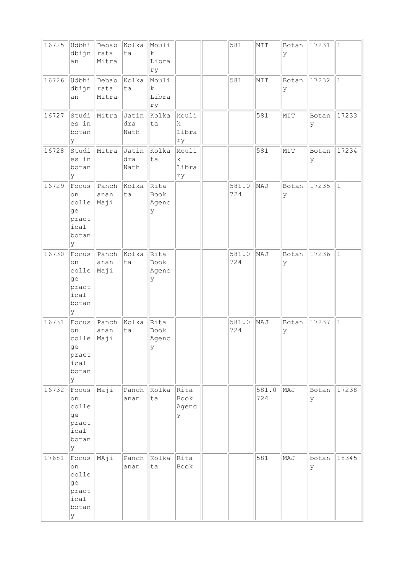| 16725 | Udbhi<br>dbijn<br>an                                       | Debab<br> rata<br>Mitra | Kolka<br>ta          | Mouli<br>$\rm k$<br>Libra<br>ry     |                                     | 581          | NIT          | Botan<br>У | 17231      | $\vert$ 1    |
|-------|------------------------------------------------------------|-------------------------|----------------------|-------------------------------------|-------------------------------------|--------------|--------------|------------|------------|--------------|
| 16726 | Udbhi<br>dbijn<br>an                                       | Debab<br>rata<br>Mitra  | Kolka<br>ta          | Mouli<br>$\mathbf k$<br>Libra<br>ry |                                     | 581          | MIT          | Botan<br>У | 17232      | $\mathbf{1}$ |
| 16727 | Studi<br>es in<br>botan<br>Y                               | Mitra                   | Jatin<br>dra<br>Nath | Kolka<br>ta                         | Mouli<br>$\mathbf k$<br>Libra<br>ry |              | 581          | MIT        | Botan<br>У | 17233        |
| 16728 | Studi<br>es in<br>botan<br>lУ                              | Mitra                   | Jatin<br>dra<br>Nath | Kolka<br>ta                         | Mouli<br>k<br>Libra<br>ry           |              | 581          | MIT        | Botan<br>У | 17234        |
| 16729 | Focus<br>on<br>colle<br>ge<br>pract<br>ical<br>botan<br>У  | Panch<br>anan<br>Maji   | Kolka<br>ta          | Rita<br>Book<br>Agenc<br>У          |                                     | 581.0<br>724 | MAJ          | Botan<br>У | 17235      | $\mathbf{1}$ |
| 16730 | Focus<br>on<br>colle<br>ge<br>pract<br>ical<br>botan<br>lУ | Panch<br>anan<br>Maji   | Kolka<br>ta          | Rita<br>Book<br>Agenc<br>У          |                                     | 581.0<br>724 | MAJ          | Botan<br>У | 17236      | $\mathbf 1$  |
| 16731 | Focus<br>on<br>colle<br>ge<br>pract<br>ical<br>botan<br>lУ | Panch<br>anan<br>Maji   | Kolka<br>ta          | Rita<br>Book<br>Agenc<br>У          |                                     | 581.0<br>724 | MAJ          | Botan<br>У | 17237      | $\mathbf 1$  |
| 16732 | Focus<br>on<br>colle<br>ge<br>pract<br>ical<br>botan<br>lУ | Maji                    | Panch<br>anan        | Kolka<br>ta                         | Rita<br>Book<br>Agenc<br>У          |              | 581.0<br>724 | MAJ        | Botan<br>У | 17238        |
| 17681 | Focus<br>on<br>colle<br>ge<br>pract<br>ical<br>botan<br>Y  | MAji                    | Panch<br>anan        | Kolka<br>ta                         | Rita<br>Book                        |              | 581          | MAJ        | botan<br>У | 18345        |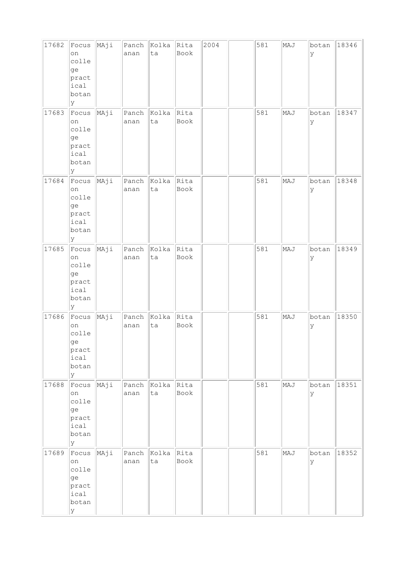| 17682 | Focus<br>on<br>colle<br>ge<br>pract<br>ical<br>botan<br>Y      | MAji | Panch<br>anan | Kolka<br>ta | Rita<br>Book | 2004 | 581 | MAJ | botan<br>У | 18346 |
|-------|----------------------------------------------------------------|------|---------------|-------------|--------------|------|-----|-----|------------|-------|
| 17683 | Focus<br>on<br>colle<br>ge<br>pract<br>ical<br>botan<br>Y      | MAji | Panch<br>anan | Kolka<br>ta | Rita<br>Book |      | 581 | MAJ | botan<br>У | 18347 |
| 17684 | Focus<br>on<br>colle<br>ge<br>pract<br>ical<br>botan<br>Y      | MAji | Panch<br>anan | Kolka<br>ta | Rita<br>Book |      | 581 | MAJ | botan<br>У | 18348 |
| 17685 | Focus<br>on<br>colle<br>ge<br>pract<br>ical<br>botan<br>Y      | MAji | Panch<br>anan | Kolka<br>ta | Rita<br>Book |      | 581 | MAJ | botan<br>У | 18349 |
| 17686 | $ $ Focus<br>on<br>colle<br>ge<br>pract<br>ical<br>botan<br>lУ | MAji | Panch<br>anan | Kolka<br>ta | Rita<br>Book |      | 581 | MAJ | botan<br>У | 18350 |
| 17688 | Focus<br>on<br>colle<br>ge<br>pract<br>ical<br>botan<br>Y      | MAji | Panch<br>anan | Kolka<br>ta | Rita<br>Book |      | 581 | MAJ | botan<br>У | 18351 |
| 17689 | Focus<br>on<br>colle<br>ge<br>pract<br>ical<br>botan<br>Y      | MAji | Panch<br>anan | Kolka<br>ta | Rita<br>Book |      | 581 | MAJ | botan<br>У | 18352 |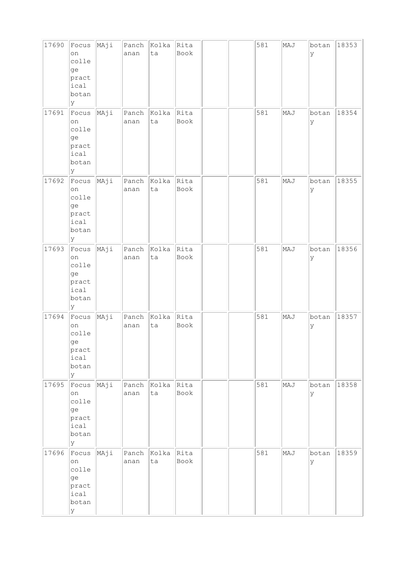| 17690 | Focus<br>on<br>colle<br>ge<br>pract<br>ical<br>botan<br>Y  | MAji | Panch<br>anan | Kolka<br>ta | Rita<br>Book |  | 581 | MAJ | botan<br>У | 18353 |
|-------|------------------------------------------------------------|------|---------------|-------------|--------------|--|-----|-----|------------|-------|
| 17691 | Focus<br>on<br>colle<br>ge<br>pract<br>ical<br>botan<br>Y  | MAji | Panch<br>anan | Kolka<br>ta | Rita<br>Book |  | 581 | MAJ | botan<br>У | 18354 |
| 17692 | Focus<br>on<br>colle<br>ge<br>pract<br>ical<br>botan<br>Y  | MAji | Panch<br>anan | Kolka<br>ta | Rita<br>Book |  | 581 | MAJ | botan<br>У | 18355 |
| 17693 | Focus<br>on<br>colle<br>ge<br>pract<br>ical<br>botan<br>Y  | MAji | Panch<br>anan | Kolka<br>ta | Rita<br>Book |  | 581 | MAJ | botan<br>У | 18356 |
| 17694 | Focus<br>on<br>colle<br>ge<br>pract<br>ical<br>botan<br>lУ | MAji | Panch<br>anan | Kolka<br>ta | Rita<br>Book |  | 581 | MAJ | botan<br>У | 18357 |
| 17695 | Focus<br>on<br>colle<br>ge<br>pract<br>ical<br>botan<br>y  | MAji | Panch<br>anan | Kolka<br>ta | Rita<br>Book |  | 581 | MAJ | botan<br>У | 18358 |
| 17696 | Focus<br>on<br>colle<br>ge<br>pract<br>ical<br>botan<br>Y  | MAji | Panch<br>anan | Kolka<br>ta | Rita<br>Book |  | 581 | MAJ | botan<br>У | 18359 |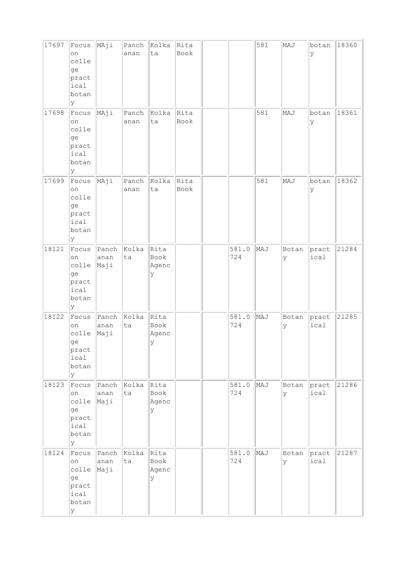| 17697 | Focus<br>on<br>colle<br>ge<br>pract<br>ical<br>botan<br>У | MAji                  | Panch<br>anan | Kolka<br>ta                | Rita<br>Book |              | 581 | MAJ         | botan<br>У    | 18360 |
|-------|-----------------------------------------------------------|-----------------------|---------------|----------------------------|--------------|--------------|-----|-------------|---------------|-------|
| 17698 | Focus<br>on<br>colle<br>ge<br>pract<br>ical<br>botan<br>У | MAji                  | Panch<br>anan | Kolka<br>ta                | Rita<br>Book |              | 581 | MAJ         | botan<br>У    | 18361 |
| 17699 | Focus<br>on<br>colle<br>ge<br>pract<br>ical<br>botan<br>У | MAji                  | Panch<br>anan | Kolka<br>ta                | Rita<br>Book |              | 581 | MAJ         | botan<br>У    | 18362 |
| 18121 | Focus<br>on<br>colle<br>ge<br>pract<br>ical<br>botan<br>У | Panch<br>anan<br>Maji | Kolka<br>ta   | Rita<br>Book<br>Agenc<br>У |              | 581.0<br>724 | MAJ | Botan<br>У  | pract<br>ical | 21284 |
| 18122 | Focus<br>on<br>colle<br>ge<br>pract<br>ical<br>botan<br>У | Panch<br>anan<br>Maji | kolka<br>ta   | Rita<br>Book<br>Agenc<br>У |              | 581.0<br>724 | MAJ | Botan<br>У  | pract<br>ical | 21285 |
| 18123 | Focus<br>on<br>colle<br>ge<br>pract<br>ical<br>botan<br>y | Panch<br>anan<br>Maji | Kolka<br>ta   | Rita<br>Book<br>Agenc<br>Y |              | 581.0<br>724 | MAJ | Botan<br>Ιy | pract<br>ical | 21286 |
| 18124 | Focus<br>on<br>colle<br>ge<br>pract<br>ical<br>botan<br>У | Panch<br>anan<br>Maji | Kolka<br>ta   | Rita<br>Book<br>Agenc<br>У |              | 581.0<br>724 | MAJ | Botan<br>У  | pract<br>ical | 21287 |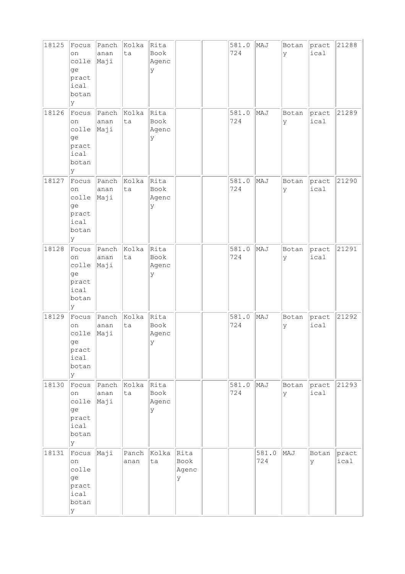| 18125 | Focus<br>on<br>colle<br>ge<br>pract<br>ical<br>botan<br>У | Panch<br>anan<br>Maji | Kolka<br>ta   | Rita<br>Book<br>Agenc<br>У |                            | 581.0<br>724 | MAJ          | Botan<br>Ιy | pract<br>ical | 21288         |
|-------|-----------------------------------------------------------|-----------------------|---------------|----------------------------|----------------------------|--------------|--------------|-------------|---------------|---------------|
| 18126 | Focus<br>on<br>colle<br>ge<br>pract<br>ical<br>botan<br>У | Panch<br>anan<br>Maji | Kolka<br>ta   | Rita<br>Book<br>Agenc<br>У |                            | 581.0<br>724 | MAJ          | Botan<br>У  | pract<br>ical | 21289         |
| 18127 | Focus<br>on<br>colle<br>ge<br>pract<br>ical<br>botan<br>У | Panch<br>anan<br>Maji | Kolka<br>ta   | Rita<br>Book<br>Agenc<br>У |                            | 581.0<br>724 | MAJ          | Botan<br>Ιy | pract<br>ical | 21290         |
| 18128 | Focus<br>on<br>colle<br>ge<br>pract<br>ical<br>botan<br>У | Panch<br>anan<br>Maji | Kolka<br>ta   | Rita<br>Book<br>Agenc<br>У |                            | 581.0<br>724 | MAJ          | Botan<br>У  | pract<br>ical | 21291         |
| 18129 | Focus<br>on<br>colle<br>ge<br>pract<br>ical<br>botan<br>У | Panch<br>anan<br>Maji | kolka<br>ta   | Rita<br>Book<br>Agenc<br>У |                            | 581.0<br>724 | MAJ          | Botan<br>У  | pract<br>ical | 21292         |
| 18130 | Focus<br>on<br>colle<br>ge<br>pract<br>ical<br>botan<br>У | Panch<br>anan<br>Maji | Kolka<br>ta   | Rita<br>Book<br>Agenc<br>У |                            | 581.0<br>724 | MAJ          | Botan<br>Ιy | pract<br>ical | 21293         |
| 18131 | Focus<br>on<br>colle<br>ge<br>pract<br>ical<br>botan<br>У | Maji                  | Panch<br>anan | Kolka<br>ta                | Rita<br>Book<br>Agenc<br>У |              | 581.0<br>724 | MAJ         | Botan<br>У    | pract<br>ical |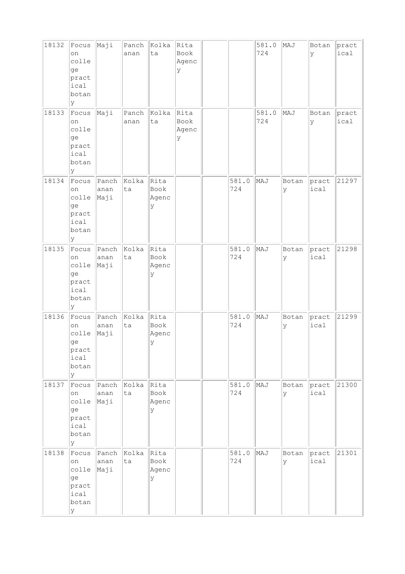| 18132 | Focus<br>on<br>colle<br>ge<br>pract<br>ical<br>botan<br>У | Maji                  | Panch<br>anan | Kolka<br>ta                | Rita<br>Book<br>Agenc<br>У |              | 581.0<br>724 | MAJ         | Botan<br>У    | pract<br>ical |
|-------|-----------------------------------------------------------|-----------------------|---------------|----------------------------|----------------------------|--------------|--------------|-------------|---------------|---------------|
| 18133 | Focus<br>on<br>colle<br>ge<br>pract<br>ical<br>botan<br>У | Maji                  | Panch<br>anan | Kolka<br>ta                | Rita<br>Book<br>Agenc<br>У |              | 581.0<br>724 | MAJ         | Botan<br>У    | pract<br>ical |
| 18134 | Focus<br>on<br>colle<br>ge<br>pract<br>ical<br>botan<br>У | Panch<br>anan<br>Maji | Kolka<br>ta   | Rita<br>Book<br>Agenc<br>У |                            | 581.0<br>724 | MAJ          | Botan<br> y | pract<br>ical | 21297         |
| 18135 | Focus<br>on<br>colle<br>ge<br>pract<br>ical<br>botan<br>У | Panch<br>anan<br>Maji | Kolka<br>ta   | Rita<br>Book<br>Agenc<br>У |                            | 581.0<br>724 | MAJ          | Botan<br>У  | pract<br>ical | 21298         |
| 18136 | Focus<br>on<br>colle<br>ge<br>pract<br>ical<br>botan<br>У | Panch<br>anan<br>Maji | kolka<br>ta   | Rita<br>Book<br>Agenc<br>У |                            | 581.0<br>724 | MAJ          | Botan<br>У  | pract<br>ical | 21299         |
| 18137 | Focus<br>on<br>colle<br>ge<br>pract<br>ical<br>botan<br>У | Panch<br>anan<br>Maji | Kolka<br>ta   | Rita<br>Book<br>Agenc<br>Y |                            | 581.0<br>724 | MAJ          | Botan<br>Ιy | pract<br>ical | 21300         |
| 18138 | Focus<br>on<br>colle<br>ge<br>pract<br>ical<br>botan<br>У | Panch<br>anan<br>Maji | Kolka<br>ta   | Rita<br>Book<br>Agenc<br>У |                            | 581.0<br>724 | MAJ          | Botan<br>У  | pract<br>ical | 21301         |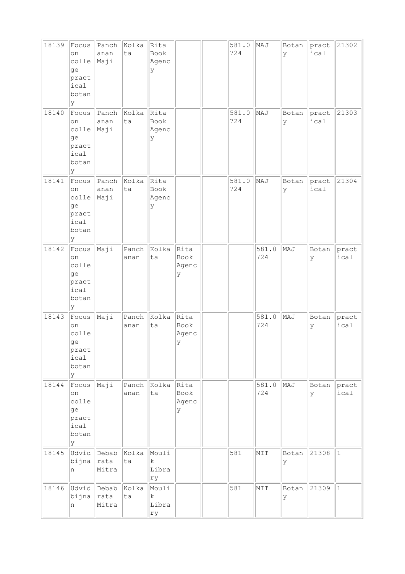| 18139 | Focus<br>on<br>colle<br>ge<br>pract<br>ical<br>botan<br>У | Panch<br>anan<br>Maji  | Kolka<br>ta   | Rita<br>Book<br>Agenc<br>У          |                            | 581.0<br>724 | MAJ          | Botan<br>Ιy | pract<br>ical | 21302         |
|-------|-----------------------------------------------------------|------------------------|---------------|-------------------------------------|----------------------------|--------------|--------------|-------------|---------------|---------------|
| 18140 | Focus<br>on<br>colle<br>ge<br>pract<br>ical<br>botan<br>У | Panch<br>anan<br>Maji  | Kolka<br>ta   | Rita<br>Book<br>Agenc<br>У          |                            | 581.0<br>724 | MAJ          | Botan<br>У  | pract<br>ical | 21303         |
| 18141 | Focus<br>on<br>colle<br>ge<br>pract<br>ical<br>botan<br>У | Panch<br>anan<br>Maji  | Kolka<br>ta   | Rita<br>Book<br>Agenc<br>У          |                            | 581.0<br>724 | MAJ          | Botan<br> y | pract<br>ical | 21304         |
| 18142 | Focus<br>on<br>colle<br>ge<br>pract<br>ical<br>botan<br>У | Maji                   | Panch<br>anan | Kolka<br>ta                         | Rita<br>Book<br>Agenc<br>У |              | 581.0<br>724 | MAJ         | Botan<br>У    | pract<br>ical |
| 18143 | Focus<br>on<br>colle<br>ge<br>pract<br>ical<br>botan<br>У | Maji                   | Panch<br>anan | kolka<br>ta                         | Rita<br>Book<br>Agenc<br>У |              | 581.0<br>724 | MAJ         | Botan<br>У    | pract<br>ical |
| 18144 | Focus<br>on<br>colle<br>ge<br>pract<br>ical<br>botan<br>У | Maji                   | Panch<br>anan | Kolka<br>ta                         | Rita<br>Book<br>Agenc<br>У |              | 581.0<br>724 | MAJ         | Botan<br>lУ   | pract<br>ical |
| 18145 | Udvid<br>bijna<br>n                                       | Debab<br>rata<br>Mitra | Kolka<br>ta   | Mouli<br>k<br>Libra<br>ry           |                            | 581          | NIT          | Botan<br>У  | 21308         | $\vert$ 1     |
| 18146 | Udvid<br>bijna<br>n                                       | Debab<br>rata<br>Mitra | Kolka<br>ta   | Mouli<br>$\mathbf k$<br>Libra<br>ry |                            | 581          | MIT          | Botan<br>Ιy | 21309         | $\vert$ 1     |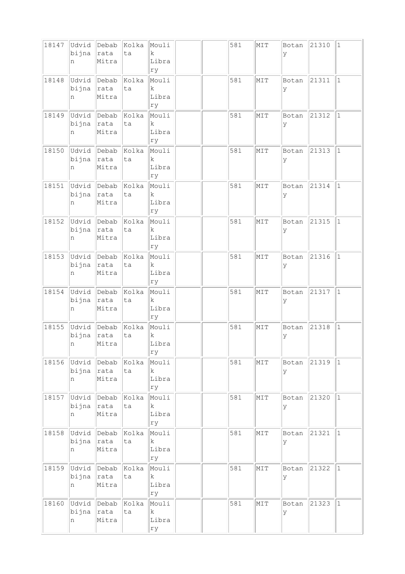| 18147 | Udvid<br>bijna<br>n | Debab<br>rata<br>Mitra  | Kolka<br>ta | Mouli<br>$\mathbf k$<br>Libra<br>ry  |  | 581 | MIT | Botan<br>ΙY | 21310 | $\vert$ 1    |
|-------|---------------------|-------------------------|-------------|--------------------------------------|--|-----|-----|-------------|-------|--------------|
| 18148 | Udvid<br>bijna<br>n | Debab<br>rata<br>Mitra  | Kolka<br>ta | Mouli<br>k<br>Libra<br>ry            |  | 581 | MIT | Botan<br>ΙY | 21311 | $\vert$ 1    |
| 18149 | Udvid<br>bijna<br>n | Debab<br>rata<br>Mitra  | Kolka<br>ta | Mouli<br>$\rm k$<br>Libra<br>ry      |  | 581 | MIT | Botan<br>У  | 21312 | $\vert$ 1    |
| 18150 | Udvid<br>bijna<br>n | Debab<br>rata<br>Mitra  | Kolka<br>ta | Mouli<br>$\mathbf k$<br>Libra<br>ry  |  | 581 | MIT | Botan<br>У  | 21313 | $\mathbf{1}$ |
| 18151 | Udvid<br>bijna<br>n | Debab<br>rata<br>Mitra  | Kolka<br>ta | Mouli<br>k<br>Libra<br>ry            |  | 581 | MIT | Botan<br>lУ | 21314 | $\mathbf{1}$ |
| 18152 | Udvid<br>bijna<br>n | Debab<br> rata<br>Mitra | Kolka<br>ta | Mouli<br>$\mathbf k$<br>Libra<br>rу  |  | 581 | MIT | Botan<br>У  | 21315 | $\vert$ 1    |
| 18153 | Udvid<br>bijna<br>n | Debab<br>rata<br>Mitra  | Kolka<br>ta | Mouli<br>k<br>Libra<br>ry            |  | 581 | MIT | Botan<br>У  | 21316 | $ 1\rangle$  |
| 18154 | Udvid<br>bijna<br>n | Debab<br>rata<br>Mitra  | Kolka<br>ta | Mouli<br>k<br>Libra<br>ry            |  | 581 | MIT | Botan<br>У  | 21317 | $\mathbf{1}$ |
| 18155 | Udvid<br>bijna<br>n | Debab<br>rata<br>Mitra  | Kolka<br>ta | Mouli<br>$\rm k$<br>Libra<br>ry      |  | 581 | MIT | Botan<br>ly | 21318 | $\vert$ 1    |
| 18156 | Udvid<br>bijna<br>n | Debab<br>rata<br>Mitra  | Kolka<br>ta | Mouli<br>k<br>Libra<br>ry            |  | 581 | NIT | Botan<br>У  | 21319 | $\vert$ 1    |
| 18157 | Udvid<br>bijna<br>n | Debab<br> rata<br>Mitra | Kolka<br>ta | Mouli<br>$\mathbf k$<br>Libra<br>rу  |  | 581 | MIT | Botan<br>У  | 21320 | $ 1\rangle$  |
| 18158 | Udvid<br>bijna<br>n | Debab<br>rata<br>Mitra  | Kolka<br>ta | Mouli<br>$\mathbf{k}$<br>Libra<br>ry |  | 581 | MIT | Botan<br>У  | 21321 | $ 1\rangle$  |
| 18159 | Udvid<br>bijna<br>n | Debab<br>rata<br>Mitra  | Kolka<br>ta | Mouli<br>$\mathbf k$<br>Libra<br>ry  |  | 581 | MIT | Botan<br>ΙY | 21322 | $\mathbf{1}$ |
| 18160 | Udvid<br>bijna<br>n | Debab<br>rata<br>Mitra  | Kolka<br>ta | Mouli<br>$\mathbf k$<br>Libra<br>rу  |  | 581 | MIT | Botan<br>У  | 21323 | $\vert$ 1    |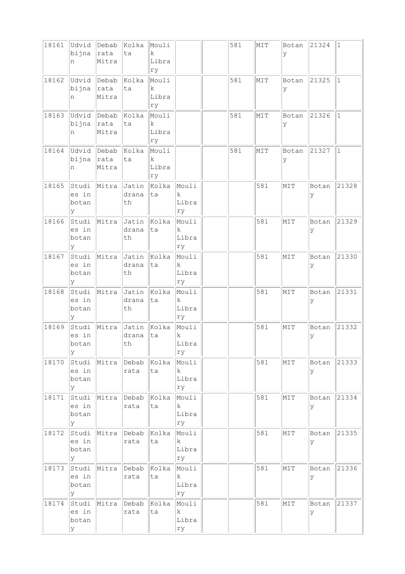| 18161 | Udvid<br>bijna<br>n            | Debab<br> rata<br>Mitra | Kolka<br>ta          | Mouli<br>$\mathbf k$<br>Libra<br>ry |                                      | 581 | MIT | Botan<br>ΙY | 21324       | $\vert$ 1   |
|-------|--------------------------------|-------------------------|----------------------|-------------------------------------|--------------------------------------|-----|-----|-------------|-------------|-------------|
| 18162 | Udvid<br>bijna<br>n            | Debab<br>rata<br>Mitra  | Kolka<br>ta          | Mouli<br>k.<br>Libra<br>ry          |                                      | 581 | MIT | Botan<br>ΙY | 21325       | $\mathbf 1$ |
| 18163 | Udvid<br>bijna<br>n            | Debab<br> rata<br>Mitra | Kolka<br>ta          | Mouli<br>k<br>Libra<br>ry           |                                      | 581 | MIT | Botan<br>У  | 21326       | $\vert$ 1   |
| 18164 | Udvid<br>bijna<br>n            | Debab<br>rata<br>Mitra  | kolka<br>ta          | Mouli<br>$\mathbf k$<br>Libra<br>ry |                                      | 581 | MIT | Botan<br>ΙY | 21327       | $\vert$ 1   |
| 18165 | Studi<br>es in<br>botan<br>У   | Mitra                   | Jatin<br>drana<br>th | Kolka<br>ta                         | Mouli<br>k<br>Libra<br>ry            |     | 581 | MIT         | Botan<br>У  | 21328       |
| 18166 | Studi<br>es in<br>botan<br>У   | Mitra                   | Jatin<br>drana<br>th | Kolka<br>ta                         | Mouli<br>$\mathbf k$<br>Libra<br>ry  |     | 581 | MIT         | Botan<br>У  | 21329       |
| 18167 | Studi<br>es in<br>botan<br>У   | Mitra                   | Jatin<br>drana<br>th | Kolka<br>ta                         | Mouli<br>k.<br>Libra<br>ry           |     | 581 | MIT         | Botan<br>У  | 21330       |
| 18168 | Studi<br>es in<br>botan<br>У   | Mitra                   | Jatin<br>drana<br>th | Kolka<br>ta                         | Mouli<br>k<br>Libra<br>ry            |     | 581 | MIT         | Botan<br>У  | 21331       |
| 18169 | Studi<br>es in<br>botan<br>У   | Mitra                   | Jatin<br>drana<br>th | Kolka<br>ta                         | Mouli<br>$\rm k$<br>Libra<br>rу      |     | 581 | MIT         | Botan<br> y | 21332       |
| 18170 | Studi<br>es in<br>botan<br>У   | Mitra                   | Debab<br>rata        | Kolka<br>ta                         | Mouli<br>$\mathbf k$<br>Libra<br>rу  |     | 581 | NIT         | Botan<br>У  | 21333       |
| 18171 | Studi<br>es in<br>botan<br>У   | Mitra                   | Debab<br>rata        | Kolka<br>ta                         | Mouli<br>$\mathbf{k}$<br>Libra<br>ry |     | 581 | MIT         | Botan<br>ΙY | 21334       |
| 18172 | Studi<br>es in<br>botan<br>У   | Mitra                   | Debab<br>rata        | Kolka<br>ta                         | Mouli<br>$\mathbf{k}$<br>Libra<br>ry |     | 581 | MIT         | Botan<br>lУ | 21335       |
| 18173 | Studi<br>es in<br>botan<br>У   | Mitra                   | Debab<br>rata        | Kolka<br>ta                         | Mouli<br>$\mathbf{k}$<br>Libra<br>ry |     | 581 | MIT         | Botan<br>У  | 21336       |
| 18174 | Studi  <br>es in<br>botan<br>У | Mitra                   | Debab<br>rata        | Kolka<br>ta                         | Mouli<br>$\mathbf{k}$<br>Libra<br>ry |     | 581 | MIT         | Botan<br>У  | 21337       |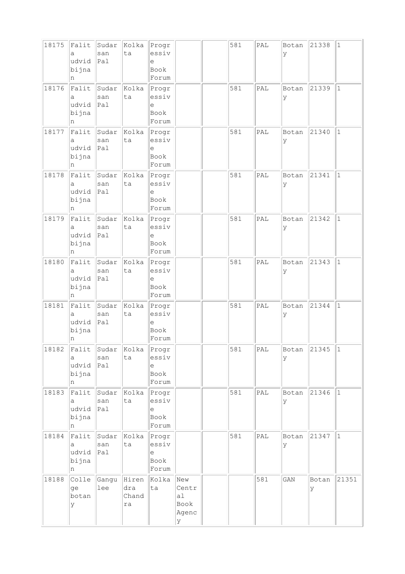| 18175 | Falit<br>a<br>udvid<br>bijna<br>n | Sudar<br>san<br>Pal           | Kolka<br>ta                 | Progr<br>essiv<br>e<br>Book<br>Forum                                        |                                          | 581 | PAL            | Botan<br>У | 21338      | $\vert$ 1    |
|-------|-----------------------------------|-------------------------------|-----------------------------|-----------------------------------------------------------------------------|------------------------------------------|-----|----------------|------------|------------|--------------|
| 18176 | Falit<br>а<br>udvid<br>bijna<br>n | Sudar<br>san<br>$ _{\rm Pal}$ | Kolka<br>ta                 | Progr<br>essiv<br>$\mathrel{\mathop{\mathrm{e}}\nolimits}$<br>Book<br>Forum |                                          | 581 | PAL            | Botan<br>У | 21339      | $\vert$ 1    |
| 18177 | Falit<br>a<br>udvid<br>bijna<br>n | Sudar<br>san<br> Pa1          | Kolka<br>ta                 | Progr<br>essiv<br>е<br>Book<br>Forum                                        |                                          | 581 | PAL            | Botan<br>У | 21340      | $\mathbf{1}$ |
| 18178 | Falit<br>а<br>udvid<br>bijna<br>n | Sudar<br>san<br>Pal           | Kolka<br>ta                 | Progr<br>essiv<br>e<br>Book<br>Forum                                        |                                          | 581 | PAL            | Botan<br>У | 21341      | $1\,$        |
| 18179 | Falit<br>a<br>udvid<br>bijna<br>n | Sudar<br>san<br> Pa1          | Kolka<br>ta                 | Progr<br>essiv<br>е<br>Book<br>Forum                                        |                                          | 581 | PAL            | Botan<br>У | 21342      | $\mathbf{1}$ |
| 18180 | Falit<br>a<br>udvid<br>bijna<br>n | Sudar<br>san<br> Pa1          | Kolka<br>ta                 | Progr<br>essiv<br>e<br>Book<br>Forum                                        |                                          | 581 | PAL            | Botan<br>У | 21343      | $\mathbf{1}$ |
| 18181 | Falit<br>a<br>udvid<br>bijna<br>n | Sudar<br>san<br>Pal           | Kolka<br>ta                 | Progr<br>essiv<br>е<br>Book<br>Forum                                        |                                          | 581 | PAL            | Botan<br>У | 21344      | $\vert$ 1    |
| 18182 | Falit<br>a<br>udvid<br>bijna<br>n | Sudar<br>san<br> Pa1          | Kolka<br>ta                 | Progr<br>essiv<br>$\epsilon$<br>Book<br>Forum                               |                                          | 581 | $\texttt{PAL}$ | Botan<br>У | 21345      | $ 1\rangle$  |
| 18183 | Falit<br>a<br>udvid<br>bijna<br>n | Sudar<br>san<br>Pa1           | Kolka<br>ta                 | Progr<br>essiv<br>$\in$<br>Book<br>Forum                                    |                                          | 581 | PAL            | Botan<br>У | 21346      | $ 1\rangle$  |
| 18184 | Falit<br>а<br>udvid<br>bijna<br>n | Sudar<br>san<br>Pa1           | Kolka<br>ta                 | Progr<br>essiv<br>е<br>Book<br>Forum                                        |                                          | 581 | $\mathsf{PAL}$ | Botan<br>У | 21347      | $ 1\rangle$  |
| 18188 | Colle<br>ge<br>botan<br>У         | Gangu<br>lee                  | Hiren<br>dra<br>Chand<br>ra | Kolka<br>ta                                                                 | New<br>Centr<br>al<br>Book<br>Agenc<br>У |     | 581            | GAN        | Botan<br>У | 21351        |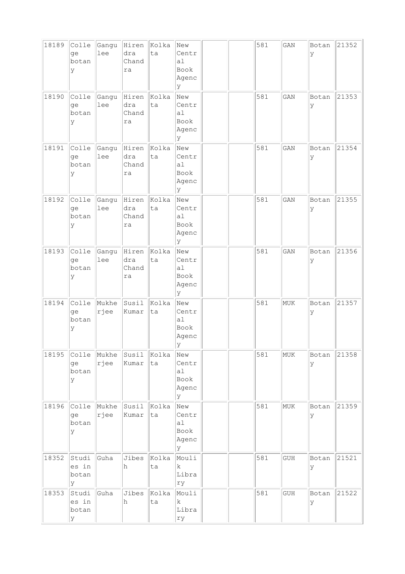| 18189 | Colle<br>qe<br>botan<br>У    | Gangu<br>lee  | Hiren<br>dra<br>Chand<br>ra | Kolka<br>ta | New<br>Centr<br>a1<br>Book<br>Agenc<br>У  |  | 581 | GAN                         | Botan<br>У | 21352 |
|-------|------------------------------|---------------|-----------------------------|-------------|-------------------------------------------|--|-----|-----------------------------|------------|-------|
| 18190 | Colle<br>ge<br>botan<br>У    | Gangu<br>lee  | Hiren<br>dra<br>Chand<br>ra | Kolka<br>ta | New<br>Centr<br>a1<br>Book<br>Agenc<br>У  |  | 581 | GAN                         | Botan<br>У | 21353 |
| 18191 | Colle<br>qe<br>botan<br>У    | Gangu<br>lee  | Hiren<br>dra<br>Chand<br>ra | Kolka<br>ta | New<br>Centr<br>a1<br>Book<br>Agenc<br>lУ |  | 581 | GAN                         | Botan<br>У | 21354 |
| 18192 | Colle<br>ge<br>botan<br>У    | Gangu<br>lee  | Hiren<br>dra<br>Chand<br>ra | Kolka<br>ta | New<br>Centr<br>a1<br>Book<br>Agenc<br>У  |  | 581 | GAN                         | Botan<br>У | 21355 |
| 18193 | Colle<br>ge<br>botan<br>У    | Gangu<br>lee  | Hiren<br>dra<br>Chand<br>ra | Kolka<br>ta | New<br>Centr<br>a1<br>Book<br>Agenc<br>У  |  | 581 | GAN                         | Botan<br>У | 21356 |
| 18194 | Colle<br>ge<br>botan<br>У    | Mukhe<br>rjee | Susil<br>Kumar              | Kolka<br>ta | New<br>Centr<br>a1<br>Book<br>Agenc<br> y |  | 581 | MUK                         | Botan<br>У | 21357 |
| 18195 | Colle<br>ge<br>botan<br>У    | Mukhe<br>rjee | Susil<br>Kumar              | Kolka<br>ta | New<br>Centr<br>a1<br>Book<br>Agenc<br>У  |  | 581 | MUK                         | Botan<br>У | 21358 |
| 18196 | Colle<br>ge<br>botan<br>У    | Mukhe<br>rjee | Susil<br>Kumar              | Kolka<br>ta | New<br>Centr<br>a1<br>Book<br>Agenc<br>У  |  | 581 | MUK                         | Botan<br>У | 21359 |
| 18352 | Studi<br>es in<br>botan<br>У | Guha          | Jibes<br>h                  | Kolka<br>ta | Mouli<br>k<br>Libra<br>ry                 |  | 581 | GUH                         | Botan<br>У | 21521 |
| 18353 | Studi<br>es in<br>botan<br>У | Guha          | Jibes<br>h                  | Kolka<br>ta | Mouli<br>k<br>Libra<br>rу                 |  | 581 | $\mathop{\rm GUH}\nolimits$ | Botan<br>У | 21522 |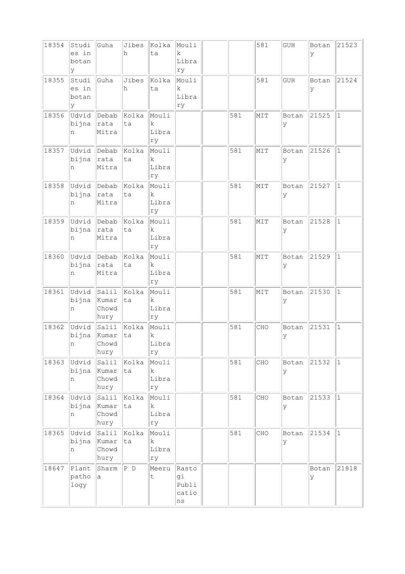| 18354 | Studi<br>es in<br>botan<br>У | Guha                                | Jibes<br>h  | Kolka<br>ta                         | Mouli<br>$\mathbf k$<br>Libra<br>ry       |     | 581 | GUH        | Botan<br>У  | 21523        |
|-------|------------------------------|-------------------------------------|-------------|-------------------------------------|-------------------------------------------|-----|-----|------------|-------------|--------------|
| 18355 | Studi<br>es in<br>botan<br>У | Guha                                | Jibes<br>h  | Kolka<br>ta                         | Mouli<br>k<br>Libra<br>ry                 |     | 581 | <b>GUH</b> | Botan<br>У  | 21524        |
| 18356 | Udvid<br>bijna<br>n          | Debab<br> rata<br>Mitra             | Kolka<br>ta | Mouli<br>$\mathbf k$<br>Libra<br>ry |                                           | 581 | MIT | Botan<br>У | 21525       | $\vert$ 1    |
| 18357 | Udvid<br>bijna<br>n          | Debab<br>rata<br>Mitra              | Kolka<br>ta | Mouli<br>k<br>Libra<br>ry           |                                           | 581 | MIT | Botan<br>У | 21526       | $\mathbf{1}$ |
| 18358 | Udvid<br>bijna<br>n          | Debab<br>rata<br>Mitra              | Kolka<br>ta | Mouli<br>k<br>Libra<br>ry           |                                           | 581 | MIT | Botan<br>У | 21527       | $\vert$ 1    |
| 18359 | Udvid<br>bijna<br>n          | Debab<br>rata<br>Mitra              | Kolka<br>ta | Mouli<br>k.<br>Libra<br>ry          |                                           | 581 | MIT | Botan<br>У | 21528       | $\mathbf{1}$ |
| 18360 | Udvid<br>bijna<br>n          | Debab<br>rata<br>Mitra              | Kolka<br>ta | Mouli<br>k<br>Libra<br>ry           |                                           | 581 | MIT | Botan<br>У | 21529       | $\mathbf{1}$ |
| 18361 | Udvid<br>bijna<br>n          | $ $ Salil<br>Kumar<br>Chowd<br>hury | Kolka<br>ta | Mouli<br>$\mathbf k$<br>Libra<br>ry |                                           | 581 | MIT | Botan<br>У | 21530       | $\mathbf{1}$ |
| 18362 | Udvid<br>bijna<br>n -        | Salil<br>Kumar<br>Chowd<br>hury     | Kolka<br>ta | Mouli<br>k<br>Libra<br>rу           |                                           | 581 | CHO | Botan<br>У | 21531       | $\mathbf{1}$ |
| 18363 | Udvid<br>bijna<br>n          | Salil<br>Kumar<br>Chowd<br>hury     | Kolka<br>ta | Mouli<br>k<br>Libra<br>ry           |                                           | 581 | CHO | Botan<br>У | 21532       | $ 1\rangle$  |
| 18364 | Udvid<br>bijna<br>n          | Salil<br>Kumar<br>Chowd<br>hury     | Kolka<br>ta | Mouli<br>$\mathbf k$<br>Libra<br>rу |                                           | 581 | CHO | Botan<br>У | 21533       | $ 1\rangle$  |
| 18365 | Udvid<br>bijna<br>n          | Salil<br>Kumar<br>Chowd<br>hury     | Kolka<br>ta | Mouli<br>$\mathbf k$<br>Libra<br>ry |                                           | 581 | CHO | Botan<br>У | 21534       | $\mathbf{1}$ |
| 18647 | Plant<br>patho<br>logy       | Sharm<br>а                          | $ P\ D$     | Meeru<br>$\sf t$                    | Rasto<br>gi<br>Publi<br>catio<br>$\rm ns$ |     |     |            | Botan<br>ly | 21818        |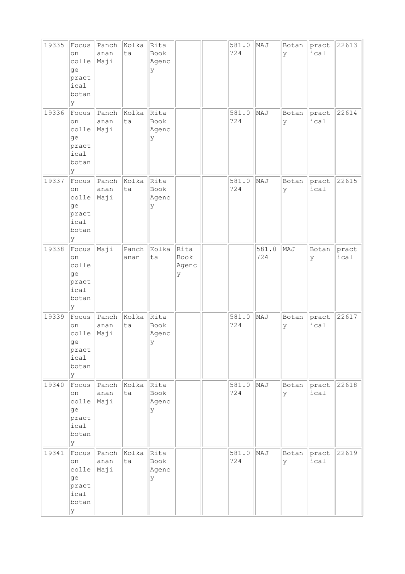| 19335 | Focus<br>on<br>colle<br>ge<br>pract<br>ical<br>botan<br>У | Panch<br>anan<br>Maji | Kolka<br>ta   | Rita<br>Book<br>Agenc<br>У |                            | 581.0<br>724 | MAJ          | Botan<br>Ιy | pract<br>ical | 22613         |
|-------|-----------------------------------------------------------|-----------------------|---------------|----------------------------|----------------------------|--------------|--------------|-------------|---------------|---------------|
| 19336 | Focus<br>on<br>colle<br>ge<br>pract<br>ical<br>botan<br>У | Panch<br>anan<br>Maji | Kolka<br>ta   | Rita<br>Book<br>Agenc<br>У |                            | 581.0<br>724 | MAJ          | Botan<br>У  | pract<br>ical | 22614         |
| 19337 | Focus<br>on<br>colle<br>ge<br>pract<br>ical<br>botan<br>У | Panch<br>anan<br>Maji | Kolka<br>ta   | Rita<br>Book<br>Agenc<br>У |                            | 581.0<br>724 | MAJ          | Botan<br> y | pract<br>ical | 22615         |
| 19338 | Focus<br>on<br>colle<br>ge<br>pract<br>ical<br>botan<br>У | Maji                  | Panch<br>anan | Kolka<br>ta                | Rita<br>Book<br>Agenc<br>У |              | 581.0<br>724 | MAJ         | Botan<br>У    | pract<br>ical |
| 19339 | Focus<br>on<br>colle<br>ge<br>pract<br>ical<br>botan<br>У | Panch<br>anan<br>Maji | Kolka<br>ta   | Rita<br>Book<br>Agenc<br>У |                            | 581.0<br>724 | MAJ          | Botan<br>У  | pract<br>ical | 22617         |
| 19340 | Focus<br>on<br>colle<br>ge<br>pract<br>ical<br>botan<br>У | Panch<br>anan<br>Maji | Kolka<br>ta   | Rita<br>Book<br>Agenc<br>Y |                            | 581.0<br>724 | MAJ          | Botan<br>Ιy | pract<br>ical | 22618         |
| 19341 | Focus<br>on<br>colle<br>ge<br>pract<br>ical<br>botan<br>У | Panch<br>anan<br>Maji | Kolka<br>ta   | Rita<br>Book<br>Agenc<br>У |                            | 581.0<br>724 | MAJ          | Botan<br>У  | pract<br>ical | 22619         |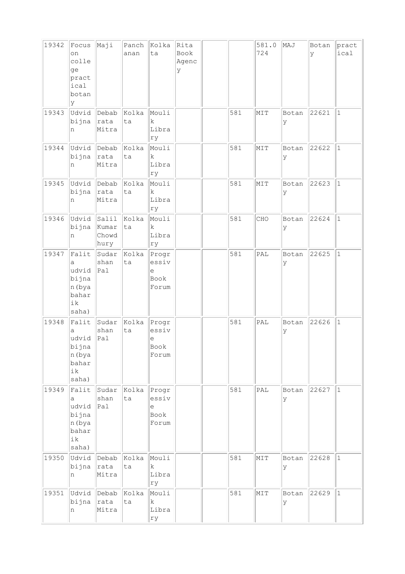| 19342 | Focus<br>on<br>colle<br>ge<br>pract<br>ical<br>botan<br>У      | Maji                                | Panch<br>anan | Kolka<br>ta                                   | Rita<br>Book<br>Agenc<br>У |     | 581.0<br>724   | MAJ        | Botan<br>У | pract<br>ical |
|-------|----------------------------------------------------------------|-------------------------------------|---------------|-----------------------------------------------|----------------------------|-----|----------------|------------|------------|---------------|
| 19343 | Udvid<br>bijna<br>n                                            | Debab<br>rata<br>Mitra              | Kolka<br>ta   | Mouli<br>$\mathbf k$<br>Libra<br>ry           |                            | 581 | MIT            | Botan<br>У | 22621      | $\mathbf 1$   |
| 19344 | Udvid<br>bijna<br>n                                            | Debab<br>rata<br>Mitra              | Kolka<br>ta   | Mouli<br>k<br>Libra<br>rу                     |                            | 581 | MIT            | Botan<br>У | 22622      | $\mathbf 1$   |
| 19345 | Udvid<br>bijna<br>n                                            | Debab<br>rata<br>Mitra              | Kolka<br>ta   | Mouli<br>k<br>Libra<br>ry                     |                            | 581 | MIT            | Botan<br>У | 22623      | $\mathbf 1$   |
| 19346 | Udvid<br>bijna<br>n                                            | $ $ Salil<br>Kumar<br>Chowd<br>hury | Kolka<br>ta   | Mouli<br>$\mathbf k$<br>Libra<br>ry           |                            | 581 | CHO            | Botan<br>У | 22624      | $\mathbf 1$   |
| 19347 | Falit<br>a<br>udvid<br>bijna<br>n (bya<br>bahar<br>ik<br>saha) | Sudar<br>shan<br>Pal                | Kolka<br>ta   | Progr<br>essiv<br>$\in$<br>Book<br>Forum      |                            | 581 | PAL            | Botan<br>У | 22625      | $\mathbf 1$   |
| 19348 | Falit<br>а<br>udvid<br>bijna<br>n (bya<br>bahar<br>ik<br>saha) | Sudar<br>shan<br>Pa1                | Kolka<br>ta   | Progr<br>essiv<br>е<br>Book<br>Forum          |                            | 581 | PAL            | Botan<br>У | 22626      | $\mathbf{1}$  |
| 19349 | Falit<br>a<br>udvid<br>bijna<br>n (bya<br>bahar<br>ik<br>saha) | Sudar<br>shan<br>Pal                | Kolka<br>ta   | Progr<br>essiv<br>$\epsilon$<br>Book<br>Forum |                            | 581 | $\mathsf{PAL}$ | Botan<br>У | 22627      | $\mathbf{1}$  |
| 19350 | Udvid<br>bijna<br>n                                            | Debab<br>rata<br>Mitra              | Kolka<br>ta   | Mouli<br>$\rm k$<br>Libra<br>ry               |                            | 581 | MIT            | Botan<br>У | 22628      | $\mathbf{1}$  |
| 19351 | Udvid<br>bijna<br>n                                            | Debab<br>rata<br>Mitra              | Kolka<br>ta   | Mouli<br>$\rm k$<br>Libra<br>ry               |                            | 581 | MIT            | Botan<br>У | 22629      | $\mathbf{1}$  |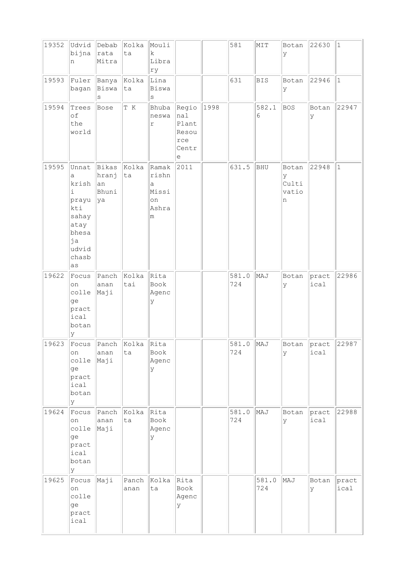| 19352 | Udvid<br>bijna<br>n                                                                                      | Debab<br>rata<br>Mitra                | Kolka<br>ta   | Mouli<br>$\mathbf k$<br>Libra<br>ry              |                                                     |      | 581          | MIT          | Botan<br>У                        | 22630               | $\vert$ 1     |
|-------|----------------------------------------------------------------------------------------------------------|---------------------------------------|---------------|--------------------------------------------------|-----------------------------------------------------|------|--------------|--------------|-----------------------------------|---------------------|---------------|
| 19593 | Fuler<br>bagan                                                                                           | Banya<br>Biswa<br>S                   | Kolka<br>ta   | Lina<br>Biswa<br>$\rm s$                         |                                                     |      | 631          | <b>BIS</b>   | Botan<br>У                        | 22946               | $\vert$ 1     |
| 19594 | Trees<br>of<br>the<br>world                                                                              | Bose                                  | T K           | Bhuba<br>neswa<br>r                              | Regio<br>nal<br>Plant<br>Resou<br>rce<br>Centr<br>е | 1998 |              | 582.1<br>6   | <b>BOS</b>                        | Botan<br>У          | 22947         |
| 19595 | Unnat<br>a<br>krish<br>$\dot{1}$<br>prayu<br>kti<br>sahay<br>atay<br>bhesa<br>ja<br>udvid<br>chasb<br>as | Bikas<br>hranj<br> an<br>Bhuni<br> ya | Kolka<br>ta   | Ramak<br>rishn<br>а<br>Missi<br>on<br>Ashra<br>m | 2011                                                |      | 631.5        | BHU          | Botan<br>У<br>Culti<br>vatio<br>n | 22948               | $\mathbf{1}$  |
| 19622 | Focus<br>on<br>colle<br>ge<br>pract<br>ical<br>botan<br>У                                                | Panch<br>anan<br>Maji                 | Kolka<br>tai  | Rita<br>Book<br>Agenc<br>У                       |                                                     |      | 581.0<br>724 | MAJ          | Botan<br>У                        | pract<br>ical       | 22986         |
| 19623 | on<br>colle<br>ge<br>pract<br>ical<br>botan<br>lУ                                                        | Focus Panch Kolka<br>anan<br>Maji     | ta            | Rita<br>Book<br>Agenc<br>У                       |                                                     |      | 581.0<br>724 | MAJ          | У                                 | Botan pract<br>ical | 22987         |
| 19624 | Focus<br>on<br>colle<br>ge<br>pract<br>ical<br>botan<br>Y                                                | Panch<br>anan<br>Maji                 | Kolka<br>ta   | Rita<br>Book<br>Agenc<br>У                       |                                                     |      | 581.0<br>724 | MAJ          | Botan<br>У                        | pract<br>ical       | 22988         |
| 19625 | Focus<br>on<br>colle<br>ge<br>pract<br>ical                                                              | Maji                                  | Panch<br>anan | Kolka<br>ta                                      | Rita<br>Book<br>Agenc<br>У                          |      |              | 581.0<br>724 | MAJ                               | Botan<br>У          | pract<br>ical |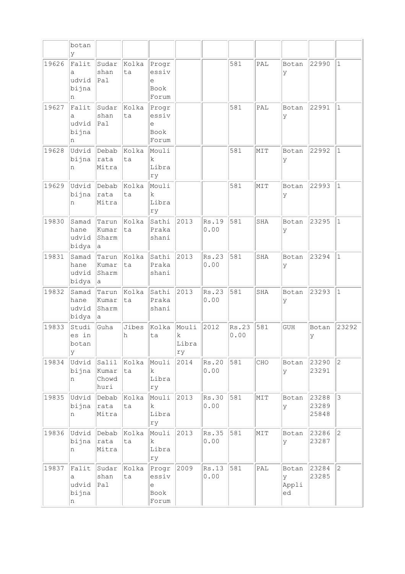|       | botan<br>У                        |                                     |             |                                               |                           |               |               |     |                           |                         |              |
|-------|-----------------------------------|-------------------------------------|-------------|-----------------------------------------------|---------------------------|---------------|---------------|-----|---------------------------|-------------------------|--------------|
| 19626 | Falit<br>a<br>udvid<br>bijna<br>n | Sudar<br>shan<br>Pal                | Kolka<br>ta | Progr<br>essiv<br>e<br>Book<br>Forum          |                           |               | 581           | PAL | Botan<br>У                | 22990                   | $\mathbf{1}$ |
| 19627 | Falit<br>a<br>udvid<br>bijna<br>n | Sudar<br>shan<br>Pa1                | Kolka<br>ta | Progr<br>essiv<br>е<br>Book<br>Forum          |                           |               | 581           | PAL | Botan<br>У                | 22991                   | $\mathbf{1}$ |
| 19628 | Udvid<br>bijna<br>n               | Debab<br>rata<br>Mitra              | Kolka<br>ta | Mouli<br>k<br>Libra<br>ry                     |                           |               | 581           | MIT | Botan<br>У                | 22992                   | $\mathbf{1}$ |
| 19629 | Udvid<br>bijna<br>n               | Debab<br>rata<br>Mitra              | Kolka<br>ta | Mouli<br>k<br>Libra<br>ry                     |                           |               | 581           | MIT | Botan<br>У                | 22993                   | $\vert$ 1    |
| 19830 | Samad<br>hane<br>udvid<br>bidya   | Tarun<br>Kumar<br>Sharm<br>la.      | Kolka<br>ta | Sathi<br>Praka<br>shani                       | 2013                      | Rs.19<br>0.00 | 581           | SHA | Botan<br>У                | 23295                   | $\mathbf{1}$ |
| 19831 | Samad<br>hane<br>udvid<br>bidya   | Tarun<br>Kumar<br>Sharm<br>а        | Kolka<br>ta | Sathi<br>Praka<br>shani                       | 2013                      | Rs.23<br>0.00 | 581           | SHA | Botan<br>У                | 23294                   | $\mathbf{1}$ |
| 19832 | Samad<br>hane<br>udvid<br>bidya   | Tarun<br>Kumar<br>Sharm<br>а        | Kolka<br>ta | Sathi<br>Praka<br>shani                       | 2013                      | Rs.23<br>0.00 | 581           | SHA | Botan<br>У                | 23293                   | $\mathbf{1}$ |
| 19833 | Studi<br>es in<br>botan<br>У      | Guha                                | Jibes<br>h  | Kolka<br>ta                                   | Mouli<br>k<br>Libra<br>rу | 2012          | Rs.23<br>0.00 | 581 | <b>GUH</b>                | Botan<br>У              | 23292        |
| 19834 | Udvid<br>bijna<br>n               | $ $ Salil<br>Kumar<br>Chowd<br>huri | Kolka<br>ta | Mouli<br>k<br>Libra<br>ry                     | 2014                      | Rs.20<br>0.00 | 581           | CHO | Botan<br>У                | 23290<br>23291          | $ 2\rangle$  |
| 19835 | Udvid<br>bijna<br>n               | Debab<br> rata<br>Mitra             | Kolka<br>ta | Mouli<br>$\mathbf k$<br>Libra<br>rу           | 2013                      | Rs.30<br>0.00 | 581           | MIT | Botan<br>У                | 23288<br>23289<br>25848 | $ 3\rangle$  |
| 19836 | Udvid Debab<br>bijna<br>n         | rata<br>Mitra                       | Kolka<br>ta | Mouli<br>$\mathbf k$<br>Libra<br>rу           | 2013                      | Rs.35<br>0.00 | 581           | MIT | Botan<br>У                | 23286<br>23287          | $\vert$ 2    |
| 19837 | Falit<br>а<br>udvid<br>bijna<br>n | Sudar<br>shan<br> Pa1               | Kolka<br>ta | Progr<br>essiv<br>$\epsilon$<br>Book<br>Forum | 2009                      | Rs.13<br>0.00 | 581           | PAL | Botan<br>У<br>Appli<br>ed | 23284<br>23285          | $ 2\rangle$  |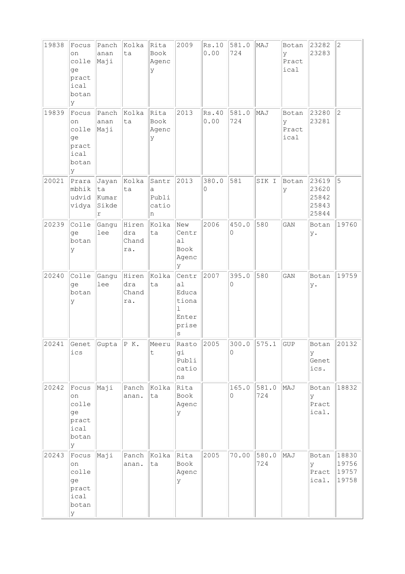| 19838 | Focus<br>on<br>colle<br>qe<br>pract<br>ical<br>botan<br>У | Panch<br>anan<br>Maji              | Kolka<br>ta                  | Rita<br>Book<br>Agenc<br>У        | 2009                                                                 | Rs.10<br>0.00 | 581.0<br>724      | MAJ          | Botan<br>y<br>Pract<br>ical | 23282<br>23283                            | $\overline{2}$                   |
|-------|-----------------------------------------------------------|------------------------------------|------------------------------|-----------------------------------|----------------------------------------------------------------------|---------------|-------------------|--------------|-----------------------------|-------------------------------------------|----------------------------------|
| 19839 | Focus<br>on<br>colle<br>ge<br>pract<br>ical<br>botan<br>У | Panch<br>anan<br>Maji              | Kolka<br>ta                  | Rita<br>Book<br>Agenc<br>У        | 2013                                                                 | Rs.40<br>0.00 | 581.0<br>724      | MAJ          | Botan<br>У<br>Pract<br>ical | 23280<br>23281                            | $\overline{c}$                   |
| 20021 | Prara<br>mbhik<br>udvid<br>vidya                          | Jayan<br>ta<br>Kumar<br>Sikde<br>r | Kolka<br>ta                  | Santr<br>a<br>Publi<br>catio<br>n | 2013                                                                 | 380.0<br>0    | 581               | SIK I        | Botan<br>У                  | 23619<br>23620<br>25842<br>25843<br>25844 | 5                                |
| 20239 | Colle<br>ge<br>botan<br>У                                 | Gangu<br>lee                       | Hiren<br>dra<br>Chand<br>ra. | Kolka<br>ta                       | New<br>Centr<br>al<br>Book<br>Agenc<br>У                             | 2006          | 450.0<br>0        | 580          | GAN                         | Botan<br>у.                               | 19760                            |
| 20240 | Colle<br>ge<br>botan<br>У                                 | Gangu<br>lee                       | Hiren<br>dra<br>Chand<br>ra. | Kolka<br>ta                       | Centr<br>al<br>Educa<br>tiona<br>$\mathbf{1}$<br>Enter<br>prise<br>S | 2007          | 395.0<br>0        | 580          | GAN                         | Botan<br>у.                               | 19759                            |
| 20241 | ics                                                       | $ \text{Genet } $ Gupta $ P K.$    |                              | Meeru<br>$\sf t$                  | Rasto 2005<br>gi<br>Publi<br>catio<br>ns                             |               | 300.0<br>$\Omega$ | 575.1        | GUP                         | Botan<br>ΙY<br>Genet<br>ics.              | 20132                            |
| 20242 | Focus<br>on<br>colle<br>ge<br>pract<br>ical<br>botan<br>У | Maji                               | Panch<br>anan.               | Kolka<br>ta                       | Rita<br>Book<br>Agenc<br>У                                           |               | 165.0<br>0        | 581.0<br>724 | MAJ                         | Botan<br>У<br>Pract<br>ical.              | 18832                            |
| 20243 | Focus<br>on<br>colle<br>ge<br>pract<br>ical<br>botan<br>У | Maji                               | Panch<br>anan.               | Kolka<br>ta                       | Rita<br>Book<br>Agenc<br>У                                           | 2005          | 70.00             | 580.0<br>724 | MAJ                         | Botan<br>У<br>Pract<br>ical.              | 18830<br>19756<br>19757<br>19758 |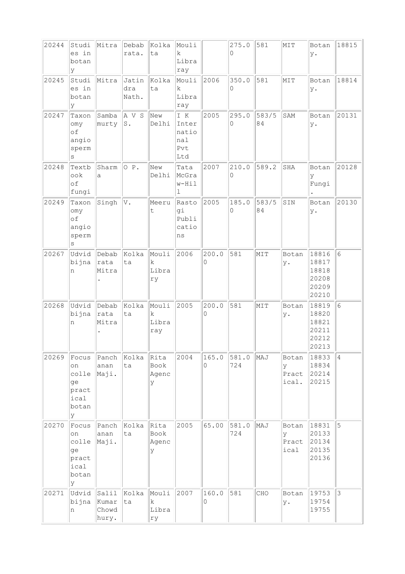| 20244 | Studi<br>es in<br>botan<br>У                               | Mitra                                | Debab<br>rata.        | Kolka<br>ta                 | Mouli<br>$\mathbf k$<br>Libra<br>ray       |            | 275.0<br>$\Omega$            | 581         | MIT                          | Botan<br>у.                                        | 18815           |
|-------|------------------------------------------------------------|--------------------------------------|-----------------------|-----------------------------|--------------------------------------------|------------|------------------------------|-------------|------------------------------|----------------------------------------------------|-----------------|
| 20245 | Studi<br>es in<br>botan<br>У                               | Mitra                                | Jatin<br>dra<br>Nath. | Kolka<br>ta                 | Mouli<br>$\mathbf k$<br>Libra<br>ray       | 2006       | 350.0<br>0                   | 581         | MIT                          | Botan<br>у.                                        | 18814           |
| 20247 | Taxon<br>omy<br>оf<br>angio<br>sperm<br>S                  | Samba<br>murty                       | A V S<br>${\tt S}$ .  | New<br>Delhi                | I K<br>Inter<br>natio<br>nal<br>Pvt<br>Ltd | 2005       | 295.0<br>$\Omega$            | 583/5<br>84 | SAM                          | Botan<br>у.                                        | 20131           |
| 20248 | Textb<br>ook<br>of<br>fungi                                | Sharm<br>a                           | OP.                   | New<br>Delhi                | Tata<br>McGra<br>w-Hil<br>ı                | 2007       | 210.0<br>0                   | 589.2       | SHA                          | Botan<br>У<br>Fungi                                | 20128           |
| 20249 | Taxon<br>omy<br>оf<br>angio<br>sperm<br>$\rm s$            | Singh                                | V.                    | Meeru<br>t                  | Rasto<br>gi<br>Publi<br>catio<br>ns        | 2005       | 185.0<br>$\mathsf{O}\xspace$ | 583/5<br>84 | SIN                          | Botan<br>у.                                        | 20130           |
| 20267 | Udvid<br>bijna<br>n                                        | Debab<br>rata<br>Mitra               | Kolka<br>ta           | Mouli<br>k.<br>Libra<br>ry  | 2006                                       | 200.0<br>0 | 581                          | MIT         | Botan<br>у.                  | 18816<br>18817<br>18818<br>20208<br>20209<br>20210 | $6\phantom{.}6$ |
| 20268 | Udvid<br>bijna<br>n                                        | Debab<br>rata<br>Mitra               | Kolka<br>ta           | Mouli<br>k.<br>Libra<br>ray | 2005                                       | 200.0<br>0 | 581                          | MIT         | Botan<br>у.                  | 18819<br>18820<br>18821<br>20211<br>20212<br>20213 | $6\phantom{.}6$ |
| 20269 | Focus<br>on<br>colle<br>ge<br>pract<br>ical<br>botan<br>У  | Panch<br>anan<br>Maji.               | kolka<br>ta           | Rita<br>Book<br>Agenc<br>У  | 2004                                       | 165.0<br>0 | 581.0<br>724                 | MAJ         | Botan<br>y<br>Pract<br>ical. | 18833<br>18834<br>20214<br>20215                   | $\overline{4}$  |
| 20270 | Focus<br>on<br>colle<br>ge<br>pract<br>ical<br>botan<br>lУ | Panch<br>anan<br>Maji.               | Kolka<br>ta           | Rita<br>Book<br>Agenc<br>У  | 2005                                       | 65.00      | 581.0<br>724                 | MAJ         | Botan<br>V<br>Pract<br>ical  | 18831<br>20133<br>20134<br>20135<br>20136          | 5               |
| 20271 | Udvid<br>bijna<br>n                                        | $ $ Salil<br>Kumar<br>Chowd<br>hury. | Kolka<br>ta           | Mouli<br>k<br>Libra<br>ry   | 2007                                       | 160.0<br>0 | 581                          | CHO         | Botan<br>у.                  | 19753<br>19754<br>19755                            | $\mathfrak{Z}$  |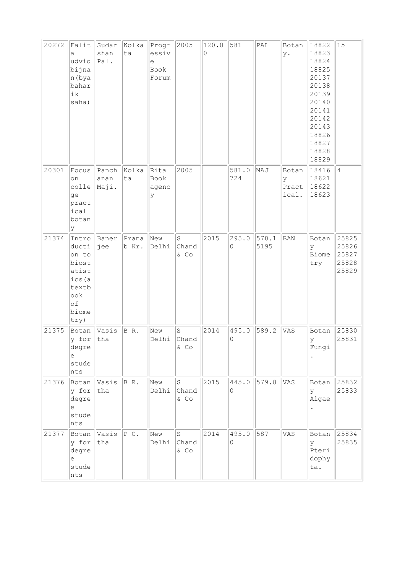| 20272 | Falit<br>a<br>udvid<br>bijna<br>n (bya<br>bahar<br>ik<br>saha)                                         | Sudar<br>shan<br>Pal.  | Kolka<br>ta    | Progr<br>essiv<br>e<br>Book<br>Forum | 2005                     | 120.0<br>0 | 581                          | PAL           | Botan<br>у.                  | 18822<br>18823<br>18824<br>18825<br>20137<br>20138<br>20139<br>20140<br>20141<br>20142<br>20143<br>18826<br>18827<br>18828<br>18829 | 15                                        |
|-------|--------------------------------------------------------------------------------------------------------|------------------------|----------------|--------------------------------------|--------------------------|------------|------------------------------|---------------|------------------------------|-------------------------------------------------------------------------------------------------------------------------------------|-------------------------------------------|
| 20301 | Focus<br>on<br>colle<br>ge<br>pract<br>ical<br>botan<br>У                                              | Panch<br>anan<br>Maji. | Kolka<br>ta    | Rita<br>Book<br>agenc<br>У           | 2005                     |            | 581.0<br>724                 | MAJ           | Botan<br>У<br>Pract<br>ical. | 18416<br>18621<br>18622<br>18623                                                                                                    | $\overline{4}$                            |
| 21374 | Intro<br>ducti<br>on to<br>biost<br>atist<br>ics (a<br>textb<br>$\circ \circ k$<br>of<br>biome<br>try) | Baner<br>jee           | Prana<br>b Kr. | New<br>Delhi                         | S<br>Chand<br>& Co       | 2015       | 295.0<br>$\circ$             | 570.1<br>5195 | <b>BAN</b>                   | Botan<br>У<br>Biome<br>try                                                                                                          | 25825<br>25826<br>25827<br>25828<br>25829 |
| 21375 | Botan<br>y for<br>degre<br>е<br>stude<br>nts                                                           | Vasis<br>tha           | BR.            | New<br>Delhi                         | $\rm S$<br>Chand<br>& CO | 2014       | 495.0<br>$\mathsf{O}\xspace$ | 589.2         | VAS                          | Botan<br>У<br>Fungi                                                                                                                 | 25830<br>25831                            |
| 21376 | Botan<br>y for<br>degre<br>е<br>stude<br>nts                                                           | Vasis<br>tha           | BR.            | New<br>Delhi                         | S<br>Chand<br>& CO       | 2015       | 445.0<br>0                   | 579.8         | VAS                          | Botan<br>У<br>Algae                                                                                                                 | 25832<br>25833                            |
| 21377 | Botan<br>y for<br>degre<br>e<br>stude<br>nts                                                           | Vasis<br>tha           | P C.           | New<br>Delhi                         | S<br>Chand<br>$&$ Co     | 2014       | 495.0<br>$\Omega$            | 587           | VAS                          | Botan<br>У<br>Pteri<br>dophy<br>ta.                                                                                                 | 25834<br>25835                            |